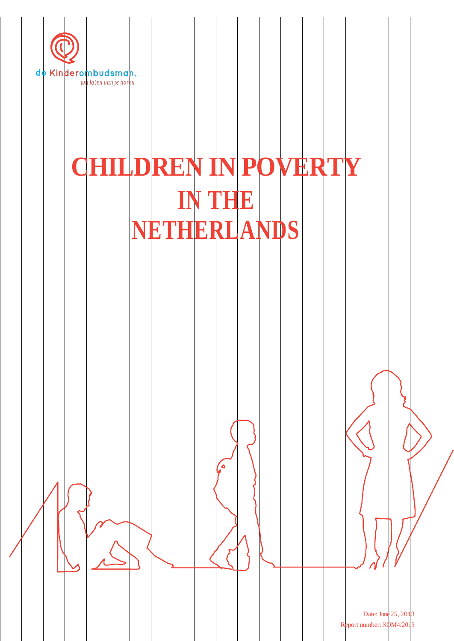

# **CHILDREN IN POVERTY IN THE NETHERLANDS**

ٰ ک

Date: June 25, 2013 Report number: KOM4/2013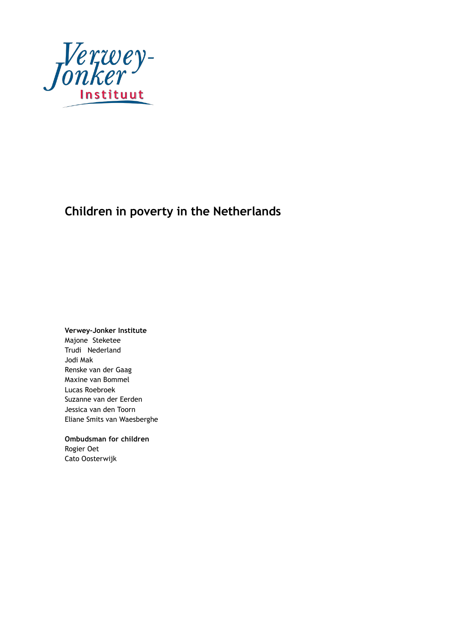

# **Children in poverty in the Netherlands**

**Verwey-Jonker Institute**

Majone Steketee Trudi Nederland Jodi Mak Renske van der Gaag Maxine van Bommel Lucas Roebroek Suzanne van der Eerden Jessica van den Toorn Eliane Smits van Waesberghe

**Ombudsman for children** Rogier Oet Cato Oosterwijk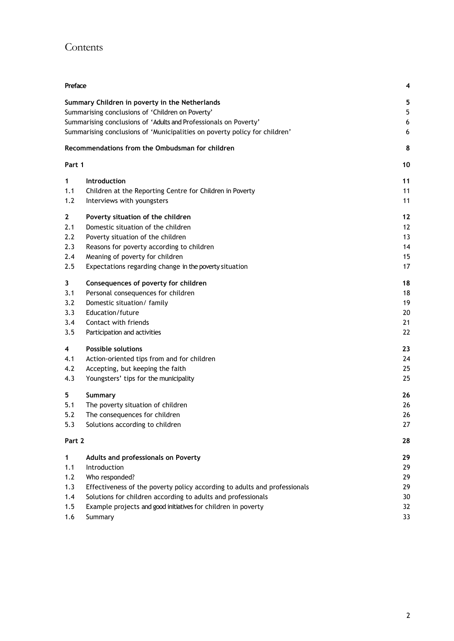# Contents

| Preface     |                                                                            | 4  |  |  |  |  |  |  |  |
|-------------|----------------------------------------------------------------------------|----|--|--|--|--|--|--|--|
|             | Summary Children in poverty in the Netherlands                             | 5  |  |  |  |  |  |  |  |
|             | Summarising conclusions of 'Children on Poverty'                           | 5  |  |  |  |  |  |  |  |
|             | Summarising conclusions of 'Adults and Professionals on Poverty'           |    |  |  |  |  |  |  |  |
|             | Summarising conclusions of 'Municipalities on poverty policy for children' | 6  |  |  |  |  |  |  |  |
|             | Recommendations from the Ombudsman for children                            | 8  |  |  |  |  |  |  |  |
| Part 1      |                                                                            | 10 |  |  |  |  |  |  |  |
| 1           | Introduction                                                               | 11 |  |  |  |  |  |  |  |
| 1.1         | Children at the Reporting Centre for Children in Poverty                   | 11 |  |  |  |  |  |  |  |
| 1.2         | Interviews with youngsters                                                 | 11 |  |  |  |  |  |  |  |
| $\mathbf 2$ | Poverty situation of the children                                          | 12 |  |  |  |  |  |  |  |
| 2.1         | Domestic situation of the children                                         | 12 |  |  |  |  |  |  |  |
| 2.2         | Poverty situation of the children                                          | 13 |  |  |  |  |  |  |  |
| 2.3         | Reasons for poverty according to children                                  | 14 |  |  |  |  |  |  |  |
| 2.4         | Meaning of poverty for children                                            |    |  |  |  |  |  |  |  |
| 2.5         | Expectations regarding change in the poverty situation                     |    |  |  |  |  |  |  |  |
| 3           | Consequences of poverty for children                                       | 18 |  |  |  |  |  |  |  |
| 3.1         | Personal consequences for children                                         | 18 |  |  |  |  |  |  |  |
| 3.2         | Domestic situation/ family                                                 | 19 |  |  |  |  |  |  |  |
| 3.3         | Education/future                                                           | 20 |  |  |  |  |  |  |  |
| 3.4         | Contact with friends                                                       | 21 |  |  |  |  |  |  |  |
| 3.5         | Participation and activities                                               | 22 |  |  |  |  |  |  |  |
| 4           | <b>Possible solutions</b>                                                  | 23 |  |  |  |  |  |  |  |
| 4.1         | Action-oriented tips from and for children                                 | 24 |  |  |  |  |  |  |  |
| 4.2         | Accepting, but keeping the faith                                           | 25 |  |  |  |  |  |  |  |
| 4.3         | Youngsters' tips for the municipality                                      | 25 |  |  |  |  |  |  |  |
| 5           | Summary                                                                    | 26 |  |  |  |  |  |  |  |
| 5.1         | The poverty situation of children                                          | 26 |  |  |  |  |  |  |  |
| 5.2         | The consequences for children                                              | 26 |  |  |  |  |  |  |  |
| 5.3         | Solutions according to children                                            | 27 |  |  |  |  |  |  |  |
| Part 2      |                                                                            | 28 |  |  |  |  |  |  |  |
| 1           | Adults and professionals on Poverty                                        | 29 |  |  |  |  |  |  |  |
| 1.1         | Introduction                                                               | 29 |  |  |  |  |  |  |  |
| 1.2         | Who responded?                                                             | 29 |  |  |  |  |  |  |  |
| 1.3         | Effectiveness of the poverty policy according to adults and professionals  | 29 |  |  |  |  |  |  |  |
| 1.4         | Solutions for children according to adults and professionals               | 30 |  |  |  |  |  |  |  |
| 1.5         | Example projects and good initiatives for children in poverty              | 32 |  |  |  |  |  |  |  |
| 1.6         | Summary<br>33                                                              |    |  |  |  |  |  |  |  |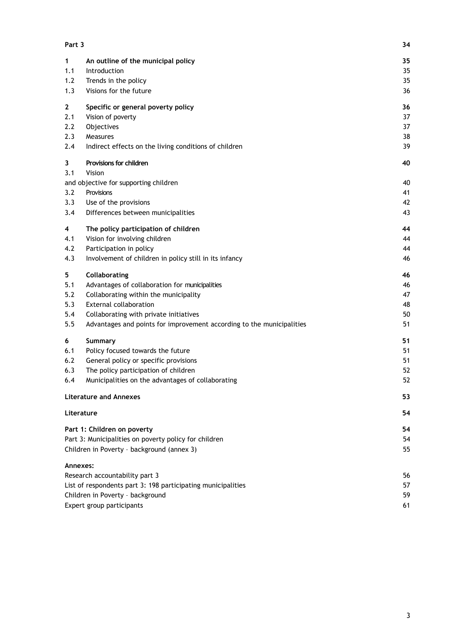| Part 3       |                                                                       | 34 |
|--------------|-----------------------------------------------------------------------|----|
| 1            | An outline of the municipal policy                                    | 35 |
| 1.1          | Introduction                                                          | 35 |
| 1.2          | Trends in the policy                                                  | 35 |
| 1.3          | Visions for the future                                                | 36 |
| $\mathbf{2}$ | Specific or general poverty policy                                    | 36 |
| 2.1          | Vision of poverty                                                     | 37 |
| 2.2          | Objectives                                                            | 37 |
| 2.3          | Measures                                                              | 38 |
| 2.4          | Indirect effects on the living conditions of children                 | 39 |
| 3            | Provisions for children                                               | 40 |
| 3.1          | Vision                                                                |    |
|              | and objective for supporting children                                 | 40 |
| 3.2          | Provisions                                                            | 41 |
| 3.3          | Use of the provisions                                                 | 42 |
| 3.4          | Differences between municipalities                                    | 43 |
| 4            | The policy participation of children                                  | 44 |
| 4.1          | Vision for involving children                                         | 44 |
| 4.2          | Participation in policy                                               | 44 |
| 4.3          | Involvement of children in policy still in its infancy                | 46 |
| 5            | Collaborating                                                         | 46 |
| 5.1          | Advantages of collaboration for municipalities                        | 46 |
| 5.2          | Collaborating within the municipality                                 | 47 |
| 5.3          | <b>External collaboration</b>                                         | 48 |
| 5.4          | Collaborating with private initiatives                                | 50 |
| 5.5          | Advantages and points for improvement according to the municipalities | 51 |
| 6            | Summary                                                               | 51 |
| 6.1          | Policy focused towards the future                                     | 51 |
| 6.2          | General policy or specific provisions                                 | 51 |
| 6.3          | The policy participation of children                                  | 52 |
| 6.4          | Municipalities on the advantages of collaborating                     | 52 |
|              | <b>Literature and Annexes</b>                                         | 53 |
|              | Literature                                                            | 54 |
|              | Part 1: Children on poverty                                           | 54 |
|              | Part 3: Municipalities on poverty policy for children                 | 54 |
|              | Children in Poverty - background (annex 3)                            | 55 |
|              | Annexes:                                                              |    |
|              | Research accountability part 3                                        | 56 |
|              | List of respondents part 3: 198 participating municipalities          | 57 |
|              | Children in Poverty - background                                      | 59 |
|              | Expert group participants                                             | 61 |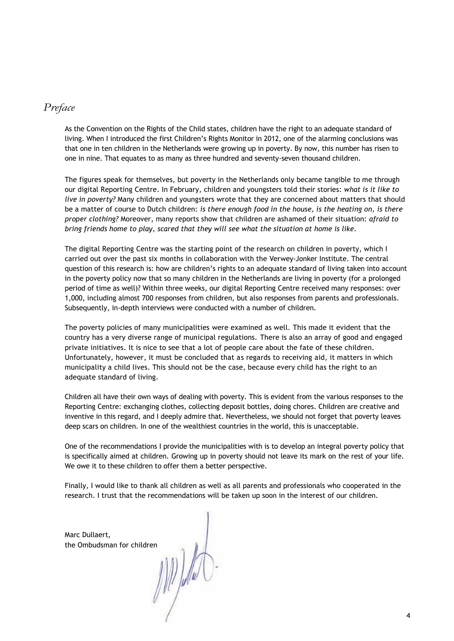# *Preface*

As the Convention on the Rights of the Child states, children have the right to an adequate standard of living. When I introduced the first Children's Rights Monitor in 2012, one of the alarming conclusions was that one in ten children in the Netherlands were growing up in poverty. By now, this number has risen to one in nine. That equates to as many as three hundred and seventy-seven thousand children.

The figures speak for themselves, but poverty in the Netherlands only became tangible to me through our digital Reporting Centre. In February, children and youngsters told their stories: *what is it like to live in poverty?* Many children and youngsters wrote that they are concerned about matters that should be a matter of course to Dutch children: *is there enough food in the house, is the heating on, is there proper clothing?* Moreover, many reports show that children are ashamed of their situation: *afraid to bring friends home to play, scared that they will see what the situation at home is like.*

The digital Reporting Centre was the starting point of the research on children in poverty, which I carried out over the past six months in collaboration with the Verwey-Jonker Institute. The central question of this research is: how are children's rights to an adequate standard of living taken into account in the poverty policy now that so many children in the Netherlands are living in poverty (for a prolonged period of time as well)? Within three weeks, our digital Reporting Centre received many responses: over 1,000, including almost 700 responses from children, but also responses from parents and professionals. Subsequently, in-depth interviews were conducted with a number of children.

The poverty policies of many municipalities were examined as well. This made it evident that the country has a very diverse range of municipal regulations. There is also an array of good and engaged private initiatives. It is nice to see that a lot of people care about the fate of these children. Unfortunately, however, it must be concluded that as regards to receiving aid, it matters in which municipality a child lives. This should not be the case, because every child has the right to an adequate standard of living.

Children all have their own ways of dealing with poverty. This is evident from the various responses to the Reporting Centre: exchanging clothes, collecting deposit bottles, doing chores. Children are creative and inventive in this regard, and I deeply admire that. Nevertheless, we should not forget that poverty leaves deep scars on children. In one of the wealthiest countries in the world, this is unacceptable.

One of the recommendations I provide the municipalities with is to develop an integral poverty policy that is specifically aimed at children. Growing up in poverty should not leave its mark on the rest of your life. We owe it to these children to offer them a better perspective.

Finally, I would like to thank all children as well as all parents and professionals who cooperated in the research. I trust that the recommendations will be taken up soon in the interest of our children.

Marc Dullaert, the Ombudsman for children

MP) Aut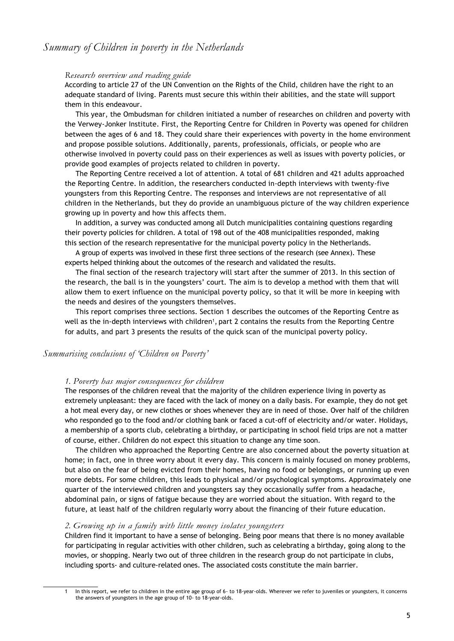# *Summary of Children in poverty in the Netherlands*

#### *Research overview and reading guide*

According to article 27 of the UN Convention on the Rights of the Child, children have the right to an adequate standard of living. Parents must secure this within their abilities, and the state will support them in this endeavour.

This year, the Ombudsman for children initiated a number of researches on children and poverty with the Verwey-Jonker Institute. First, the Reporting Centre for Children in Poverty was opened for children between the ages of 6 and 18. They could share their experiences with poverty in the home environment and propose possible solutions. Additionally, parents, professionals, officials, or people who are otherwise involved in poverty could pass on their experiences as well as issues with poverty policies, or provide good examples of projects related to children in poverty.

The Reporting Centre received a lot of attention. A total of 681 children and 421 adults approached the Reporting Centre. In addition, the researchers conducted in-depth interviews with twenty-five youngsters from this Reporting Centre. The responses and interviews are not representative of all children in the Netherlands, but they do provide an unambiguous picture of the way children experience growing up in poverty and how this affects them.

In addition, a survey was conducted among all Dutch municipalities containing questions regarding their poverty policies for children. A total of 198 out of the 408 municipalities responded, making this section of the research representative for the municipal poverty policy in the Netherlands.

A group of experts was involved in these first three sections of the research (see Annex). These experts helped thinking about the outcomes of the research and validated the results.

The final section of the research trajectory will start after the summer of 2013. In this section of the research, the ball is in the youngsters' court. The aim is to develop a method with them that will allow them to exert influence on the municipal poverty policy, so that it will be more in keeping with the needs and desires of the youngsters themselves.

This report comprises three sections. Section 1 describes the outcomes of the Reporting Centre as well as the in-depth interviews with children<sup>1</sup>, part 2 contains the results from the Reporting Centre for adults, and part 3 presents the results of the quick scan of the municipal poverty policy.

#### *Summarising conclusions of 'Children on Poverty'*

#### *1. Poverty has major consequences for children*

The responses of the children reveal that the majority of the children experience living in poverty as extremely unpleasant: they are faced with the lack of money on a daily basis. For example, they do not get a hot meal every day, or new clothes or shoes whenever they are in need of those. Over half of the children who responded go to the food and/or clothing bank or faced a cut-off of electricity and/or water. Holidays, a membership of a sports club, celebrating a birthday, or participating in school field trips are not a matter of course, either. Children do not expect this situation to change any time soon.

The children who approached the Reporting Centre are also concerned about the poverty situation at home; in fact, one in three worry about it every day. This concern is mainly focused on money problems, but also on the fear of being evicted from their homes, having no food or belongings, or running up even more debts. For some children, this leads to physical and/or psychological symptoms. Approximately one quarter of the interviewed children and youngsters say they occasionally suffer from a headache, abdominal pain, or signs of fatigue because they are worried about the situation. With regard to the future, at least half of the children regularly worry about the financing of their future education.

#### *2. Growing up in a family with little money isolates youngsters*

Children find it important to have a sense of belonging. Being poor means that there is no money available for participating in regular activities with other children, such as celebrating a birthday, going along to the movies, or shopping. Nearly two out of three children in the research group do not participate in clubs, including sports- and culture-related ones. The associated costs constitute the main barrier.

<sup>1</sup> In this report, we refer to children in the entire age group of 6- to 18-year-olds. Wherever we refer to juveniles or youngsters, it concerns the answers of youngsters in the age group of 10- to 18-year-olds.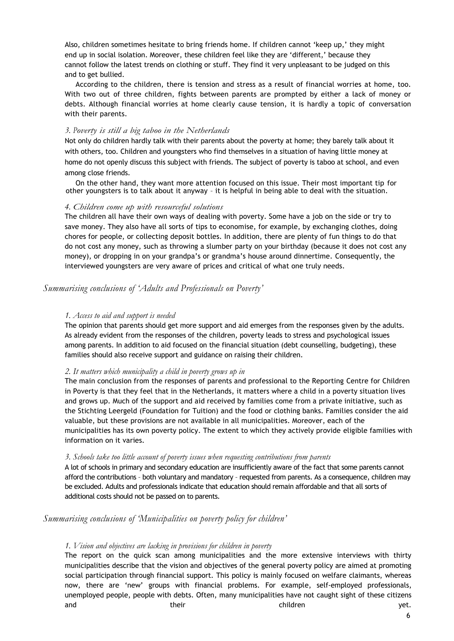Also, children sometimes hesitate to bring friends home. If children cannot 'keep up,' they might end up in social isolation. Moreover, these children feel like they are 'different,' because they cannot follow the latest trends on clothing or stuff. They find it very unpleasant to be judged on this and to get bullied.

According to the children, there is tension and stress as a result of financial worries at home, too. With two out of three children, fights between parents are prompted by either a lack of money or debts. Although financial worries at home clearly cause tension, it is hardly a topic of conversation with their parents.

#### *3. Poverty is still a big taboo in the Netherlands*

Not only do children hardly talk with their parents about the poverty at home; they barely talk about it with others, too. Children and youngsters who find themselves in a situation of having little money at home do not openly discuss this subject with friends. The subject of poverty is taboo at school, and even among close friends.

On the other hand, they want more attention focused on this issue. Their most important tip for other youngsters is to talk about it anyway – it is helpful in being able to deal with the situation.

#### *4. Children come up with resourceful solutions*

The children all have their own ways of dealing with poverty. Some have a job on the side or try to save money. They also have all sorts of tips to economise, for example, by exchanging clothes, doing chores for people, or collecting deposit bottles. In addition, there are plenty of fun things to do that do not cost any money, such as throwing a slumber party on your birthday (because it does not cost any money), or dropping in on your grandpa's or grandma's house around dinnertime. Consequently, the interviewed youngsters are very aware of prices and critical of what one truly needs.

#### *Summarising conclusions of 'Adults and Professionals on Poverty'*

#### *1. Access to aid and support is needed*

The opinion that parents should get more support and aid emerges from the responses given by the adults. As already evident from the responses of the children, poverty leads to stress and psychological issues among parents. In addition to aid focused on the financial situation (debt counselling, budgeting), these families should also receive support and guidance on raising their children.

#### *2. It matters which municipality a child in poverty grows up in*

The main conclusion from the responses of parents and professional to the Reporting Centre for Children in Poverty is that they feel that in the Netherlands, it matters where a child in a poverty situation lives and grows up. Much of the support and aid received by families come from a private initiative, such as the Stichting Leergeld (Foundation for Tuition) and the food or clothing banks. Families consider the aid valuable, but these provisions are not available in all municipalities. Moreover, each of the municipalities has its own poverty policy. The extent to which they actively provide eligible families with information on it varies.

#### *3. Schools take too little account of poverty issues when requesting contributions from parents*

A lot of schools in primary and secondary education are insufficiently aware of the fact that some parents cannot afford the contributions – both voluntary and mandatory – requested from parents. As a consequence, children may be excluded. Adults and professionals indicate that education should remain affordable and that all sorts of additional costs should not be passed on to parents.

#### *Summarising conclusions of 'Municipalities on poverty policy for children'*

#### *1. Vision and objectives are lacking in provisions for children in poverty*

The report on the quick scan among municipalities and the more extensive interviews with thirty municipalities describe that the vision and objectives of the general poverty policy are aimed at promoting social participation through financial support. This policy is mainly focused on welfare claimants, whereas now, there are 'new' groups with financial problems. For example, self-employed professionals, unemployed people, people with debts. Often, many municipalities have not caught sight of these citizens and their their children which has been wet.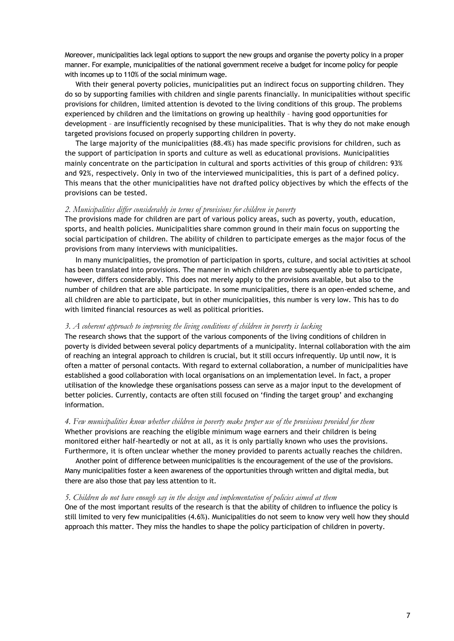Moreover, municipalities lack legal options to support the new groups and organise the poverty policy in a proper manner. For example, municipalities of the national government receive a budget for income policy for people with incomes up to 110% of the social minimum wage.

With their general poverty policies, municipalities put an indirect focus on supporting children. They do so by supporting families with children and single parents financially. In municipalities without specific provisions for children, limited attention is devoted to the living conditions of this group. The problems experienced by children and the limitations on growing up healthily – having good opportunities for development – are insufficiently recognised by these municipalities. That is why they do not make enough targeted provisions focused on properly supporting children in poverty.

The large majority of the municipalities (88.4%) has made specific provisions for children, such as the support of participation in sports and culture as well as educational provisions. Municipalities mainly concentrate on the participation in cultural and sports activities of this group of children: 93% and 92%, respectively. Only in two of the interviewed municipalities, this is part of a defined policy. This means that the other municipalities have not drafted policy objectives by which the effects of the provisions can be tested.

#### *2. Municipalities differ considerably in terms of provisions for children in poverty*

The provisions made for children are part of various policy areas, such as poverty, youth, education, sports, and health policies. Municipalities share common ground in their main focus on supporting the social participation of children. The ability of children to participate emerges as the major focus of the provisions from many interviews with municipalities.

In many municipalities, the promotion of participation in sports, culture, and social activities at school has been translated into provisions. The manner in which children are subsequently able to participate, however, differs considerably. This does not merely apply to the provisions available, but also to the number of children that are able participate. In some municipalities, there is an open-ended scheme, and all children are able to participate, but in other municipalities, this number is very low. This has to do with limited financial resources as well as political priorities.

#### *3. A coherent approach to improving the living conditions of children in poverty is lacking*

The research shows that the support of the various components of the living conditions of children in poverty is divided between several policy departments of a municipality. Internal collaboration with the aim of reaching an integral approach to children is crucial, but it still occurs infrequently. Up until now, it is often a matter of personal contacts. With regard to external collaboration, a number of municipalities have established a good collaboration with local organisations on an implementation level. In fact, a proper utilisation of the knowledge these organisations possess can serve as a major input to the development of better policies. Currently, contacts are often still focused on 'finding the target group' and exchanging information.

#### *4. Few municipalities know whether children in poverty make proper use of the provisions provided for them* Whether provisions are reaching the eligible minimum wage earners and their children is being monitored either half-heartedly or not at all, as it is only partially known who uses the provisions. Furthermore, it is often unclear whether the money provided to parents actually reaches the children.

Another point of difference between municipalities is the encouragement of the use of the provisions. Many municipalities foster a keen awareness of the opportunities through written and digital media, but there are also those that pay less attention to it.

#### *5. Children do not have enough say in the design and implementation of policies aimed at them*

One of the most important results of the research is that the ability of children to influence the policy is still limited to very few municipalities (4.6%). Municipalities do not seem to know very well how they should approach this matter. They miss the handles to shape the policy participation of children in poverty.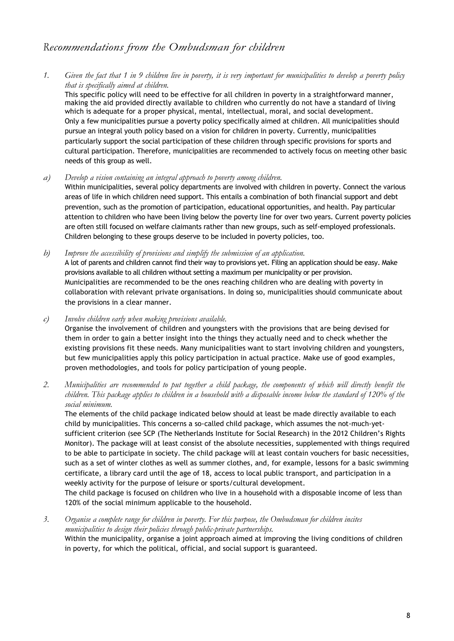# *Recommendations from the Ombudsman for children*

*1. Given the fact that 1 in 9 children live in poverty, it is very important for municipalities to develop a poverty policy that is specifically aimed at children.*

This specific policy will need to be effective for all children in poverty in a straightforward manner, making the aid provided directly available to children who currently do not have a standard of living which is adequate for a proper physical, mental, intellectual, moral, and social development. Only a few municipalities pursue a poverty policy specifically aimed at children. All municipalities should pursue an integral youth policy based on a vision for children in poverty. Currently, municipalities particularly support the social participation of these children through specific provisions for sports and cultural participation. Therefore, municipalities are recommended to actively focus on meeting other basic needs of this group as well.

*a) Develop a vision containing an integral approach to poverty among children.*

Within municipalities, several policy departments are involved with children in poverty. Connect the various areas of life in which children need support. This entails a combination of both financial support and debt prevention, such as the promotion of participation, educational opportunities, and health. Pay particular attention to children who have been living below the poverty line for over two years. Current poverty policies are often still focused on welfare claimants rather than new groups, such as self-employed professionals. Children belonging to these groups deserve to be included in poverty policies, too.

*b) Improve the accessibility of provisions and simplify the submission of an application.*

A lot of parents and children cannot find their way to provisions yet. Filing an application should be easy. Make provisions available to all children without setting a maximum per municipality or per provision. Municipalities are recommended to be the ones reaching children who are dealing with poverty in collaboration with relevant private organisations. In doing so, municipalities should communicate about the provisions in a clear manner.

*c) Involve children early when making provisions available.*

Organise the involvement of children and youngsters with the provisions that are being devised for them in order to gain a better insight into the things they actually need and to check whether the existing provisions fit these needs. Many municipalities want to start involving children and youngsters, but few municipalities apply this policy participation in actual practice. Make use of good examples, proven methodologies, and tools for policy participation of young people.

*2. Municipalities are recommended to put together a child package, the components of which will directly benefit the children. This package applies to children in a household with a disposable income below the standard of 120% of the social minimum.*

The elements of the child package indicated below should at least be made directly available to each child by municipalities. This concerns a so-called child package, which assumes the not-much-yetsufficient criterion (see SCP (The Netherlands Institute for Social Research) in the 2012 Children's Rights Monitor). The package will at least consist of the absolute necessities, supplemented with things required to be able to participate in society. The child package will at least contain vouchers for basic necessities, such as a set of winter clothes as well as summer clothes, and, for example, lessons for a basic swimming certificate, a library card until the age of 18, access to local public transport, and participation in a weekly activity for the purpose of leisure or sports/cultural development.

The child package is focused on children who live in a household with a disposable income of less than 120% of the social minimum applicable to the household.

*3. Organise a complete range for children in poverty. For this purpose, the Ombudsman for children incites municipalities to design their policies through public-private partnerships.* Within the municipality, organise a joint approach aimed at improving the living conditions of children in poverty, for which the political, official, and social support is guaranteed.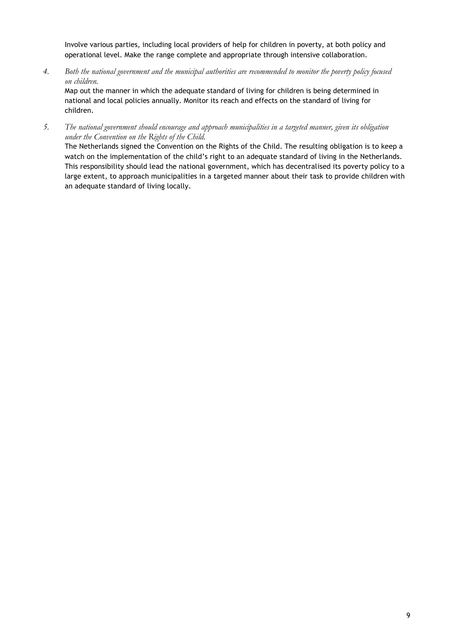Involve various parties, including local providers of help for children in poverty, at both policy and operational level. Make the range complete and appropriate through intensive collaboration.

*4. Both the national government and the municipal authorities are recommended to monitor the poverty policy focused on children.*

Map out the manner in which the adequate standard of living for children is being determined in national and local policies annually. Monitor its reach and effects on the standard of living for children.

*5. The national government should encourage and approach municipalities in a targeted manner, given its obligation under the Convention on the Rights of the Child.*

The Netherlands signed the Convention on the Rights of the Child. The resulting obligation is to keep a watch on the implementation of the child's right to an adequate standard of living in the Netherlands. This responsibility should lead the national government, which has decentralised its poverty policy to a large extent, to approach municipalities in a targeted manner about their task to provide children with an adequate standard of living locally.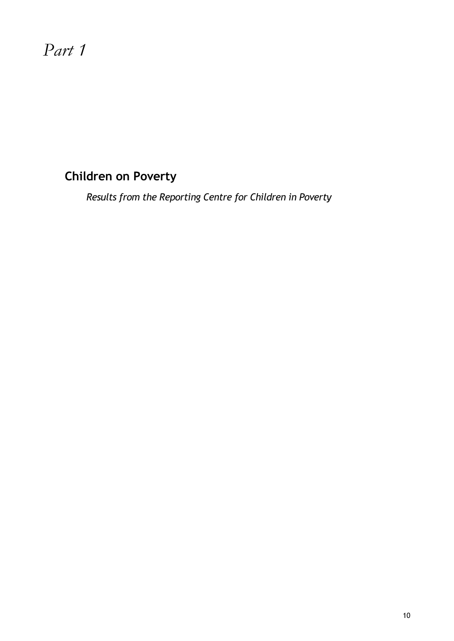# *Part 1*

# **Children on Poverty**

*Results from the Reporting Centre for Children in Poverty*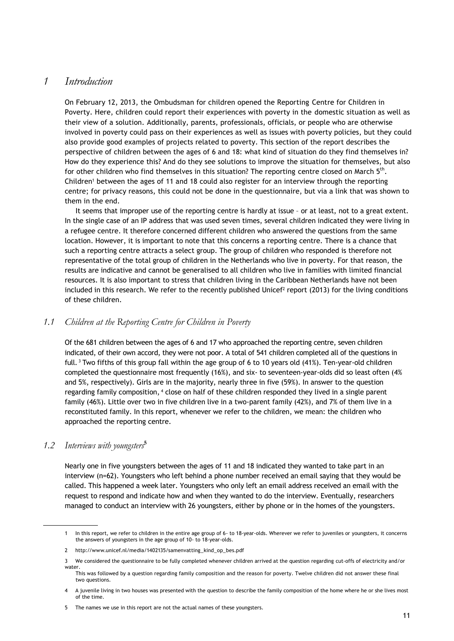# *1 Introduction*

On February 12, 2013, the Ombudsman for children opened the Reporting Centre for Children in Poverty. Here, children could report their experiences with poverty in the domestic situation as well as their view of a solution. Additionally, parents, professionals, officials, or people who are otherwise involved in poverty could pass on their experiences as well as issues with poverty policies, but they could also provide good examples of projects related to poverty. This section of the report describes the perspective of children between the ages of 6 and 18: what kind of situation do they find themselves in? How do they experience this? And do they see solutions to improve the situation for themselves, but also for other children who find themselves in this situation? The reporting centre closed on March  $5<sup>th</sup>$ . Children<sup>1</sup> between the ages of 11 and 18 could also register for an interview through the reporting centre; for privacy reasons, this could not be done in the questionnaire, but via a link that was shown to them in the end.

It seems that improper use of the reporting centre is hardly at issue – or at least, not to a great extent. In the single case of an IP address that was used seven times, several children indicated they were living in a refugee centre. It therefore concerned different children who answered the questions from the same location. However, it is important to note that this concerns a reporting centre. There is a chance that such a reporting centre attracts a select group. The group of children who responded is therefore not representative of the total group of children in the Netherlands who live in poverty. For that reason, the results are indicative and cannot be generalised to all children who live in families with limited financial resources. It is also important to stress that children living in the Caribbean Netherlands have not been included in this research. We refer to the recently published Unice $f<sup>2</sup>$  report (2013) for the living conditions of these children.

#### *1.1 Children at the Reporting Centre for Children in Poverty*

Of the 681 children between the ages of 6 and 17 who approached the reporting centre, seven children indicated, of their own accord, they were not poor. A total of 541 children completed all of the questions in full. <sup>3</sup> Two fifths of this group fall within the age group of 6 to 10 years old (41%). Ten-year-old children completed the questionnaire most frequently (16%), and six- to seventeen-year-olds did so least often (4% and 5%, respectively). Girls are in the majority, nearly three in five (59%). In answer to the question regarding family composition, <sup>4</sup> close on half of these children responded they lived in a single parent family (46%). Little over two in five children live in a two-parent family (42%), and 7% of them live in a reconstituted family. In this report, whenever we refer to the children, we mean: the children who approached the reporting centre.

#### *1.2 Interviews with youngsters***<sup>5</sup>**

Nearly one in five youngsters between the ages of 11 and 18 indicated they wanted to take part in an interview (n=62). Youngsters who left behind a phone number received an email saying that they would be called. This happened a week later. Youngsters who only left an email address received an email with the request to respond and indicate how and when they wanted to do the interview. Eventually, researchers managed to conduct an interview with 26 youngsters, either by phone or in the homes of the youngsters.

<sup>1</sup> In this report, we refer to children in the entire age group of 6- to 18-year-olds. Wherever we refer to juveniles or youngsters, it concerns the answers of youngsters in the age group of 10- to 18-year-olds.

<sup>2</sup> [http://www.unicef.nl/media/1402135/samenvatting\\_kind\\_op\\_bes.pdf](http://www.unicef.nl/media/1402135/samenvatting_kind_op_bes.pdf)

<sup>3</sup> We considered the questionnaire to be fully completed whenever children arrived at the question regarding cut-offs of electricity and/or water.

This was followed by a question regarding family composition and the reason for poverty. Twelve children did not answer these final two questions.

<sup>4</sup> A juvenile living in two houses was presented with the question to describe the family composition of the home where he or she lives most of the time.

<sup>5</sup> The names we use in this report are not the actual names of these youngsters.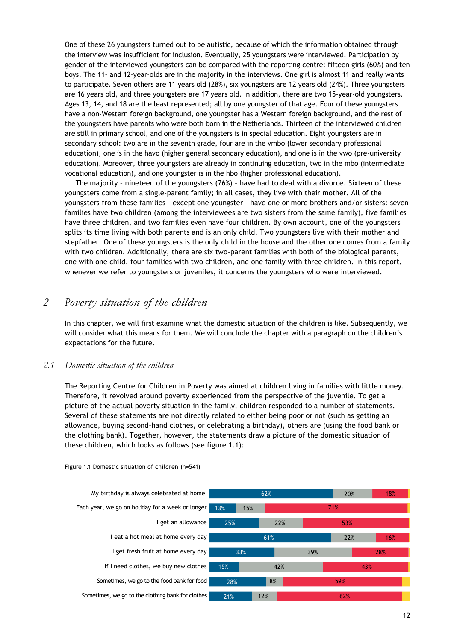One of these 26 youngsters turned out to be autistic, because of which the information obtained through the interview was insufficient for inclusion. Eventually, 25 youngsters were interviewed. Participation by gender of the interviewed youngsters can be compared with the reporting centre: fifteen girls (60%) and ten boys. The 11- and 12-year-olds are in the majority in the interviews. One girl is almost 11 and really wants to participate. Seven others are 11 years old (28%), six youngsters are 12 years old (24%). Three youngsters are 16 years old, and three youngsters are 17 years old. In addition, there are two 15-year-old youngsters. Ages 13, 14, and 18 are the least represented; all by one youngster of that age. Four of these youngsters have a non-Western foreign background, one youngster has a Western foreign background, and the rest of the youngsters have parents who were both born in the Netherlands. Thirteen of the interviewed children are still in primary school, and one of the youngsters is in special education. Eight youngsters are in secondary school: two are in the seventh grade, four are in the vmbo (lower secondary professional education), one is in the havo (higher general secondary education), and one is in the vwo (pre-university education). Moreover, three youngsters are already in continuing education, two in the mbo (intermediate vocational education), and one youngster is in the hbo (higher professional education).

The majority – nineteen of the youngsters (76%) – have had to deal with a divorce. Sixteen of these youngsters come from a single-parent family; in all cases, they live with their mother. All of the youngsters from these families – except one youngster – have one or more brothers and/or sisters: seven families have two children (among the interviewees are two sisters from the same family), five families have three children, and two families even have four children. By own account, one of the youngsters splits its time living with both parents and is an only child. Two youngsters live with their mother and stepfather. One of these youngsters is the only child in the house and the other one comes from a family with two children. Additionally, there are six two-parent families with both of the biological parents, one with one child, four families with two children, and one family with three children. In this report, whenever we refer to youngsters or juveniles, it concerns the youngsters who were interviewed.

# *2 Poverty situation of the children*

In this chapter, we will first examine what the domestic situation of the children is like. Subsequently, we will consider what this means for them. We will conclude the chapter with a paragraph on the children's expectations for the future.

#### *2.1 Domestic situation of the children*

The Reporting Centre for Children in Poverty was aimed at children living in families with little money. Therefore, it revolved around poverty experienced from the perspective of the juvenile. To get a picture of the actual poverty situation in the family, children responded to a number of statements. Several of these statements are not directly related to either being poor or not (such as getting an allowance, buying second-hand clothes, or celebrating a birthday), others are (using the food bank or the clothing bank). Together, however, the statements draw a picture of the domestic situation of these children, which looks as follows (see figure 1.1):



Figure 1.1 Domestic situation of children (n=541)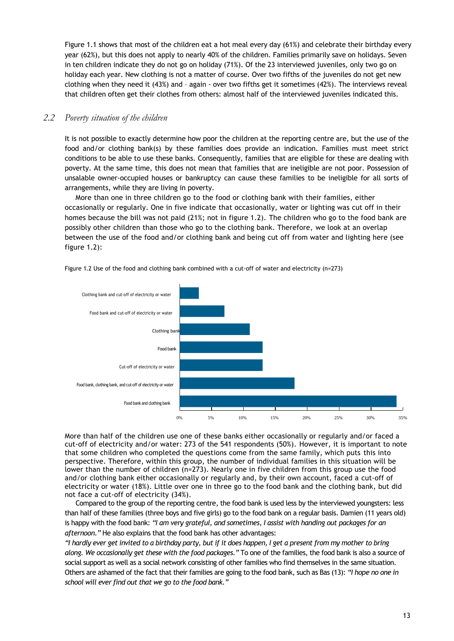Figure 1.1 shows that most of the children eat a hot meal every day (61%) and celebrate their birthday every year (62%), but this does not apply to nearly 40% of the children. Families primarily save on holidays. Seven in ten children indicate they do not go on holiday (71%). Of the 23 interviewed juveniles, only two go on holiday each year. New clothing is not a matter of course. Over two fifths of the juveniles do not get new clothing when they need it (43%) and – again - over two fifths get it sometimes (42%). The interviews reveal that children often get their clothes from others: almost half of the interviewed juveniles indicated this.

#### *2.2 Poverty situation of the children*

It is not possible to exactly determine how poor the children at the reporting centre are, but the use of the food and/or clothing bank(s) by these families does provide an indication. Families must meet strict conditions to be able to use these banks. Consequently, families that are eligible for these are dealing with poverty. At the same time, this does not mean that families that are ineligible are not poor. Possession of unsalable owner-occupied houses or bankruptcy can cause these families to be ineligible for all sorts of arrangements, while they are living in poverty.

More than one in three children go to the food or clothing bank with their families, either occasionally or regularly. One in five indicate that occasionally, water or lighting was cut off in their homes because the bill was not paid (21%; not in figure 1.2). The children who go to the food bank are possibly other children than those who go to the clothing bank. Therefore, we look at an overlap between the use of the food and/or clothing bank and being cut off from water and lighting here (see figure 1.2):



Figure 1.2 Use of the food and clothing bank combined with a cut-off of water and electricity (n=273)

More than half of the children use one of these banks either occasionally or regularly and/or faced a cut-off of electricity and/or water: 273 of the 541 respondents (50%). However, it is important to note that some children who completed the questions come from the same family, which puts this into perspective. Therefore, within this group, the number of individual families in this situation will be lower than the number of children (n=273). Nearly one in five children from this group use the food and/or clothing bank either occasionally or regularly and, by their own account, faced a cut-off of electricity or water (18%). Little over one in three go to the food bank and the clothing bank, but did not face a cut-off of electricity (34%).

Compared to the group of the reporting centre, the food bank is used less by the interviewed youngsters: less than half of these families (three boys and five girls) go to the food bank on a regular basis. Damien (11 years old) is happy with the food bank: *"I am very grateful, and sometimes, I assist with handing out packages for an afternoon."* He also explains that the food bank has other advantages:

*"I hardly ever get invited to a birthday party, but if it does happen, I get a present from my mother to bring along. We occasionally get these with the food packages."* To one of the families, the food bank is also a source of social support as well as a social network consisting of other families who find themselves in the same situation. Others are ashamed of the fact that their families are going to the food bank, such as Bas (13): *"I hope no one in school will ever find out that we go to the food bank."*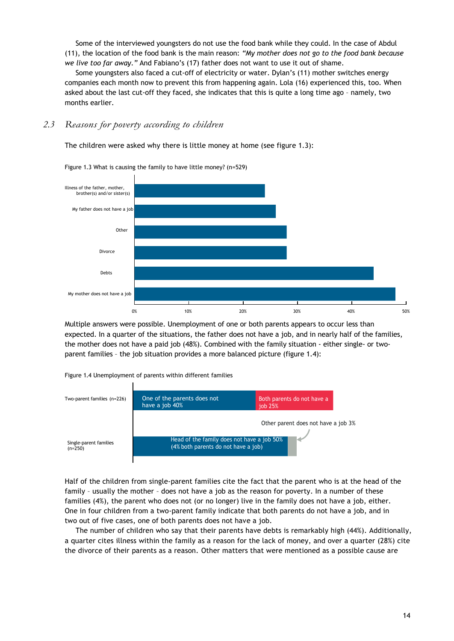Some of the interviewed youngsters do not use the food bank while they could. In the case of Abdul (11), the location of the food bank is the main reason: *"My mother does not go to the food bank because we live too far away."* And Fabiano's (17) father does not want to use it out of shame.

Some youngsters also faced a cut-off of electricity or water. Dylan's (11) mother switches energy companies each month now to prevent this from happening again. Lola (16) experienced this, too. When asked about the last cut-off they faced, she indicates that this is quite a long time ago – namely, two months earlier.

#### *2.3 Reasons for poverty according to children*

The children were asked why there is little money at home (see figure 1.3):



Figure 1.3 What is causing the family to have little money? (n=529)

Multiple answers were possible. Unemployment of one or both parents appears to occur less than expected. In a quarter of the situations, the father does not have a job, and in nearly half of the families, the mother does not have a paid job (48%). Combined with the family situation - either single- or twoparent families – the job situation provides a more balanced picture (figure 1.4):

Figure 1.4 Unemployment of parents within different families



Half of the children from single-parent families cite the fact that the parent who is at the head of the family – usually the mother – does not have a job as the reason for poverty. In a number of these families (4%), the parent who does not (or no longer) live in the family does not have a job, either. One in four children from a two-parent family indicate that both parents do not have a job, and in two out of five cases, one of both parents does not have a job.

The number of children who say that their parents have debts is remarkably high (44%). Additionally, a quarter cites illness within the family as a reason for the lack of money, and over a quarter (28%) cite the divorce of their parents as a reason. Other matters that were mentioned as a possible cause are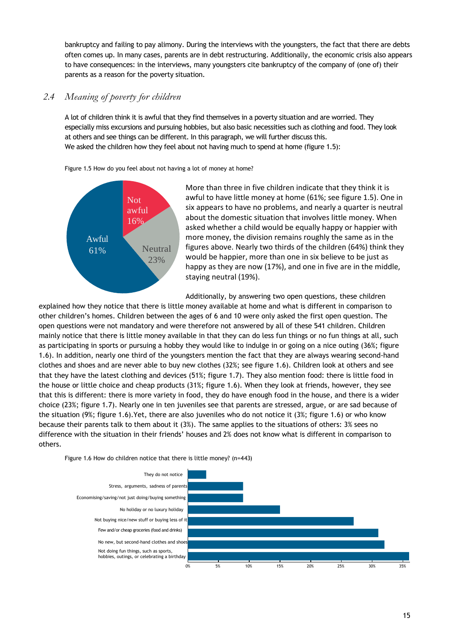bankruptcy and failing to pay alimony. During the interviews with the youngsters, the fact that there are debts often comes up. In many cases, parents are in debt restructuring. Additionally, the economic crisis also appears to have consequences: in the interviews, many youngsters cite bankruptcy of the company of (one of) their parents as a reason for the poverty situation.

# *2.4 Meaning of poverty for children*

A lot of children think it is awful that they find themselves in a poverty situation and are worried. They especially miss excursions and pursuing hobbies, but also basic necessities such as clothing and food. They look at others and see things can be different. In this paragraph, we will further discuss this. We asked the children how they feel about not having much to spend at home (figure 1.5):

Figure 1.5 How do you feel about not having a lot of money at home?



More than three in five children indicate that they think it is awful to have little money at home (61%; see figure 1.5). One in six appears to have no problems, and nearly a quarter is neutral about the domestic situation that involves little money. When asked whether a child would be equally happy or happier with more money, the division remains roughly the same as in the figures above. Nearly two thirds of the children (64%) think they would be happier, more than one in six believe to be just as happy as they are now (17%), and one in five are in the middle, staying neutral (19%).

Additionally, by answering two open questions, these children

explained how they notice that there is little money available at home and what is different in comparison to other children's homes. Children between the ages of 6 and 10 were only asked the first open question. The open questions were not mandatory and were therefore not answered by all of these 541 children. Children mainly notice that there is little money available in that they can do less fun things or no fun things at all, such as participating in sports or pursuing a hobby they would like to indulge in or going on a nice outing (36%; figure 1.6). In addition, nearly one third of the youngsters mention the fact that they are always wearing second-hand clothes and shoes and are never able to buy new clothes (32%; see figure 1.6). Children look at others and see that they have the latest clothing and devices (51%; figure 1.7). They also mention food: there is little food in the house or little choice and cheap products (31%; figure 1.6). When they look at friends, however, they see that this is different: there is more variety in food, they do have enough food in the house, and there is a wider choice (23%; figure 1.7). Nearly one in ten juveniles see that parents are stressed, argue, or are sad because of the situation (9%; figure 1.6).Yet, there are also juveniles who do not notice it (3%; figure 1.6) or who know because their parents talk to them about it (3%). The same applies to the situations of others: 3% sees no difference with the situation in their friends' houses and 2% does not know what is different in comparison to others.



Figure 1.6 How do children notice that there is little money? (n=443)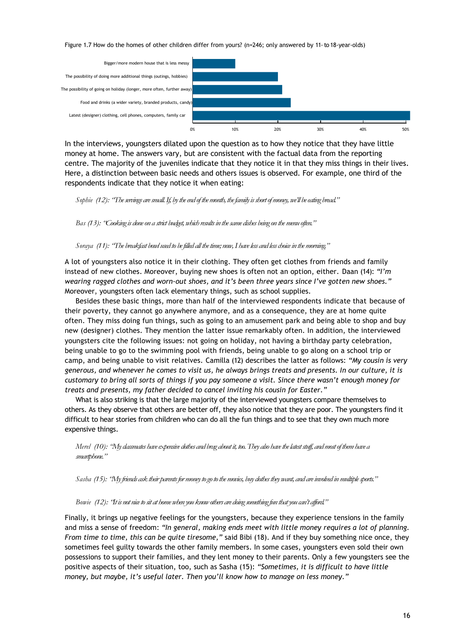Figure 1.7 How do the homes of other children differ from yours? (n=246; only answered by 11-to 18-year-olds)



In the interviews, youngsters dilated upon the question as to how they notice that they have little money at home. The answers vary, but are consistent with the factual data from the reporting centre. The majority of the juveniles indicate that they notice it in that they miss things in their lives. Here, a distinction between basic needs and others issues is observed. For example, one third of the respondents indicate that they notice it when eating:

*Sophie (12): "The servings are small. If, by the end of the month, the family is short of money, we'll be eating bread."*

*Bas (13): "Cooking is done on a strict budget, which results in the same dishes being on the menu often."*

#### *Soraya (11): "The breakfast bowl used to be filled all the time; now, I have less and less choice in the morning."*

A lot of youngsters also notice it in their clothing. They often get clothes from friends and family instead of new clothes. Moreover, buying new shoes is often not an option, either. Daan (14): *"I'm wearing ragged clothes and worn-out shoes, and it's been three years since I've gotten new shoes."* Moreover, youngsters often lack elementary things, such as school supplies.

Besides these basic things, more than half of the interviewed respondents indicate that because of their poverty, they cannot go anywhere anymore, and as a consequence, they are at home quite often. They miss doing fun things, such as going to an amusement park and being able to shop and buy new (designer) clothes. They mention the latter issue remarkably often. In addition, the interviewed youngsters cite the following issues: not going on holiday, not having a birthday party celebration, being unable to go to the swimming pool with friends, being unable to go along on a school trip or camp, and being unable to visit relatives. Camilla (12) describes the latter as follows: *"My cousin is very generous, and whenever he comes to visit us, he always brings treats and presents. In our culture, it is customary to bring all sorts of things if you pay someone a visit. Since there wasn't enough money for treats and presents, my father decided to cancel inviting his cousin for Easter."*

What is also striking is that the large majority of the interviewed youngsters compare themselves to others. As they observe that others are better off, they also notice that they are poor. The youngsters find it difficult to hear stories from children who can do all the fun things and to see that they own much more expensive things.

*Merel (10): "My classmates have expensive clothes and brag about it, too. They also have the latest stuff, and most of them have a smartphone."*

*Sasha (15): "My friends ask their parents for money to go to the movies, buy clothes they want, and are involved in multiple sports."*

*Bowie (12): "It is not nice to sit at home when you know others are doing something fun that you can't afford."*

Finally, it brings up negative feelings for the youngsters, because they experience tensions in the family and miss a sense of freedom: *"In general, making ends meet with little money requires a lot of planning. From time to time, this can be quite tiresome,"* said Bibi (18). And if they buy something nice once, they sometimes feel guilty towards the other family members. In some cases, youngsters even sold their own possessions to support their families, and they lent money to their parents. Only a few youngsters see the positive aspects of their situation, too, such as Sasha (15): *"Sometimes, it is difficult to have little money, but maybe, it's useful later. Then you'll know how to manage on less money."*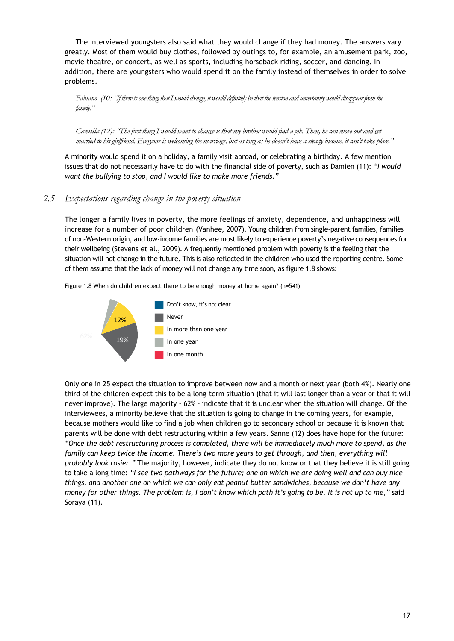The interviewed youngsters also said what they would change if they had money. The answers vary greatly. Most of them would buy clothes, followed by outings to, for example, an amusement park, zoo, movie theatre, or concert, as well as sports, including horseback riding, soccer, and dancing. In addition, there are youngsters who would spend it on the family instead of themselves in order to solve problems.

Fabiano (10: 'If there is one thing that I would change, it would definitely be that the tension and uncertainty would disappear from the *family."*

*Camilla (12): "The first thing I would want to change is that my brother would find a job. Then, he can move out and get married to his girlfriend. Everyone is welcoming the marriage, but as long as he doesn't have a steady income, it can't take place."*

A minority would spend it on a holiday, a family visit abroad, or celebrating a birthday. A few mention issues that do not necessarily have to do with the financial side of poverty, such as Damien (11): *"I would want the bullying to stop, and I would like to make more friends."*

#### *2.5 Expectations regarding change in the poverty situation*

The longer a family lives in poverty, the more feelings of anxiety, dependence, and unhappiness will increase for a number of poor children (Vanhee, 2007). Young children from single-parent families, families of non-Western origin, and low-income families are most likely to experience poverty's negative consequences for their wellbeing (Stevens et al., 2009). A frequently mentioned problem with poverty is the feeling that the situation will not change in the future. This is also reflected in the children who used the reporting centre. Some of them assume that the lack of money will not change any time soon, as figure 1.8 shows:

Figure 1.8 When do children expect there to be enough money at home again? (n=541)



Only one in 25 expect the situation to improve between now and a month or next year (both 4%). Nearly one third of the children expect this to be a long-term situation (that it will last longer than a year or that it will never improve). The large majority - 62% - indicate that it is unclear when the situation will change. Of the interviewees, a minority believe that the situation is going to change in the coming years, for example, because mothers would like to find a job when children go to secondary school or because it is known that parents will be done with debt restructuring within a few years. Sanne (12) does have hope for the future: *"Once the debt restructuring process is completed, there will be immediately much more to spend, as the family can keep twice the income. There's two more years to get through, and then, everything will probably look rosier."* The majority, however, indicate they do not know or that they believe it is still going to take a long time: *"I see two pathways for the future; one on which we are doing well and can buy nice things, and another one on which we can only eat peanut butter sandwiches, because we don't have any money for other things. The problem is, I don't know which path it's going to be. It is not up to me,"* said Soraya (11).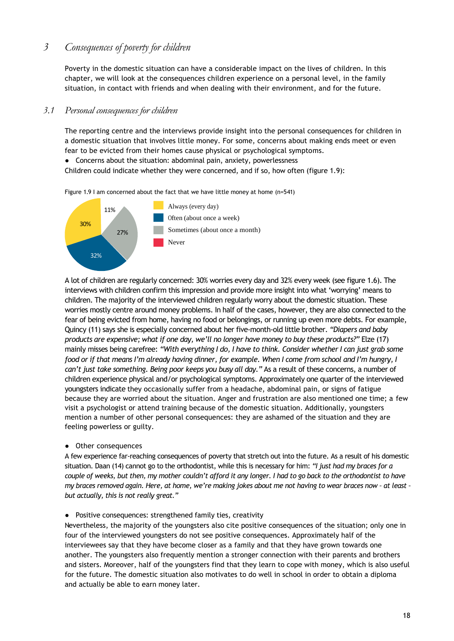# *3 Consequences of poverty for children*

Poverty in the domestic situation can have a considerable impact on the lives of children. In this chapter, we will look at the consequences children experience on a personal level, in the family situation, in contact with friends and when dealing with their environment, and for the future.

#### *3.1 Personal consequences for children*

The reporting centre and the interviews provide insight into the personal consequences for children in a domestic situation that involves little money. For some, concerns about making ends meet or even fear to be evicted from their homes cause physical or psychological symptoms.

● Concerns about the situation: abdominal pain, anxiety, powerlessness

Children could indicate whether they were concerned, and if so, how often (figure 1.9):

Figure 1.9 I am concerned about the fact that we have little money at home (n=541)



A lot of children are regularly concerned: 30% worries every day and 32% every week (see figure 1.6). The interviews with children confirm this impression and provide more insight into what 'worrying' means to children. The majority of the interviewed children regularly worry about the domestic situation. These worries mostly centre around money problems. In half of the cases, however, they are also connected to the fear of being evicted from home, having no food or belongings, or running up even more debts. For example, Quincy (11) says she is especially concerned about her five-month-old little brother. *"Diapers and baby products are expensive; what if one day, we'll no longer have money to buy these products?"* Elze (17) mainly misses being carefree: *"With everything I do, I have to think. Consider whether I can just grab some food or if that means I'm already having dinner, for example. When I come from school and I'm hungry, I can't just take something. Being poor keeps you busy all day."* As a result of these concerns, a number of children experience physical and/or psychological symptoms. Approximately one quarter of the interviewed youngsters indicate they occasionally suffer from a headache, abdominal pain, or signs of fatigue because they are worried about the situation. Anger and frustration are also mentioned one time; a few visit a psychologist or attend training because of the domestic situation. Additionally, youngsters mention a number of other personal consequences: they are ashamed of the situation and they are feeling powerless or guilty.

● Other consequences

A few experience far-reaching consequences of poverty that stretch out into the future. As a result of his domestic situation. Daan (14) cannot go to the orthodontist, while this is necessary for him: *"I just had my braces for a couple of weeks, but then, my mother couldn't afford it any longer. I had to go back to the orthodontist to have my braces removed again. Here, at home, we're making jokes about me not having to wear braces now – at least – but actually, this is not really great."*

● Positive consequences: strengthened family ties, creativity

Nevertheless, the majority of the youngsters also cite positive consequences of the situation; only one in four of the interviewed youngsters do not see positive consequences. Approximately half of the interviewees say that they have become closer as a family and that they have grown towards one another. The youngsters also frequently mention a stronger connection with their parents and brothers and sisters. Moreover, half of the youngsters find that they learn to cope with money, which is also useful for the future. The domestic situation also motivates to do well in school in order to obtain a diploma and actually be able to earn money later.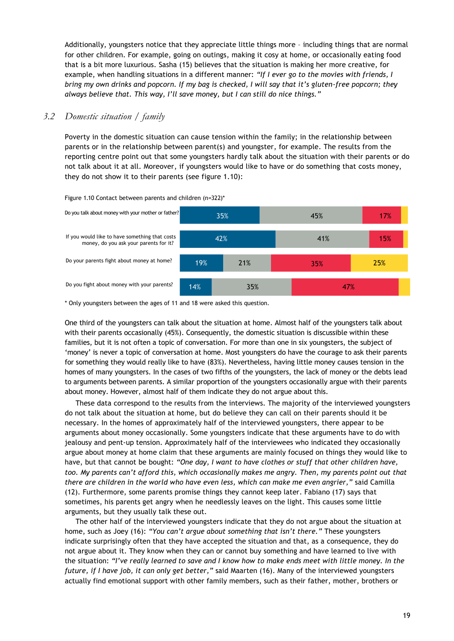Additionally, youngsters notice that they appreciate little things more – including things that are normal for other children. For example, going on outings, making it cosy at home, or occasionally eating food that is a bit more luxurious. Sasha (15) believes that the situation is making her more creative, for example, when handling situations in a different manner: *"If I ever go to the movies with friends, I bring my own drinks and popcorn. If my bag is checked, I will say that it's gluten-free popcorn; they always believe that. This way, I'll save money, but I can still do nice things."*

## *3.2 Domestic situation / family*

Poverty in the domestic situation can cause tension within the family; in the relationship between parents or in the relationship between parent(s) and youngster, for example. The results from the reporting centre point out that some youngsters hardly talk about the situation with their parents or do not talk about it at all. Moreover, if youngsters would like to have or do something that costs money, they do not show it to their parents (see figure 1.10):



Figure 1.10 Contact between parents and children (n=322)\*

\* Only youngsters between the ages of 11 and 18 were asked this question.

One third of the youngsters can talk about the situation at home. Almost half of the youngsters talk about with their parents occasionally (45%). Consequently, the domestic situation is discussible within these families, but it is not often a topic of conversation. For more than one in six youngsters, the subject of 'money' is never a topic of conversation at home. Most youngsters do have the courage to ask their parents for something they would really like to have (83%). Nevertheless, having little money causes tension in the homes of many youngsters. In the cases of two fifths of the youngsters, the lack of money or the debts lead to arguments between parents. A similar proportion of the youngsters occasionally argue with their parents about money. However, almost half of them indicate they do not argue about this.

These data correspond to the results from the interviews. The majority of the interviewed youngsters do not talk about the situation at home, but do believe they can call on their parents should it be necessary. In the homes of approximately half of the interviewed youngsters, there appear to be arguments about money occasionally. Some youngsters indicate that these arguments have to do with jealousy and pent-up tension. Approximately half of the interviewees who indicated they occasionally argue about money at home claim that these arguments are mainly focused on things they would like to have, but that cannot be bought: *"One day, I want to have clothes or stuff that other children have, too. My parents can't afford this, which occasionally makes me angry. Then, my parents point out that there are children in the world who have even less, which can make me even angrier,"* said Camilla (12). Furthermore, some parents promise things they cannot keep later. Fabiano (17) says that sometimes, his parents get angry when he needlessly leaves on the light. This causes some little arguments, but they usually talk these out.

The other half of the interviewed youngsters indicate that they do not argue about the situation at home, such as Joey (16): *"You can't argue about something that isn't there."* These youngsters indicate surprisingly often that they have accepted the situation and that, as a consequence, they do not argue about it. They know when they can or cannot buy something and have learned to live with the situation: *"I've really learned to save and I know how to make ends meet with little money. In the future, if I have job, it can only get better,"* said Maarten (16). Many of the interviewed youngsters actually find emotional support with other family members, such as their father, mother, brothers or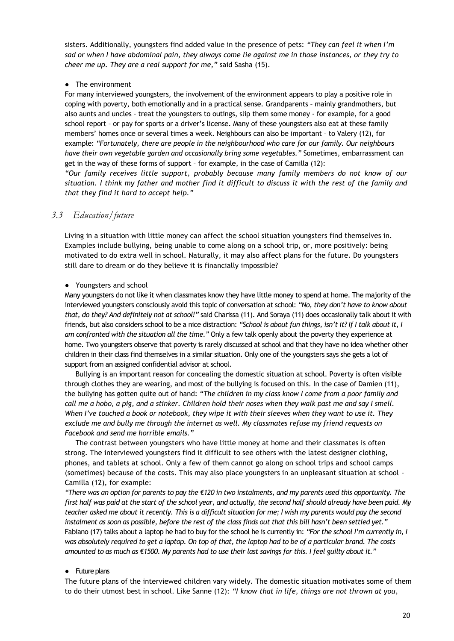sisters. Additionally, youngsters find added value in the presence of pets: *"They can feel it when I'm sad or when I have abdominal pain, they always come lie against me in those instances, or they try to cheer me up. They are a real support for me,"* said Sasha (15).

#### ● The environment

For many interviewed youngsters, the involvement of the environment appears to play a positive role in coping with poverty, both emotionally and in a practical sense. Grandparents – mainly grandmothers, but also aunts and uncles – treat the youngsters to outings, slip them some money - for example, for a good school report – or pay for sports or a driver's license. Many of these youngsters also eat at these family members' homes once or several times a week. Neighbours can also be important – to Valery (12), for example: *"Fortunately, there are people in the neighbourhood who care for our family. Our neighbours have their own vegetable garden and occasionally bring some vegetables."* Sometimes, embarrassment can get in the way of these forms of support – for example, in the case of Camilla (12):

*"Our family receives little support, probably because many family members do not know of our situation. I think my father and mother find it difficult to discuss it with the rest of the family and that they find it hard to accept help."*

#### *3.3 Education/future*

Living in a situation with little money can affect the school situation youngsters find themselves in. Examples include bullying, being unable to come along on a school trip, or, more positively: being motivated to do extra well in school. Naturally, it may also affect plans for the future. Do youngsters still dare to dream or do they believe it is financially impossible?

#### ● Youngsters and school

Many youngsters do not like it when classmates know they have little money to spend at home. The majority of the interviewed youngsters consciously avoid this topic of conversation at school: *"No, they don't have to know about that, do they? And definitely not at school!"* said Charissa (11). And Soraya (11) does occasionally talk about it with friends, but also considers school to be a nice distraction: *"School is about fun things, isn't it? If I talk about it, I am confronted with the situation all the time."* Only a few talk openly about the poverty they experience at home. Two youngsters observe that poverty is rarely discussed at school and that they have no idea whether other children in their class find themselves in a similar situation. Only one of the youngsters says she gets a lot of support from an assigned confidential advisor at school.

Bullying is an important reason for concealing the domestic situation at school. Poverty is often visible through clothes they are wearing, and most of the bullying is focused on this. In the case of Damien (11), the bullying has gotten quite out of hand: *"The children in my class know I come from a poor family and call me a hobo, a pig, and a stinker. Children hold their noses when they walk past me and say I smell. When I've touched a book or notebook, they wipe it with their sleeves when they want to use it. They exclude me and bully me through the internet as well. My classmates refuse my friend requests on Facebook and send me horrible emails."*

The contrast between youngsters who have little money at home and their classmates is often strong. The interviewed youngsters find it difficult to see others with the latest designer clothing, phones, and tablets at school. Only a few of them cannot go along on school trips and school camps (sometimes) because of the costs. This may also place youngsters in an unpleasant situation at school – Camilla (12), for example:

*"There was an option for parents to pay the €120 in two instalments, and my parents used this opportunity. The first half was paid at the start of the school year, and actually, the second half should already have been paid. My*  teacher asked me about it recently. This is a difficult situation for me; I wish my parents would pay the second *instalment as soon as possible, before the rest of the class finds out that this bill hasn't been settled yet."* Fabiano (17) talks about a laptop he had to buy for the school he is currently in: *"For the school I'm currently in, I was absolutely required to get a laptop. On top of that, the laptop had to be of a particular brand. The costs amounted to as much as €1500. My parents had to use their last savings for this. I feel guilty about it."*

#### ● Future plans

The future plans of the interviewed children vary widely. The domestic situation motivates some of them to do their utmost best in school. Like Sanne (12): *"I know that in life, things are not thrown at you,*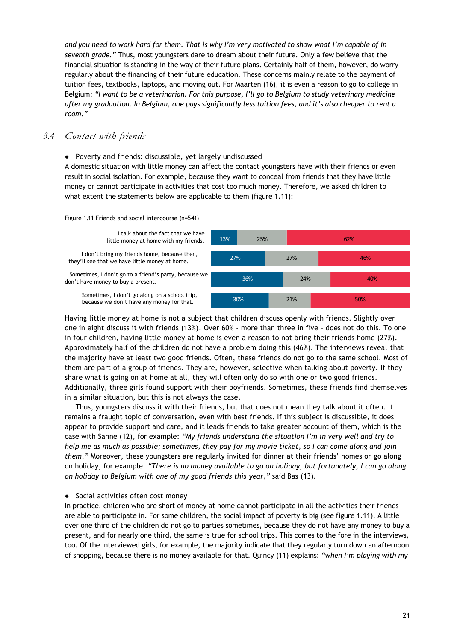*and you need to work hard for them. That is why I'm very motivated to show what I'm capable of in seventh grade."* Thus, most youngsters dare to dream about their future. Only a few believe that the financial situation is standing in the way of their future plans. Certainly half of them, however, do worry regularly about the financing of their future education. These concerns mainly relate to the payment of tuition fees, textbooks, laptops, and moving out. For Maarten (16), it is even a reason to go to college in Belgium: *"I want to be a veterinarian. For this purpose, I'll go to Belgium to study veterinary medicine after my graduation. In Belgium, one pays significantly less tuition fees, and it's also cheaper to rent a room."*

#### *3.4 Contact with friends*

● Poverty and friends: discussible, yet largely undiscussed

A domestic situation with little money can affect the contact youngsters have with their friends or even result in social isolation. For example, because they want to conceal from friends that they have little money or cannot participate in activities that cost too much money. Therefore, we asked children to what extent the statements below are applicable to them (figure 1.11):

Figure 1.11 Friends and social intercourse (n=541)

I talk about the fact that we have

I don't bring my friends home, because then,

Sometimes, I don't go to a friend's party, because we don't have money to buy a present.

Sometimes, I don't go along on a school trip,



Having little money at home is not a subject that children discuss openly with friends. Slightly over one in eight discuss it with friends (13%). Over 60% - more than three in five – does not do this. To one in four children, having little money at home is even a reason to not bring their friends home (27%). Approximately half of the children do not have a problem doing this (46%). The interviews reveal that the majority have at least two good friends. Often, these friends do not go to the same school. Most of them are part of a group of friends. They are, however, selective when talking about poverty. If they share what is going on at home at all, they will often only do so with one or two good friends. Additionally, three girls found support with their boyfriends. Sometimes, these friends find themselves in a similar situation, but this is not always the case.

Thus, youngsters discuss it with their friends, but that does not mean they talk about it often. It remains a fraught topic of conversation, even with best friends. If this subject is discussible, it does appear to provide support and care, and it leads friends to take greater account of them, which is the case with Sanne (12), for example: *"My friends understand the situation I'm in very well and try to help me as much as possible; sometimes, they pay for my movie ticket, so I can come along and join them."* Moreover, these youngsters are regularly invited for dinner at their friends' homes or go along on holiday, for example: *"There is no money available to go on holiday, but fortunately, I can go along on holiday to Belgium with one of my good friends this year,"* said Bas (13).

#### ● Social activities often cost money

In practice, children who are short of money at home cannot participate in all the activities their friends are able to participate in. For some children, the social impact of poverty is big (see figure 1.11). A little over one third of the children do not go to parties sometimes, because they do not have any money to buy a present, and for nearly one third, the same is true for school trips. This comes to the fore in the interviews, too. Of the interviewed girls, for example, the majority indicate that they regularly turn down an afternoon of shopping, because there is no money available for that. Quincy (11) explains: *"when I'm playing with my*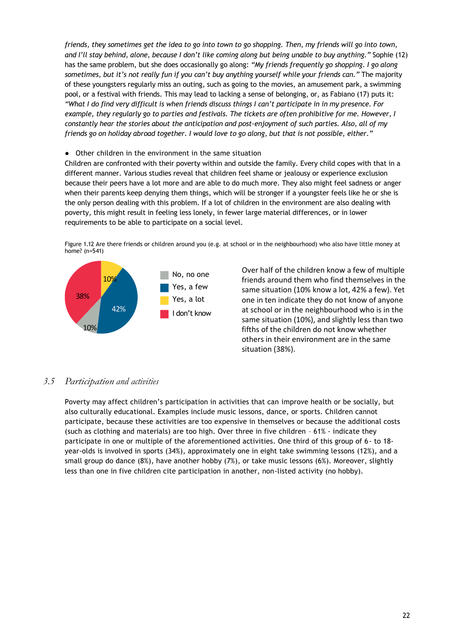*friends, they sometimes get the idea to go into town to go shopping. Then, my friends will go into town, and I'll stay behind, alone, because I don't like coming along but being unable to buy anything."* Sophie (12) has the same problem, but she does occasionally go along: *"My friends frequently go shopping. I go along sometimes, but it's not really fun if you can't buy anything yourself while your friends can."* The majority of these youngsters regularly miss an outing, such as going to the movies, an amusement park, a swimming pool, or a festival with friends. This may lead to lacking a sense of belonging, or, as Fabiano (17) puts it: *"What I do find very difficult is when friends discuss things I can't participate in in my presence. For example, they regularly go to parties and festivals. The tickets are often prohibitive for me. However, I constantly hear the stories about the anticipation and post-enjoyment of such parties. Also, all of my friends go on holiday abroad together. I would love to go along, but that is not possible, either."*

#### ● Other children in the environment in the same situation

Children are confronted with their poverty within and outside the family. Every child copes with that in a different manner. Various studies reveal that children feel shame or jealousy or experience exclusion because their peers have a lot more and are able to do much more. They also might feel sadness or anger when their parents keep denying them things, which will be stronger if a youngster feels like he or she is the only person dealing with this problem. If a lot of children in the environment are also dealing with poverty, this might result in feeling less lonely, in fewer large material differences, or in lower requirements to be able to participate on a social level.

Figure 1.12 Are there friends or children around you (e.g. at school or in the neighbourhood) who also have little money at home? (n=541)



Over half of the children know a few of multiple friends around them who find themselves in the same situation (10% know a lot, 42% a few). Yet one in ten indicate they do not know of anyone at school or in the neighbourhood who is in the same situation (10%), and slightly less than two fifths of the children do not know whether others in their environment are in the same situation (38%).

#### *3.5 Participation and activities*

Poverty may affect children's participation in activities that can improve health or be socially, but also culturally educational. Examples include music lessons, dance, or sports. Children cannot participate, because these activities are too expensive in themselves or because the additional costs (such as clothing and materials) are too high. Over three in five children – 61% - indicate they participate in one or multiple of the aforementioned activities. One third of this group of 6- to 18 year-olds is involved in sports (34%), approximately one in eight take swimming lessons (12%), and a small group do dance (8%), have another hobby (7%), or take music lessons (6%). Moreover, slightly less than one in five children cite participation in another, non-listed activity (no hobby).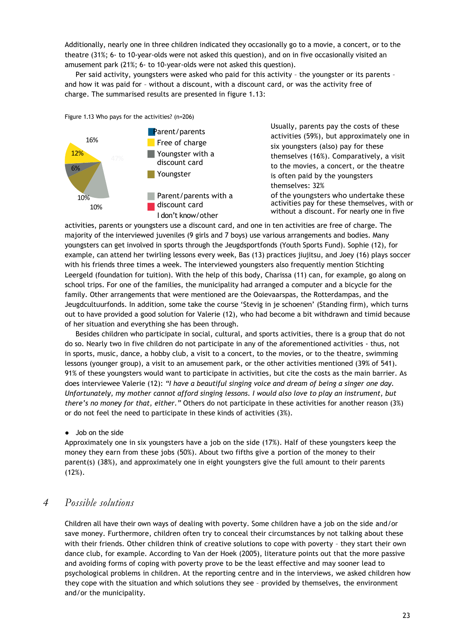Additionally, nearly one in three children indicated they occasionally go to a movie, a concert, or to the theatre (31%; 6- to 10-year-olds were not asked this question), and on in five occasionally visited an amusement park (21%; 6- to 10-year-olds were not asked this question).

Per said activity, youngsters were asked who paid for this activity – the youngster or its parents – and how it was paid for – without a discount, with a discount card, or was the activity free of charge. The summarised results are presented in figure 1.13:

Figure 1.13 Who pays for the activities? (n=206)



Usually, parents pay the costs of these activities (59%), but approximately one in six youngsters (also) pay for these themselves (16%). Comparatively, a visit to the movies, a concert, or the theatre is often paid by the youngsters themselves: 32% of the youngsters who undertake these activities pay for these themselves, with or without a discount. For nearly one in five

activities, parents or youngsters use a discount card, and one in ten activities are free of charge. The majority of the interviewed juveniles (9 girls and 7 boys) use various arrangements and bodies. Many youngsters can get involved in sports through the Jeugdsportfonds (Youth Sports Fund). Sophie (12), for example, can attend her twirling lessons every week, Bas (13) practices jiujitsu, and Joey (16) plays soccer with his friends three times a week. The interviewed youngsters also frequently mention Stichting Leergeld (foundation for tuition). With the help of this body, Charissa (11) can, for example, go along on school trips. For one of the families, the municipality had arranged a computer and a bicycle for the family. Other arrangements that were mentioned are the Ooievaarspas, the Rotterdampas, and the Jeugdcultuurfonds. In addition, some take the course 'Stevig in je schoenen' (Standing firm), which turns out to have provided a good solution for Valerie (12), who had become a bit withdrawn and timid because of her situation and everything she has been through.

Besides children who participate in social, cultural, and sports activities, there is a group that do not do so. Nearly two in five children do not participate in any of the aforementioned activities - thus, not in sports, music, dance, a hobby club, a visit to a concert, to the movies, or to the theatre, swimming lessons (younger group), a visit to an amusement park, or the other activities mentioned (39% of 541). 91% of these youngsters would want to participate in activities, but cite the costs as the main barrier. As does interviewee Valerie (12): *"I have a beautiful singing voice and dream of being a singer one day. Unfortunately, my mother cannot afford singing lessons. I would also love to play an instrument, but there's no money for that, either."* Others do not participate in these activities for another reason (3%) or do not feel the need to participate in these kinds of activities (3%).

#### ● Job on the side

Approximately one in six youngsters have a job on the side (17%). Half of these youngsters keep the money they earn from these jobs (50%). About two fifths give a portion of the money to their parent(s) (38%), and approximately one in eight youngsters give the full amount to their parents (12%).

# *4 Possible solutions*

Children all have their own ways of dealing with poverty. Some children have a job on the side and/or save money. Furthermore, children often try to conceal their circumstances by not talking about these with their friends. Other children think of creative solutions to cope with poverty – they start their own dance club, for example. According to Van der Hoek (2005), literature points out that the more passive and avoiding forms of coping with poverty prove to be the least effective and may sooner lead to psychological problems in children. At the reporting centre and in the interviews, we asked children how they cope with the situation and which solutions they see – provided by themselves, the environment and/or the municipality.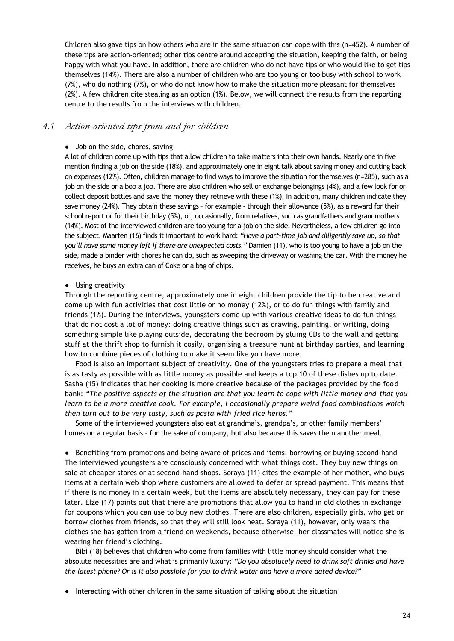Children also gave tips on how others who are in the same situation can cope with this (n=452). A number of these tips are action-oriented; other tips centre around accepting the situation, keeping the faith, or being happy with what you have. In addition, there are children who do not have tips or who would like to get tips themselves (14%). There are also a number of children who are too young or too busy with school to work (7%), who do nothing (7%), or who do not know how to make the situation more pleasant for themselves (2%). A few children cite stealing as an option (1%). Below, we will connect the results from the reporting centre to the results from the interviews with children.

#### *4.1 Action-oriented tips from and for children*

#### • Job on the side, chores, saving

A lot of children come up with tips that allow children to take matters into their own hands. Nearly one in five mention finding a job on the side (18%), and approximately one in eight talk about saving money and cutting back on expenses (12%). Often, children manage to find ways to improve the situation for themselves (n=285), such as a job on the side or a bob a job. There are also children who sell or exchange belongings (4%), and a few look for or collect deposit bottles and save the money they retrieve with these (1%). In addition, many children indicate they save money (24%). They obtain these savings - for example - through their allowance (5%), as a reward for their school report or for their birthday (5%), or, occasionally, from relatives, such as grandfathers and grandmothers (14%). Most of the interviewed children are too young for a job on the side. Nevertheless, a few children go into the subject. Maarten (16) finds it important to work hard: *"Have a part-time job and diligently save up, so that you'll have some money left if there are unexpected costs."* Damien (11), who is too young to have a job on the side, made a binder with chores he can do, such as sweeping the driveway or washing the car. With the money he receives, he buys an extra can of Coke or a bag of chips.

#### ● Using creativity

Through the reporting centre, approximately one in eight children provide the tip to be creative and come up with fun activities that cost little or no money (12%), or to do fun things with family and friends (1%). During the interviews, youngsters come up with various creative ideas to do fun things that do not cost a lot of money: doing creative things such as drawing, painting, or writing, doing something simple like playing outside, decorating the bedroom by gluing CDs to the wall and getting stuff at the thrift shop to furnish it cosily, organising a treasure hunt at birthday parties, and learning how to combine pieces of clothing to make it seem like you have more.

Food is also an important subject of creativity. One of the youngsters tries to prepare a meal that is as tasty as possible with as little money as possible and keeps a top 10 of these dishes up to date. Sasha (15) indicates that her cooking is more creative because of the packages provided by the food bank: "The positive aspects of the situation are that you learn to cope with little money and that you *learn to be a more creative cook. For example, I occasionally prepare weird food combinations which then turn out to be very tasty, such as pasta with fried rice herbs."*

Some of the interviewed youngsters also eat at grandma's, grandpa's, or other family members' homes on a regular basis – for the sake of company, but also because this saves them another meal.

● Benefiting from promotions and being aware of prices and items: borrowing or buying second-hand The interviewed youngsters are consciously concerned with what things cost. They buy new things on sale at cheaper stores or at second-hand shops. Soraya (11) cites the example of her mother, who buys items at a certain web shop where customers are allowed to defer or spread payment. This means that if there is no money in a certain week, but the items are absolutely necessary, they can pay for these later. Elze (17) points out that there are promotions that allow you to hand in old clothes in exchange for coupons which you can use to buy new clothes. There are also children, especially girls, who get or borrow clothes from friends, so that they will still look neat. Soraya (11), however, only wears the clothes she has gotten from a friend on weekends, because otherwise, her classmates will notice she is wearing her friend's clothing.

Bibi (18) believes that children who come from families with little money should consider what the absolute necessities are and what is primarily luxury: *"Do you absolutely need to drink soft drinks and have the latest phone? Or is it also possible for you to drink water and have a more dated device?"*

● Interacting with other children in the same situation of talking about the situation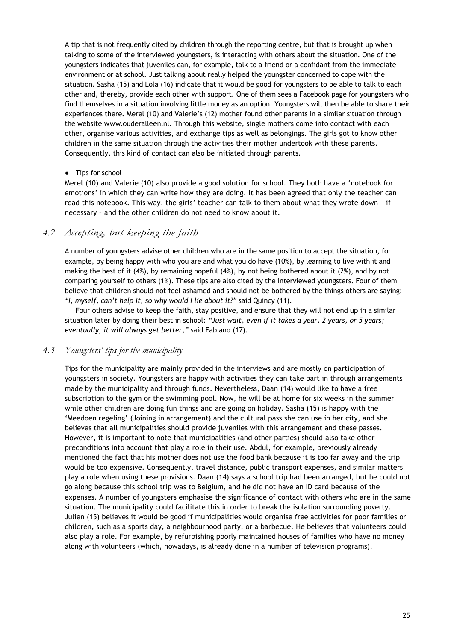A tip that is not frequently cited by children through the reporting centre, but that is brought up when talking to some of the interviewed youngsters, is interacting with others about the situation. One of the youngsters indicates that juveniles can, for example, talk to a friend or a confidant from the immediate environment or at school. Just talking about really helped the youngster concerned to cope with the situation. Sasha (15) and Lola (16) indicate that it would be good for youngsters to be able to talk to each other and, thereby, provide each other with support. One of them sees a Facebook page for youngsters who find themselves in a situation involving little money as an option. Youngsters will then be able to share their experiences there. Merel (10) and Valerie's (12) mother found other parents in a similar situation through the website [www.ouderalleen.nl.](http://www.ouderalleen.nl/) Through this website, single mothers come into contact with each other, organise various activities, and exchange tips as well as belongings. The girls got to know other children in the same situation through the activities their mother undertook with these parents. Consequently, this kind of contact can also be initiated through parents.

#### ● Tips for school

Merel (10) and Valerie (10) also provide a good solution for school. They both have a 'notebook for emotions' in which they can write how they are doing. It has been agreed that only the teacher can read this notebook. This way, the girls' teacher can talk to them about what they wrote down – if necessary – and the other children do not need to know about it.

#### *4.2 Accepting, but keeping the faith*

A number of youngsters advise other children who are in the same position to accept the situation, for example, by being happy with who you are and what you do have (10%), by learning to live with it and making the best of it (4%), by remaining hopeful (4%), by not being bothered about it (2%), and by not comparing yourself to others (1%). These tips are also cited by the interviewed youngsters. Four of them believe that children should not feel ashamed and should not be bothered by the things others are saying: *"I, myself, can't help it, so why would I lie about it?"* said Quincy (11).

Four others advise to keep the faith, stay positive, and ensure that they will not end up in a similar situation later by doing their best in school: *"Just wait, even if it takes a year, 2 years, or 5 years; eventually, it will always get better,"* said Fabiano (17).

#### *4.3 Youngsters' tips for the municipality*

Tips for the municipality are mainly provided in the interviews and are mostly on participation of youngsters in society. Youngsters are happy with activities they can take part in through arrangements made by the municipality and through funds. Nevertheless, Daan (14) would like to have a free subscription to the gym or the swimming pool. Now, he will be at home for six weeks in the summer while other children are doing fun things and are going on holiday. Sasha (15) is happy with the 'Meedoen regeling' (Joining in arrangement) and the cultural pass she can use in her city, and she believes that all municipalities should provide juveniles with this arrangement and these passes. However, it is important to note that municipalities (and other parties) should also take other preconditions into account that play a role in their use. Abdul, for example, previously already mentioned the fact that his mother does not use the food bank because it is too far away and the trip would be too expensive. Consequently, travel distance, public transport expenses, and similar matters play a role when using these provisions. Daan (14) says a school trip had been arranged, but he could not go along because this school trip was to Belgium, and he did not have an ID card because of the expenses. A number of youngsters emphasise the significance of contact with others who are in the same situation. The municipality could facilitate this in order to break the isolation surrounding poverty. Julien (15) believes it would be good if municipalities would organise free activities for poor families or children, such as a sports day, a neighbourhood party, or a barbecue. He believes that volunteers could also play a role. For example, by refurbishing poorly maintained houses of families who have no money along with volunteers (which, nowadays, is already done in a number of television programs).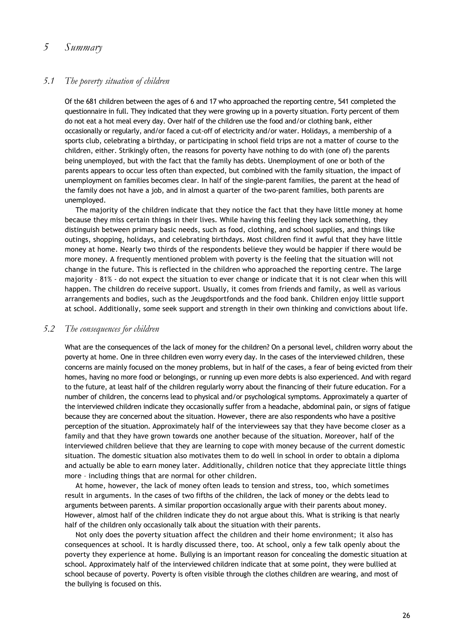# *5 Summary*

# *5.1 The poverty situation of children*

Of the 681 children between the ages of 6 and 17 who approached the reporting centre, 541 completed the questionnaire in full. They indicated that they were growing up in a poverty situation. Forty percent of them do not eat a hot meal every day. Over half of the children use the food and/or clothing bank, either occasionally or regularly, and/or faced a cut-off of electricity and/or water. Holidays, a membership of a sports club, celebrating a birthday, or participating in school field trips are not a matter of course to the children, either. Strikingly often, the reasons for poverty have nothing to do with (one of) the parents being unemployed, but with the fact that the family has debts. Unemployment of one or both of the parents appears to occur less often than expected, but combined with the family situation, the impact of unemployment on families becomes clear. In half of the single-parent families, the parent at the head of the family does not have a job, and in almost a quarter of the two-parent families, both parents are unemployed.

The majority of the children indicate that they notice the fact that they have little money at home because they miss certain things in their lives. While having this feeling they lack something, they distinguish between primary basic needs, such as food, clothing, and school supplies, and things like outings, shopping, holidays, and celebrating birthdays. Most children find it awful that they have little money at home. Nearly two thirds of the respondents believe they would be happier if there would be more money. A frequently mentioned problem with poverty is the feeling that the situation will not change in the future. This is reflected in the children who approached the reporting centre. The large majority – 81% - do not expect the situation to ever change or indicate that it is not clear when this will happen. The children do receive support. Usually, it comes from friends and family, as well as various arrangements and bodies, such as the Jeugdsportfonds and the food bank. Children enjoy little support at school. Additionally, some seek support and strength in their own thinking and convictions about life.

#### *5.2 The consequences for children*

What are the consequences of the lack of money for the children? On a personal level, children worry about the poverty at home. One in three children even worry every day. In the cases of the interviewed children, these concerns are mainly focused on the money problems, but in half of the cases, a fear of being evicted from their homes, having no more food or belongings, or running up even more debts is also experienced. And with regard to the future, at least half of the children regularly worry about the financing of their future education. For a number of children, the concerns lead to physical and/or psychological symptoms. Approximately a quarter of the interviewed children indicate they occasionally suffer from a headache, abdominal pain, or signs of fatigue because they are concerned about the situation. However, there are also respondents who have a positive perception of the situation. Approximately half of the interviewees say that they have become closer as a family and that they have grown towards one another because of the situation. Moreover, half of the interviewed children believe that they are learning to cope with money because of the current domestic situation. The domestic situation also motivates them to do well in school in order to obtain a diploma and actually be able to earn money later. Additionally, children notice that they appreciate little things more – including things that are normal for other children.

At home, however, the lack of money often leads to tension and stress, too, which sometimes result in arguments. In the cases of two fifths of the children, the lack of money or the debts lead to arguments between parents. A similar proportion occasionally argue with their parents about money. However, almost half of the children indicate they do not argue about this. What is striking is that nearly half of the children only occasionally talk about the situation with their parents.

Not only does the poverty situation affect the children and their home environment; it also has consequences at school. It is hardly discussed there, too. At school, only a few talk openly about the poverty they experience at home. Bullying is an important reason for concealing the domestic situation at school. Approximately half of the interviewed children indicate that at some point, they were bullied at school because of poverty. Poverty is often visible through the clothes children are wearing, and most of the bullying is focused on this.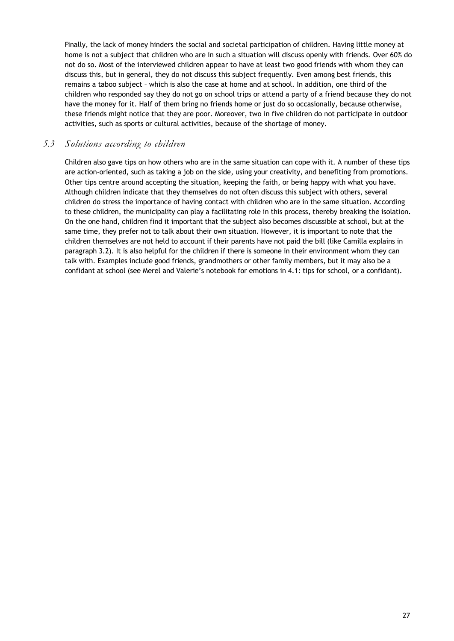Finally, the lack of money hinders the social and societal participation of children. Having little money at home is not a subject that children who are in such a situation will discuss openly with friends. Over 60% do not do so. Most of the interviewed children appear to have at least two good friends with whom they can discuss this, but in general, they do not discuss this subject frequently. Even among best friends, this remains a taboo subject – which is also the case at home and at school. In addition, one third of the children who responded say they do not go on school trips or attend a party of a friend because they do not have the money for it. Half of them bring no friends home or just do so occasionally, because otherwise, these friends might notice that they are poor. Moreover, two in five children do not participate in outdoor activities, such as sports or cultural activities, because of the shortage of money.

# *5.3 Solutions according to children*

Children also gave tips on how others who are in the same situation can cope with it. A number of these tips are action-oriented, such as taking a job on the side, using your creativity, and benefiting from promotions. Other tips centre around accepting the situation, keeping the faith, or being happy with what you have. Although children indicate that they themselves do not often discuss this subject with others, several children do stress the importance of having contact with children who are in the same situation. According to these children, the municipality can play a facilitating role in this process, thereby breaking the isolation. On the one hand, children find it important that the subject also becomes discussible at school, but at the same time, they prefer not to talk about their own situation. However, it is important to note that the children themselves are not held to account if their parents have not paid the bill (like Camilla explains in paragraph 3.2). It is also helpful for the children if there is someone in their environment whom they can talk with. Examples include good friends, grandmothers or other family members, but it may also be a confidant at school (see Merel and Valerie's notebook for emotions in 4.1: tips for school, or a confidant).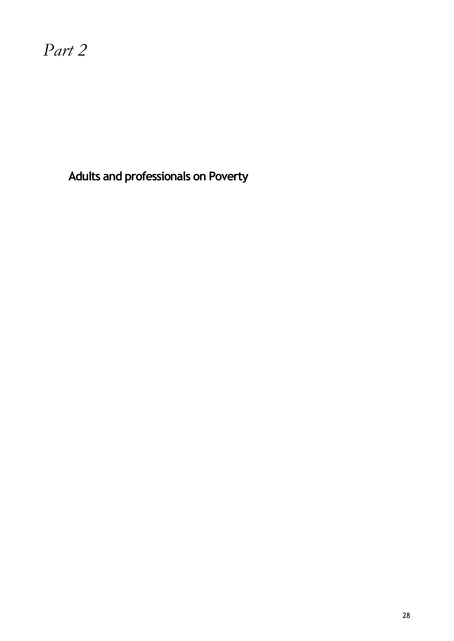*Part 2*

**Adults and professionals on Poverty**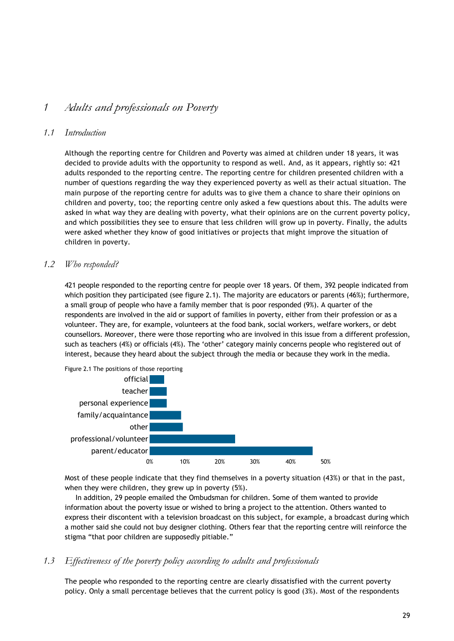# *1 Adults and professionals on Poverty*

#### *1.1 Introduction*

Although the reporting centre for Children and Poverty was aimed at children under 18 years, it was decided to provide adults with the opportunity to respond as well. And, as it appears, rightly so: 421 adults responded to the reporting centre. The reporting centre for children presented children with a number of questions regarding the way they experienced poverty as well as their actual situation. The main purpose of the reporting centre for adults was to give them a chance to share their opinions on children and poverty, too; the reporting centre only asked a few questions about this. The adults were asked in what way they are dealing with poverty, what their opinions are on the current poverty policy, and which possibilities they see to ensure that less children will grow up in poverty. Finally, the adults were asked whether they know of good initiatives or projects that might improve the situation of children in poverty.

#### *1.2 Who responded?*

421 people responded to the reporting centre for people over 18 years. Of them, 392 people indicated from which position they participated (see figure 2.1). The majority are educators or parents (46%); furthermore, a small group of people who have a family member that is poor responded (9%). A quarter of the respondents are involved in the aid or support of families in poverty, either from their profession or as a volunteer. They are, for example, volunteers at the food bank, social workers, welfare workers, or debt counsellors. Moreover, there were those reporting who are involved in this issue from a different profession, such as teachers (4%) or officials (4%). The 'other' category mainly concerns people who registered out of interest, because they heard about the subject through the media or because they work in the media.



Most of these people indicate that they find themselves in a poverty situation (43%) or that in the past, when they were children, they grew up in poverty (5%).

In addition, 29 people emailed the Ombudsman for children. Some of them wanted to provide information about the poverty issue or wished to bring a project to the attention. Others wanted to express their discontent with a television broadcast on this subject, for example, a broadcast during which a mother said she could not buy designer clothing. Others fear that the reporting centre will reinforce the stigma "that poor children are supposedly pitiable."

#### *1.3 Effectiveness of the poverty policy according to adults and professionals*

The people who responded to the reporting centre are clearly dissatisfied with the current poverty policy. Only a small percentage believes that the current policy is good (3%). Most of the respondents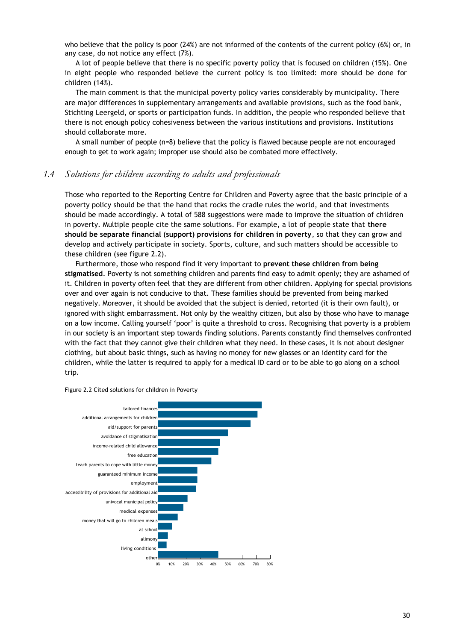who believe that the policy is poor (24%) are not informed of the contents of the current policy (6%) or, in any case, do not notice any effect (7%).

A lot of people believe that there is no specific poverty policy that is focused on children (15%). One in eight people who responded believe the current policy is too limited: more should be done for children (14%).

The main comment is that the municipal poverty policy varies considerably by municipality. There are major differences in supplementary arrangements and available provisions, such as the food bank, Stichting Leergeld, or sports or participation funds. In addition, the people who responded believe that there is not enough policy cohesiveness between the various institutions and provisions. Institutions should collaborate more.

A small number of people (n=8) believe that the policy is flawed because people are not encouraged enough to get to work again; improper use should also be combated more effectively.

#### *1.4 Solutions for children according to adults and professionals*

Those who reported to the Reporting Centre for Children and Poverty agree that the basic principle of a poverty policy should be that the hand that rocks the cradle rules the world, and that investments should be made accordingly. A total of 588 suggestions were made to improve the situation of children in poverty. Multiple people cite the same solutions. For example, a lot of people state that **there should be separate financial (support) provisions for children in poverty**, so that they can grow and develop and actively participate in society. Sports, culture, and such matters should be accessible to these children (see figure 2.2).

Furthermore, those who respond find it very important to **prevent these children from being stigmatised**. Poverty is not something children and parents find easy to admit openly; they are ashamed of it. Children in poverty often feel that they are different from other children. Applying for special provisions over and over again is not conducive to that. These families should be prevented from being marked negatively. Moreover, it should be avoided that the subject is denied, retorted (it is their own fault), or ignored with slight embarrassment. Not only by the wealthy citizen, but also by those who have to manage on a low income. Calling yourself 'poor' is quite a threshold to cross. Recognising that poverty is a problem in our society is an important step towards finding solutions. Parents constantly find themselves confronted with the fact that they cannot give their children what they need. In these cases, it is not about designer clothing, but about basic things, such as having no money for new glasses or an identity card for the children, while the latter is required to apply for a medical ID card or to be able to go along on a school trip.



Figure 2.2 Cited solutions for children in Poverty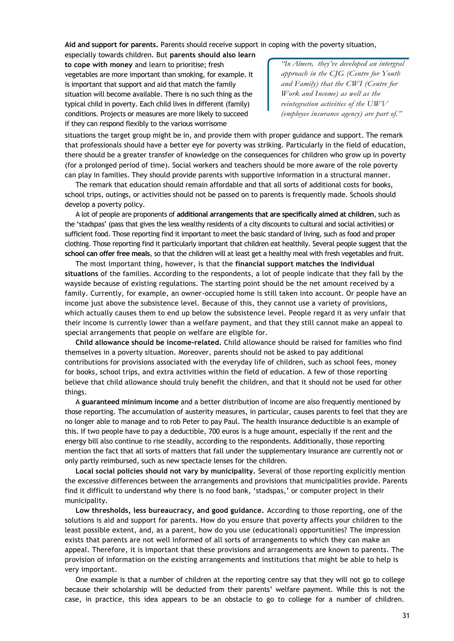**Aid and support for parents.** Parents should receive support in coping with the poverty situation,

especially towards children. But **parents should also learn to cope with money** and learn to prioritise; fresh vegetables are more important than smoking, for example. It is important that support and aid that match the family situation will become available. There is no such thing as the typical child in poverty. Each child lives in different (family) conditions. Projects or measures are more likely to succeed if they can respond flexibly to the various worrisome

*''In Almere, they've developed an intergral approach in the CJG (Centre for Youth and Family) that the CWI (Centre for Work and Income) as well as the reintegration activities of the UWV (employee insurance agency) are part of."*

situations the target group might be in, and provide them with proper guidance and support. The remark that professionals should have a better eye for poverty was striking. Particularly in the field of education, there should be a greater transfer of knowledge on the consequences for children who grow up in poverty (for a prolonged period of time). Social workers and teachers should be more aware of the role poverty can play in families. They should provide parents with supportive information in a structural manner.

The remark that education should remain affordable and that all sorts of additional costs for books, school trips, outings, or activities should not be passed on to parents is frequently made. Schools should develop a poverty policy.

A lot of people are proponents of **additional arrangements that are specifically aimed at children**, such as the 'stadspas' (pass that gives the less wealthy residents of a city discounts to cultural and social activities) or sufficient food. Those reporting find it important to meet the basic standard of living, such as food and proper clothing. Those reporting find it particularly important that children eat healthily. Several people suggest that the **school can offer free meals**, so that the children will at least get a healthy meal with fresh vegetables and fruit.

The most important thing, however, is that the **financial support matches the individual situations** of the families. According to the respondents, a lot of people indicate that they fall by the wayside because of existing regulations. The starting point should be the net amount received by a family. Currently, for example, an owner-occupied home is still taken into account. Or people have an income just above the subsistence level. Because of this, they cannot use a variety of provisions, which actually causes them to end up below the subsistence level. People regard it as very unfair that their income is currently lower than a welfare payment, and that they still cannot make an appeal to special arrangements that people on welfare are eligible for.

**Child allowance should be income-related.** Child allowance should be raised for families who find themselves in a poverty situation. Moreover, parents should not be asked to pay additional contributions for provisions associated with the everyday life of children, such as school fees, money for books, school trips, and extra activities within the field of education. A few of those reporting believe that child allowance should truly benefit the children, and that it should not be used for other things.

A **guaranteed minimum income** and a better distribution of income are also frequently mentioned by those reporting. The accumulation of austerity measures, in particular, causes parents to feel that they are no longer able to manage and to rob Peter to pay Paul. The health insurance deductible is an example of this. If two people have to pay a deductible, 700 euros is a huge amount, especially if the rent and the energy bill also continue to rise steadily, according to the respondents. Additionally, those reporting mention the fact that all sorts of matters that fall under the supplementary insurance are currently not or only partly reimbursed, such as new spectacle lenses for the children.

**Local social policies should not vary by municipality.** Several of those reporting explicitly mention the excessive differences between the arrangements and provisions that municipalities provide. Parents find it difficult to understand why there is no food bank, 'stadspas,' or computer project in their municipality.

**Low thresholds, less bureaucracy, and good guidance.** According to those reporting, one of the solutions is aid and support for parents. How do you ensure that poverty affects your children to the least possible extent, and, as a parent, how do you use (educational) opportunities? The impression exists that parents are not well informed of all sorts of arrangements to which they can make an appeal. Therefore, it is important that these provisions and arrangements are known to parents. The provision of information on the existing arrangements and institutions that might be able to help is very important.

One example is that a number of children at the reporting centre say that they will not go to college because their scholarship will be deducted from their parents' welfare payment. While this is not the case, in practice, this idea appears to be an obstacle to go to college for a number of children.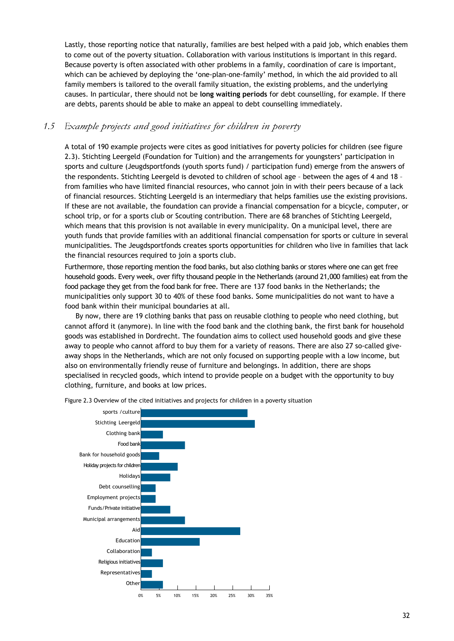Lastly, those reporting notice that naturally, families are best helped with a paid job, which enables them to come out of the poverty situation. Collaboration with various institutions is important in this regard. Because poverty is often associated with other problems in a family, coordination of care is important, which can be achieved by deploying the 'one-plan-one-family' method, in which the aid provided to all family members is tailored to the overall family situation, the existing problems, and the underlying causes. In particular, there should not be **long waiting periods** for debt counselling, for example. If there are debts, parents should be able to make an appeal to debt counselling immediately.

#### *1.5 Example projects and good initiatives for children in poverty*

A total of 190 example projects were cites as good initiatives for poverty policies for children (see figure 2.3). Stichting Leergeld (Foundation for Tuition) and the arrangements for youngsters' participation in sports and culture (Jeugdsportfonds (youth sports fund) / participation fund) emerge from the answers of the respondents. Stichting Leergeld is devoted to children of school age – between the ages of 4 and 18 – from families who have limited financial resources, who cannot join in with their peers because of a lack of financial resources. Stichting Leergeld is an intermediary that helps families use the existing provisions. If these are not available, the foundation can provide a financial compensation for a bicycle, computer, or school trip, or for a sports club or Scouting contribution. There are 68 branches of Stichting Leergeld, which means that this provision is not available in every municipality. On a municipal level, there are youth funds that provide families with an additional financial compensation for sports or culture in several municipalities. The Jeugdsportfonds creates sports opportunities for children who live in families that lack the financial resources required to join a sports club.

Furthermore, those reporting mention the food banks, but also clothing banks or stores where one can get free household goods. Every week, over fifty thousand people in the Netherlands (around 21,000 families) eat from the food package they get from the food bank for free. There are 137 food banks in the Netherlands; the municipalities only support 30 to 40% of these food banks. Some municipalities do not want to have a food bank within their municipal boundaries at all.

By now, there are 19 clothing banks that pass on reusable clothing to people who need clothing, but cannot afford it (anymore). In line with the food bank and the clothing bank, the first bank for household goods was established in Dordrecht. The foundation aims to collect used household goods and give these away to people who cannot afford to buy them for a variety of reasons. There are also 27 so-called giveaway shops in the Netherlands, which are not only focused on supporting people with a low income, but also on environmentally friendly reuse of furniture and belongings. In addition, there are shops specialised in recycled goods, which intend to provide people on a budget with the opportunity to buy clothing, furniture, and books at low prices.



Figure 2.3 Overview of the cited initiatives and projects for children in a poverty situation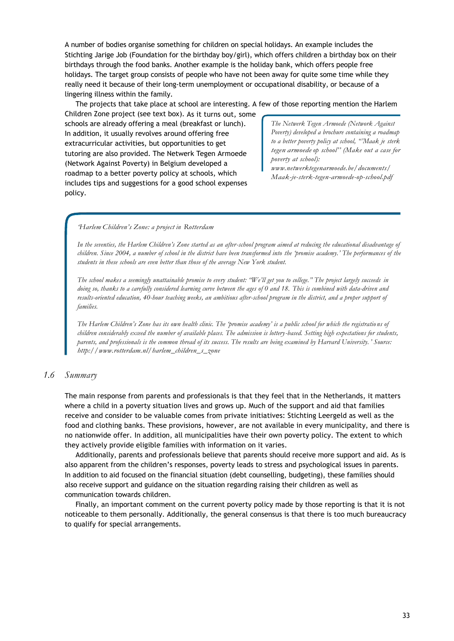A number of bodies organise something for children on special holidays. An example includes the Stichting Jarige Job (Foundation for the birthday boy/girl), which offers children a birthday box on their birthdays through the food banks. Another example is the holiday bank, which offers people free holidays. The target group consists of people who have not been away for quite some time while they really need it because of their long-term unemployment or occupational disability, or because of a lingering illness within the family.

The projects that take place at school are interesting. A few of those reporting mention the Harlem

Children Zone project (see text box). As it turns out, some schools are already offering a meal (breakfast or lunch). In addition, it usually revolves around offering free extracurricular activities, but opportunities to get tutoring are also provided. The Netwerk Tegen Armoede (Network Against Poverty) in Belgium developed a roadmap to a better poverty policy at schools, which includes tips and suggestions for a good school expenses policy.

*The Netwerk Tegen Armoede (Network Against Poverty) developed a brochure containing a roadmap to a better poverty policy at school, "'Maak je sterk tegen armoede op school'' (Make out a case for poverty at school):* 

*[www.netwerktegenarmoede.be/documents/](http://www.netwerktegenarmoede.be/documents/) Maak-je-sterk-tegen-armoede-op-school.pdf*

#### *'Harlem Children's Zone: a project in Rotterdam*

*In the seventies, the Harlem Children's Zone started as an after-school program aimed at reducing the educational disadvantage of children. Since 2004, a number of school in the district have been transformed into the 'promise academy.' The performances of the students in these schools are even better than those of the average New York student.*

*The school makes a seemingly unattainable promise to every student: "We'll get you to college." The project largely succeeds in doing so, thanks to a carefully considered learning curve between the ages of 0 and 18. This is combined with data-driven and results-oriented education, 40-hour teaching weeks, an ambitious after-school program in the district, and a proper support of families.*

*The Harlem Children's Zone has its own health clinic. The 'promise academy' is a public school for which the registratio ns of children considerably exceed the number of available places. The admission is lottery-based. Setting high expectations for students, parents, and professionals is the common thread of its success. The results are being examined by Harvard University. ' Source: [http://www.rotterdam.nl/harlem\\_children\\_s\\_zone](http://www.rotterdam.nl/harlem_children_s_zone)*

#### *1.6 Summary*

The main response from parents and professionals is that they feel that in the Netherlands, it matters where a child in a poverty situation lives and grows up. Much of the support and aid that families receive and consider to be valuable comes from private initiatives: Stichting Leergeld as well as the food and clothing banks. These provisions, however, are not available in every municipality, and there is no nationwide offer. In addition, all municipalities have their own poverty policy. The extent to which they actively provide eligible families with information on it varies.

Additionally, parents and professionals believe that parents should receive more support and aid. As is also apparent from the children's responses, poverty leads to stress and psychological issues in parents. In addition to aid focused on the financial situation (debt counselling, budgeting), these families should also receive support and guidance on the situation regarding raising their children as well as communication towards children.

Finally, an important comment on the current poverty policy made by those reporting is that it is not noticeable to them personally. Additionally, the general consensus is that there is too much bureaucracy to qualify for special arrangements.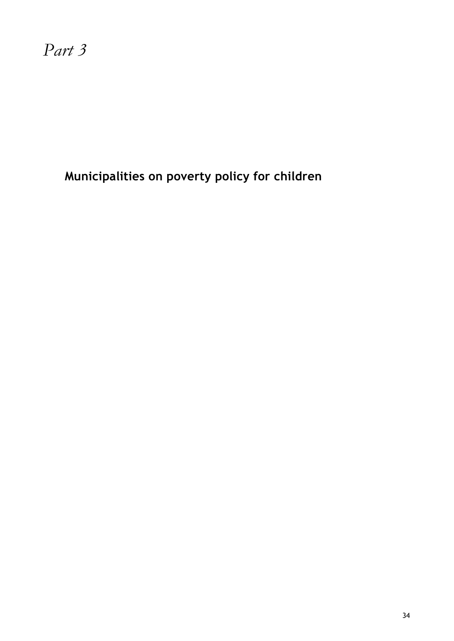*Part 3*

**Municipalities on poverty policy for children**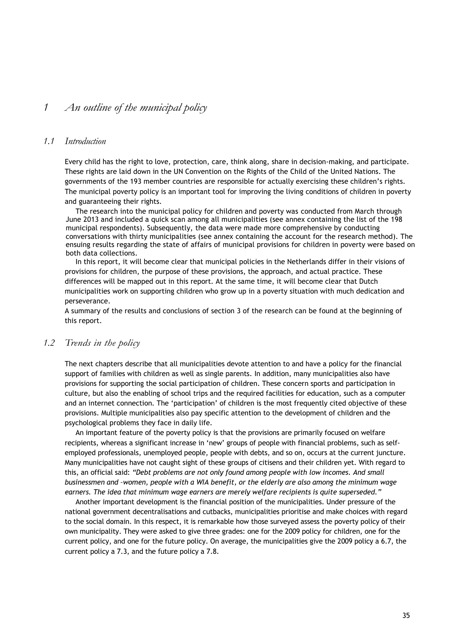# *1 An outline of the municipal policy*

#### *1.1 Introduction*

Every child has the right to love, protection, care, think along, share in decision-making, and participate. These rights are laid down in the UN Convention on the Rights of the Child of the United Nations. The governments of the 193 member countries are responsible for actually exercising these children's rights. The municipal poverty policy is an important tool for improving the living conditions of children in poverty and guaranteeing their rights.

The research into the municipal policy for children and poverty was conducted from March through June 2013 and included a quick scan among all municipalities (see annex containing the list of the 198 municipal respondents). Subsequently, the data were made more comprehensive by conducting conversations with thirty municipalities (see annex containing the account for the research method). The ensuing results regarding the state of affairs of municipal provisions for children in poverty were based on both data collections.

In this report, it will become clear that municipal policies in the Netherlands differ in their visions of provisions for children, the purpose of these provisions, the approach, and actual practice. These differences will be mapped out in this report. At the same time, it will become clear that Dutch municipalities work on supporting children who grow up in a poverty situation with much dedication and perseverance.

A summary of the results and conclusions of section 3 of the research can be found at the beginning of this report.

#### *1.2 Trends in the policy*

The next chapters describe that all municipalities devote attention to and have a policy for the financial support of families with children as well as single parents. In addition, many municipalities also have provisions for supporting the social participation of children. These concern sports and participation in culture, but also the enabling of school trips and the required facilities for education, such as a computer and an internet connection. The 'participation' of children is the most frequently cited objective of these provisions. Multiple municipalities also pay specific attention to the development of children and the psychological problems they face in daily life.

An important feature of the poverty policy is that the provisions are primarily focused on welfare recipients, whereas a significant increase in 'new' groups of people with financial problems, such as selfemployed professionals, unemployed people, people with debts, and so on, occurs at the current juncture. Many municipalities have not caught sight of these groups of citisens and their children yet. With regard to this, an official said: *"Debt problems are not only found among people with low incomes. And small businessmen and –women, people with a WIA benefit, or the elderly are also among the minimum wage earners. The idea that minimum wage earners are merely welfare recipients is quite superseded."*

Another important development is the financial position of the municipalities. Under pressure of the national government decentralisations and cutbacks, municipalities prioritise and make choices with regard to the social domain. In this respect, it is remarkable how those surveyed assess the poverty policy of their own municipality. They were asked to give three grades: one for the 2009 policy for children, one for the current policy, and one for the future policy. On average, the municipalities give the 2009 policy a 6.7, the current policy a 7.3, and the future policy a 7.8.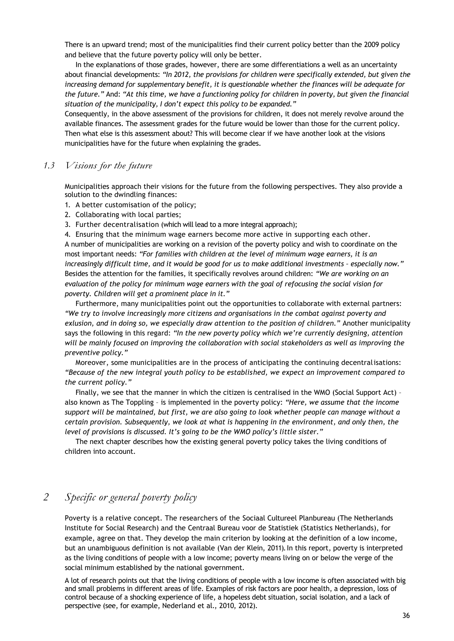There is an upward trend; most of the municipalities find their current policy better than the 2009 policy and believe that the future poverty policy will only be better.

In the explanations of those grades, however, there are some differentiations a well as an uncertainty about financial developments: *"In 2012, the provisions for children were specifically extended, but given the increasing demand for supplementary benefit, it is questionable whether the finances will be adequate for the future."* And: *"At this time, we have a functioning policy for children in poverty, but given the financial situation of the municipality, I don't expect this policy to be expanded."*

Consequently, in the above assessment of the provisions for children, it does not merely revolve around the available finances. The assessment grades for the future would be lower than those for the current policy. Then what else is this assessment about? This will become clear if we have another look at the visions municipalities have for the future when explaining the grades.

#### *1.3 Visions for the future*

Municipalities approach their visions for the future from the following perspectives. They also provide a solution to the dwindling finances:

1. A better customisation of the policy;

- 2. Collaborating with local parties;
- 3. Further decentralisation (which will lead to a more integral approach);

4. Ensuring that the minimum wage earners become more active in supporting each other. A number of municipalities are working on a revision of the poverty policy and wish to coordinate on the most important needs: *"For families with children at the level of minimum wage earners, it is an increasingly difficult time, and it would be good for us to make additional investments - especially now."* Besides the attention for the families, it specifically revolves around children: *"We are working on an evaluation of the policy for minimum wage earners with the goal of refocusing the social vision for poverty. Children will get a prominent place in it."*

Furthermore, many municipalities point out the opportunities to collaborate with external partners: *"We try to involve increasingly more citizens and organisations in the combat against poverty and exlusion, and in doing so, we especially draw attention to the position of children."* Another municipality says the following in this regard: *"In the new poverty policy which we're currently designing, attention will be mainly focused on improving the collaboration with social stakeholders as well as improving the preventive policy."*

Moreover, some municipalities are in the process of anticipating the continuing decentralisations: *"Because of the new integral youth policy to be established, we expect an improvement compared to the current policy."*

Finally, we see that the manner in which the citizen is centralised in the WMO (Social Support Act) – also known as The Toppling – is implemented in the poverty policy: *"Here, we assume that the income support will be maintained, but first, we are also going to look whether people can manage without a certain provision. Subsequently, we look at what is happening in the environment, and only then, the level of provisions is discussed. It's going to be the WMO policy's little sister."*

The next chapter describes how the existing general poverty policy takes the living conditions of children into account.

# *2 Specific or general poverty policy*

Poverty is a relative concept. The researchers of the Sociaal Cultureel Planbureau (The Netherlands Institute for Social Research) and the Centraal Bureau voor de Statistiek (Statistics Netherlands), for example, agree on that. They develop the main criterion by looking at the definition of a low income, but an unambiguous definition is not available (Van der Klein, 2011). In this report, poverty is interpreted as the living conditions of people with a low income; poverty means living on or below the verge of the social minimum established by the national government.

A lot of research points out that the living conditions of people with a low income is often associated with big and small problems in different areas of life. Examples of risk factors are poor health, a depression, loss of control because of a shocking experience of life, a hopeless debt situation, social isolation, and a lack of perspective (see, for example, Nederland et al., 2010, 2012).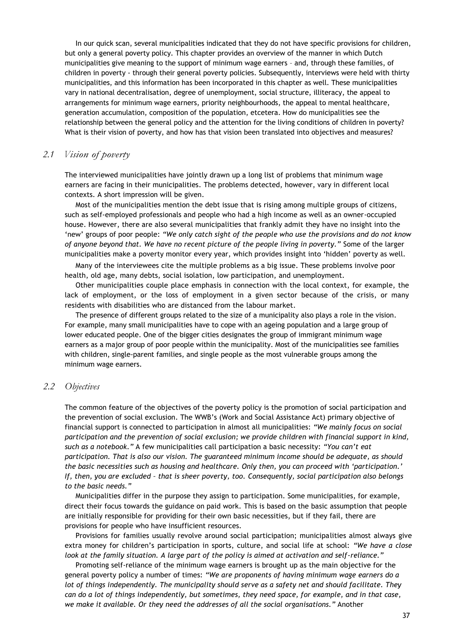In our quick scan, several municipalities indicated that they do not have specific provisions for children, but only a general poverty policy. This chapter provides an overview of the manner in which Dutch municipalities give meaning to the support of minimum wage earners – and, through these families, of children in poverty - through their general poverty policies. Subsequently, interviews were held with thirty municipalities, and this information has been incorporated in this chapter as well. These municipalities vary in national decentralisation, degree of unemployment, social structure, illiteracy, the appeal to arrangements for minimum wage earners, priority neighbourhoods, the appeal to mental healthcare, generation accumulation, composition of the population, etcetera. How do municipalities see the relationship between the general policy and the attention for the living conditions of children in poverty? What is their vision of poverty, and how has that vision been translated into objectives and measures?

# *2.1 Vision of poverty*

The interviewed municipalities have jointly drawn up a long list of problems that minimum wage earners are facing in their municipalities. The problems detected, however, vary in different local contexts. A short impression will be given.

Most of the municipalities mention the debt issue that is rising among multiple groups of citizens, such as self-employed professionals and people who had a high income as well as an owner-occupied house. However, there are also several municipalities that frankly admit they have no insight into the 'new' groups of poor people: *"We only catch sight of the people who use the provisions and do not know of anyone beyond that. We have no recent picture of the people living in poverty."* Some of the larger municipalities make a poverty monitor every year, which provides insight into 'hidden' poverty as well.

Many of the interviewees cite the multiple problems as a big issue. These problems involve poor health, old age, many debts, social isolation, low participation, and unemployment.

Other municipalities couple place emphasis in connection with the local context, for example, the lack of employment, or the loss of employment in a given sector because of the crisis, or many residents with disabilities who are distanced from the labour market.

The presence of different groups related to the size of a municipality also plays a role in the vision. For example, many small municipalities have to cope with an ageing population and a large group of lower educated people. One of the bigger cities designates the group of immigrant minimum wage earners as a major group of poor people within the municipality. Most of the municipalities see families with children, single-parent families, and single people as the most vulnerable groups among the minimum wage earners.

#### *2.2 Objectives*

The common feature of the objectives of the poverty policy is the promotion of social participation and the prevention of social exclusion. The WWB's (Work and Social Assistance Act) primary objective of financial support is connected to participation in almost all municipalities: *"We mainly focus on social participation and the prevention of social exclusion; we provide children with financial support in kind, such as a notebook."* A few municipalities call participation a basic necessity: *"You can't eat participation. That is also our vision. The guaranteed minimum income should be adequate, as should the basic necessities such as housing and healthcare. Only then, you can proceed with 'participation.' If, then, you are excluded – that is sheer poverty, too. Consequently, social participation also belongs to the basic needs."*

Municipalities differ in the purpose they assign to participation. Some municipalities, for example, direct their focus towards the guidance on paid work. This is based on the basic assumption that people are initially responsible for providing for their own basic necessities, but if they fail, there are provisions for people who have insufficient resources.

Provisions for families usually revolve around social participation; municipalities almost always give extra money for children's participation in sports, culture, and social life at school: *"We have a close look at the family situation. A large part of the policy is aimed at activation and self-reliance."*

Promoting self-reliance of the minimum wage earners is brought up as the main objective for the general poverty policy a number of times: *"We are proponents of having minimum wage earners do a lot of things independently. The municipality should serve as a safety net and should facilitate. They can do a lot of things independently, but sometimes, they need space, for example, and in that case, we make it available. Or they need the addresses of all the social organisations."* Another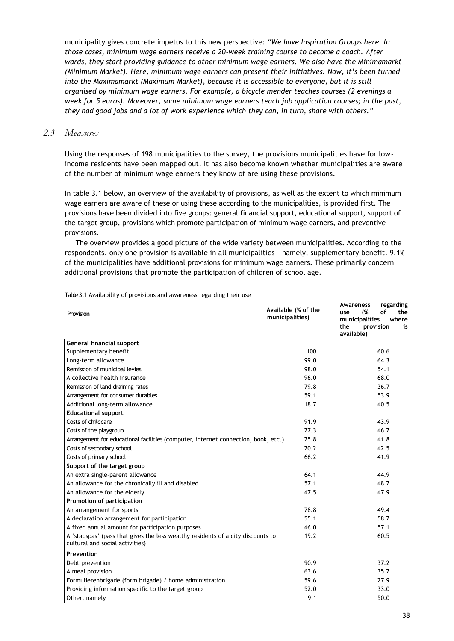municipality gives concrete impetus to this new perspective: *"We have Inspiration Groups here. In those cases, minimum wage earners receive a 20-week training course to become a coach. After wards, they start providing guidance to other minimum wage earners. We also have the Minimamarkt (Minimum Market). Here, minimum wage earners can present their initiatives. Now, it's been turned into the Maximamarkt (Maximum Market), because it is accessible to everyone, but it is still organised by minimum wage earners. For example, a bicycle mender teaches courses (2 evenings a week for 5 euros). Moreover, some minimum wage earners teach job application courses; in the past, they had good jobs and a lot of work experience which they can, in turn, share with others."*

#### *2.3 Measures*

Using the responses of 198 municipalities to the survey, the provisions municipalities have for lowincome residents have been mapped out. It has also become known whether municipalities are aware of the number of minimum wage earners they know of are using these provisions.

In table 3.1 below, an overview of the availability of provisions, as well as the extent to which minimum wage earners are aware of these or using these according to the municipalities, is provided first. The provisions have been divided into five groups: general financial support, educational support, support of the target group, provisions which promote participation of minimum wage earners, and preventive provisions.

The overview provides a good picture of the wide variety between municipalities. According to the respondents, only one provision is available in all municipalities – namely, supplementary benefit. 9.1% of the municipalities have additional provisions for minimum wage earners. These primarily concern additional provisions that promote the participation of children of school age.

| Provision                                                                                                          | Available (% of the<br>municipalities) | regarding<br>Awareness<br>(%<br>οf<br>the<br>use<br>municipalities<br>where<br>the<br>provision<br>is<br>available) |
|--------------------------------------------------------------------------------------------------------------------|----------------------------------------|---------------------------------------------------------------------------------------------------------------------|
| General financial support                                                                                          |                                        |                                                                                                                     |
| Supplementary benefit                                                                                              | 100                                    | 60.6                                                                                                                |
| Long-term allowance                                                                                                | 99.0                                   | 64.3                                                                                                                |
| Remission of municipal levies                                                                                      | 98.0                                   | 54.1                                                                                                                |
| A collective health insurance                                                                                      | 96.0                                   | 68.0                                                                                                                |
| Remission of land draining rates                                                                                   | 79.8                                   | 36.7                                                                                                                |
| Arrangement for consumer durables                                                                                  | 59.1                                   | 53.9                                                                                                                |
| Additional long-term allowance                                                                                     | 18.7                                   | 40.5                                                                                                                |
| <b>Educational support</b>                                                                                         |                                        |                                                                                                                     |
| Costs of childcare                                                                                                 | 91.9                                   | 43.9                                                                                                                |
| Costs of the playgroup                                                                                             | 77.3                                   | 46.7                                                                                                                |
| Arrangement for educational facilities (computer, internet connection, book, etc.)                                 | 75.8                                   | 41.8                                                                                                                |
| Costs of secondary school                                                                                          | 70.2                                   | 42.5                                                                                                                |
| Costs of primary school                                                                                            | 66.2                                   | 41.9                                                                                                                |
| Support of the target group                                                                                        |                                        |                                                                                                                     |
| An extra single-parent allowance                                                                                   | 64.1                                   | 44.9                                                                                                                |
| An allowance for the chronically ill and disabled                                                                  | 57.1                                   | 48.7                                                                                                                |
| An allowance for the elderly                                                                                       | 47.5                                   | 47.9                                                                                                                |
| Promotion of participation                                                                                         |                                        |                                                                                                                     |
| An arrangement for sports                                                                                          | 78.8                                   | 49.4                                                                                                                |
| A declaration arrangement for participation                                                                        | 55.1                                   | 58.7                                                                                                                |
| A fixed annual amount for participation purposes                                                                   | 46.0                                   | 57.1                                                                                                                |
| A 'stadspas' (pass that gives the less wealthy residents of a city discounts to<br>cultural and social activities) | 19.2                                   | 60.5                                                                                                                |
| Prevention                                                                                                         |                                        |                                                                                                                     |
| Debt prevention                                                                                                    | 90.9                                   | 37.2                                                                                                                |
| A meal provision                                                                                                   | 63.6                                   | 35.7                                                                                                                |
| Formulierenbrigade (form brigade) / home administration                                                            | 59.6                                   | 27.9                                                                                                                |
| Providing information specific to the target group                                                                 | 52.0                                   | 33.0                                                                                                                |
| Other, namely                                                                                                      | 9.1                                    | 50.0                                                                                                                |

Table 3.1 Availability of provisions and awareness regarding their use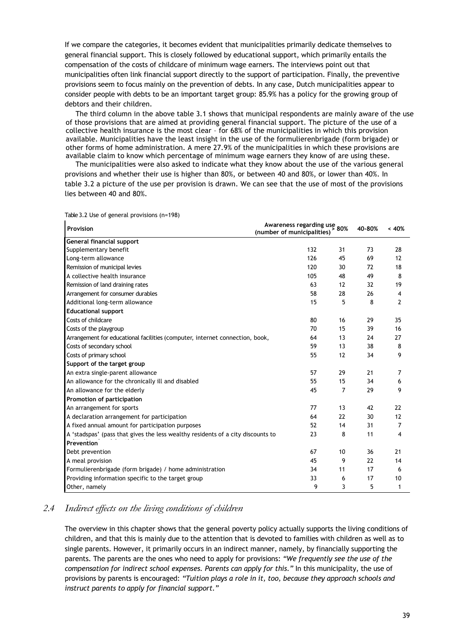If we compare the categories, it becomes evident that municipalities primarily dedicate themselves to general financial support. This is closely followed by educational support, which primarily entails the compensation of the costs of childcare of minimum wage earners. The interviews point out that municipalities often link financial support directly to the support of participation. Finally, the preventive provisions seem to focus mainly on the prevention of debts. In any case, Dutch municipalities appear to consider people with debts to be an important target group: 85.9% has a policy for the growing group of debtors and their children.

The third column in the above table 3.1 shows that municipal respondents are mainly aware of the use of those provisions that are aimed at providing general financial support. The picture of the use of a collective health insurance is the most clear – for 68% of the municipalities in which this provision available. Municipalities have the least insight in the use of the formulierenbrigade (form brigade) or other forms of home administration. A mere 27.9% of the municipalities in which these provisions are available claim to know which percentage of minimum wage earners they know of are using these.

The municipalities were also asked to indicate what they know about the use of the various general provisions and whether their use is higher than 80%, or between 40 and 80%, or lower than 40%. In table 3.2 a picture of the use per provision is drawn. We can see that the use of most of the provisions lies between 40 and 80%.

| Provision                                                                       | Awareness regarding use<br>(number of municipalities) | 80%            | 40-80% | < 40%          |  |
|---------------------------------------------------------------------------------|-------------------------------------------------------|----------------|--------|----------------|--|
| General financial support                                                       |                                                       |                |        |                |  |
| Supplementary benefit                                                           | 132                                                   | 31             | 73     | 28             |  |
| Long-term allowance                                                             | 126                                                   | 45             | 69     | 12             |  |
| Remission of municipal levies                                                   | 120                                                   | 30             | 72     | 18             |  |
| A collective health insurance                                                   | 105                                                   | 48             | 49     | 8              |  |
| Remission of land draining rates                                                | 63                                                    | 12             | 32     | 19             |  |
| Arrangement for consumer durables                                               | 58                                                    | 28             | 26     | 4              |  |
| Additional long-term allowance                                                  | 15                                                    | 5              | 8      | $\overline{2}$ |  |
| <b>Educational support</b>                                                      |                                                       |                |        |                |  |
| Costs of childcare                                                              | 80                                                    | 16             | 29     | 35             |  |
| Costs of the playgroup                                                          | 70                                                    | 15             | 39     | 16             |  |
| Arrangement for educational facilities (computer, internet connection, book,    | 64                                                    | 13             | 24     | 27             |  |
| Costs of secondary school                                                       | 59                                                    | 13             | 38     | 8              |  |
| Costs of primary school                                                         | 55                                                    | 12             | 34     | 9              |  |
| Support of the target group                                                     |                                                       |                |        |                |  |
| An extra single-parent allowance                                                | 57                                                    | 29             | 21     | 7              |  |
| An allowance for the chronically ill and disabled                               | 55                                                    | 15             | 34     | 6              |  |
| An allowance for the elderly                                                    | 45                                                    | $\overline{7}$ | 29     | 9              |  |
| Promotion of participation                                                      |                                                       |                |        |                |  |
| An arrangement for sports                                                       | 77                                                    | 13             | 42     | 22             |  |
| A declaration arrangement for participation                                     | 64                                                    | 22             | 30     | 12             |  |
| A fixed annual amount for participation purposes                                | 52                                                    | 14             | 31     | 7              |  |
| A 'stadspas' (pass that gives the less wealthy residents of a city discounts to | 23                                                    | 8              | 11     | 4              |  |
| Prevention                                                                      |                                                       |                |        |                |  |
| Debt prevention                                                                 | 67                                                    | 10             | 36     | 21             |  |
| A meal provision                                                                | 45                                                    | 9              | 22     | 14             |  |
| Formulierenbrigade (form brigade) / home administration                         | 34                                                    | 11             | 17     | 6              |  |
| Providing information specific to the target group                              | 33                                                    | 6              | 17     | 10             |  |
| Other, namely                                                                   | 9                                                     | 3              | 5      | $\mathbf{1}$   |  |

Table 3.2 Use of general provisions (n=198)

#### *2.4 Indirect effects on the living conditions of children*

The overview in this chapter shows that the general poverty policy actually supports the living conditions of children, and that this is mainly due to the attention that is devoted to families with children as well as to single parents. However, it primarily occurs in an indirect manner, namely, by financially supporting the parents. The parents are the ones who need to apply for provisions: *"We frequently see the use of the compensation for indirect school expenses. Parents can apply for this."* In this municipality, the use of provisions by parents is encouraged: *"Tuition plays a role in it, too, because they approach schools and instruct parents to apply for financial support."*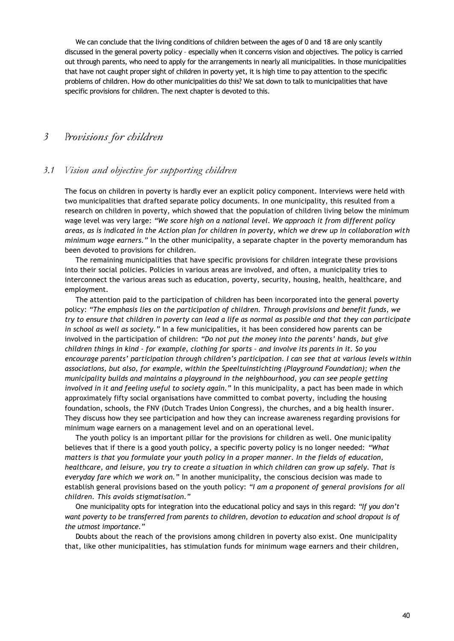We can conclude that the living conditions of children between the ages of 0 and 18 are only scantily discussed in the general poverty policy – especially when it concerns vision and objectives. The policy is carried out through parents, who need to apply for the arrangements in nearly all municipalities. In those municipalities that have not caught proper sight of children in poverty yet, it is high time to pay attention to the specific problems of children. How do other municipalities do this? We sat down to talk to municipalities that have specific provisions for children. The next chapter is devoted to this.

#### *3 Provisions for children*

#### *3.1 Vision and objective for supporting children*

The focus on children in poverty is hardly ever an explicit policy component. Interviews were held with two municipalities that drafted separate policy documents. In one municipality, this resulted from a research on children in poverty, which showed that the population of children living below the minimum wage level was very large: *"We score high on a national level. We approach it from different policy areas, as is indicated in the Action plan for children in poverty, which we drew up in collaboration with minimum wage earners."* In the other municipality, a separate chapter in the poverty memorandum has been devoted to provisions for children.

The remaining municipalities that have specific provisions for children integrate these provisions into their social policies. Policies in various areas are involved, and often, a municipality tries to interconnect the various areas such as education, poverty, security, housing, health, healthcare, and employment.

The attention paid to the participation of children has been incorporated into the general poverty policy: *"The emphasis lies on the participation of children. Through provisions and benefit funds, we try to ensure that children in poverty can lead a life as normal as possible and that they can participate in school as well as society."* In a few municipalities, it has been considered how parents can be involved in the participation of children: *"Do not put the money into the parents' hands, but give children things in kind - for example, clothing for sports – and involve its parents in it. So you encourage parents' participation through children's participation. I can see that at various levels within associations, but also, for example, within the Speeltuinstichting (Playground Foundation); when the municipality builds and maintains a playground in the neighbourhood, you can see people getting involved in it and feeling useful to society again."* In this municipality, a pact has been made in which approximately fifty social organisations have committed to combat poverty, including the housing foundation, schools, the FNV (Dutch Trades Union Congress), the churches, and a big health insurer. They discuss how they see participation and how they can increase awareness regarding provisions for minimum wage earners on a management level and on an operational level.

The youth policy is an important pillar for the provisions for children as well. One municipality believes that if there is a good youth policy, a specific poverty policy is no longer needed: *"What matters is that you formulate your youth policy in a proper manner. In the fields of education, healthcare, and leisure, you try to create a situation in which children can grow up safely. That is everyday fare which we work on."* In another municipality, the conscious decision was made to establish general provisions based on the youth policy: *"I am a proponent of general provisions for all children. This avoids stigmatisation."*

One municipality opts for integration into the educational policy and says in this regard: *"If you don't want poverty to be transferred from parents to children, devotion to education and school dropout is of the utmost importance."*

Doubts about the reach of the provisions among children in poverty also exist. One municipality that, like other municipalities, has stimulation funds for minimum wage earners and their children,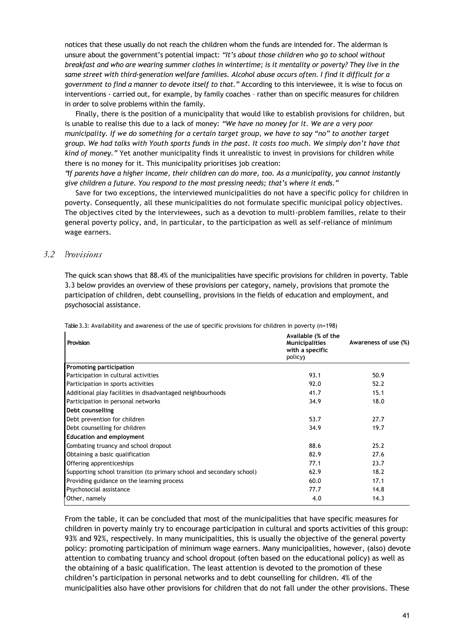notices that these usually do not reach the children whom the funds are intended for. The alderman is unsure about the government's potential impact: *"It's about those children who go to school without breakfast and who are wearing summer clothes in wintertime; is it mentality or poverty? They live in the same street with third-generation welfare families. Alcohol abuse occurs often. I find it difficult for a government to find a manner to devote itself to that."* According to this interviewee, it is wise to focus on interventions - carried out, for example, by family coaches – rather than on specific measures for children in order to solve problems within the family.

Finally, there is the position of a municipality that would like to establish provisions for children, but is unable to realise this due to a lack of money: *"We have no money for it. We are a very poor municipality. If we do something for a certain target group, we have to say "no" to another target group. We had talks with Youth sports funds in the past. It costs too much. We simply don't have that kind of money."* Yet another municipality finds it unrealistic to invest in provisions for children while there is no money for it. This municipality prioritises job creation:

*"If parents have a higher income, their children can do more, too. As a municipality, you cannot instantly give children a future. You respond to the most pressing needs; that's where it ends."*

Save for two exceptions, the interviewed municipalities do not have a specific policy for children in poverty. Consequently, all these municipalities do not formulate specific municipal policy objectives. The objectives cited by the interviewees, such as a devotion to multi-problem families, relate to their general poverty policy, and, in particular, to the participation as well as self-reliance of minimum wage earners.

#### *3.2 Provisions*

The quick scan shows that 88.4% of the municipalities have specific provisions for children in poverty. Table 3.3 below provides an overview of these provisions per category, namely, provisions that promote the participation of children, debt counselling, provisions in the fields of education and employment, and psychosocial assistance.

| Provision                                                             | Available (% of the<br><b>Municipalities</b><br>with a specific<br>policy) | Awareness of use (%) |
|-----------------------------------------------------------------------|----------------------------------------------------------------------------|----------------------|
| <b>Promoting participation</b>                                        |                                                                            |                      |
| Participation in cultural activities                                  | 93.1                                                                       | 50.9                 |
| Participation in sports activities                                    | 92.0                                                                       | 52.2                 |
| Additional play facilities in disadvantaged neighbourhoods            | 41.7                                                                       | 15.1                 |
| Participation in personal networks                                    | 34.9                                                                       | 18.0                 |
| Debt counselling                                                      |                                                                            |                      |
| Debt prevention for children                                          | 53.7                                                                       | 27.7                 |
| Debt counselling for children                                         | 34.9                                                                       | 19.7                 |
| <b>Education and employment</b>                                       |                                                                            |                      |
| Combating truancy and school dropout                                  | 88.6                                                                       | 25.2                 |
| Obtaining a basic qualification                                       | 82.9                                                                       | 27.6                 |
| Offering apprenticeships                                              | 77.1                                                                       | 23.7                 |
| Supporting school transition (to primary school and secondary school) | 62.9                                                                       | 18.2                 |
| Providing guidance on the learning process                            | 60.0                                                                       | 17.1                 |
| Psychosocial assistance                                               | 77.7                                                                       | 14.8                 |
| Other, namely                                                         | 4.0                                                                        | 14.3                 |

Table 3.3: Availability and awareness of the use of specific provisions for children in poverty (n=198)

From the table, it can be concluded that most of the municipalities that have specific measures for children in poverty mainly try to encourage participation in cultural and sports activities of this group: 93% and 92%, respectively. In many municipalities, this is usually the objective of the general poverty policy: promoting participation of minimum wage earners. Many municipalities, however, (also) devote attention to combating truancy and school dropout (often based on the educational policy) as well as the obtaining of a basic qualification. The least attention is devoted to the promotion of these children's participation in personal networks and to debt counselling for children. 4% of the municipalities also have other provisions for children that do not fall under the other provisions. These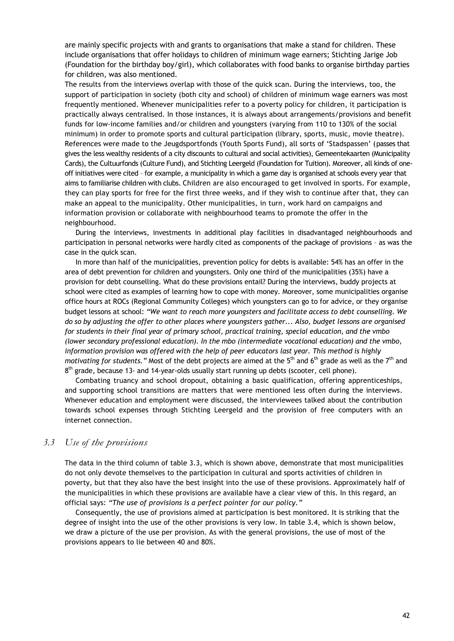are mainly specific projects with and grants to organisations that make a stand for children. These include organisations that offer holidays to children of minimum wage earners; Stichting Jarige Job (Foundation for the birthday boy/girl), which collaborates with food banks to organise birthday parties for children, was also mentioned.

The results from the interviews overlap with those of the quick scan. During the interviews, too, the support of participation in society (both city and school) of children of minimum wage earners was most frequently mentioned. Whenever municipalities refer to a poverty policy for children, it participation is practically always centralised. In those instances, it is always about arrangements/provisions and benefit funds for low-income families and/or children and youngsters (varying from 110 to 130% of the social minimum) in order to promote sports and cultural participation (library, sports, music, movie theatre). References were made to the Jeugdsportfonds (Youth Sports Fund), all sorts of 'Stadspassen' (passes that gives the less wealthy residents of a city discounts to cultural and social activities), Gemeentekaarten (Municipality Cards), the Cultuurfonds (Culture Fund), and Stichting Leergeld (Foundation for Tuition). Moreover, all kinds of oneoff initiatives were cited – for example, a municipality in which a game day is organised at schools every year that aims to familiarise children with clubs. Children are also encouraged to get involved in sports. For example, they can play sports for free for the first three weeks, and if they wish to continue after that, they can make an appeal to the municipality. Other municipalities, in turn, work hard on campaigns and information provision or collaborate with neighbourhood teams to promote the offer in the neighbourhood.

During the interviews, investments in additional play facilities in disadvantaged neighbourhoods and participation in personal networks were hardly cited as components of the package of provisions – as was the case in the quick scan.

In more than half of the municipalities, prevention policy for debts is available: 54% has an offer in the area of debt prevention for children and youngsters. Only one third of the municipalities (35%) have a provision for debt counselling. What do these provisions entail? During the interviews, buddy projects at school were cited as examples of learning how to cope with money. Moreover, some municipalities organise office hours at ROCs (Regional Community Colleges) which youngsters can go to for advice, or they organise budget lessons at school: *"We want to reach more youngsters and facilitate access to debt counselling. We do so by adjusting the offer to other places where youngsters gather... Also, budget lessons are organised for students in their final year of primary school, practical training, special education, and the vmbo (lower secondary professional education). In the mbo (intermediate vocational education) and the vmbo, information provision was offered with the help of peer educators last year. This method is highly motivating for students."* Most of the debt projects are aimed at the 5<sup>th</sup> and 6<sup>th</sup> grade as well as the 7<sup>th</sup> and 8<sup>th</sup> grade, because 13- and 14-year-olds usually start running up debts (scooter, cell phone).

Combating truancy and school dropout, obtaining a basic qualification, offering apprenticeships, and supporting school transitions are matters that were mentioned less often during the interviews. Whenever education and employment were discussed, the interviewees talked about the contribution towards school expenses through Stichting Leergeld and the provision of free computers with an internet connection.

#### *3.3 Use of the provisions*

The data in the third column of table 3.3, which is shown above, demonstrate that most municipalities do not only devote themselves to the participation in cultural and sports activities of children in poverty, but that they also have the best insight into the use of these provisions. Approximately half of the municipalities in which these provisions are available have a clear view of this. In this regard, an official says: *"The use of provisions is a perfect pointer for our policy."*

Consequently, the use of provisions aimed at participation is best monitored. It is striking that the degree of insight into the use of the other provisions is very low. In table 3.4, which is shown below, we draw a picture of the use per provision. As with the general provisions, the use of most of the provisions appears to lie between 40 and 80%.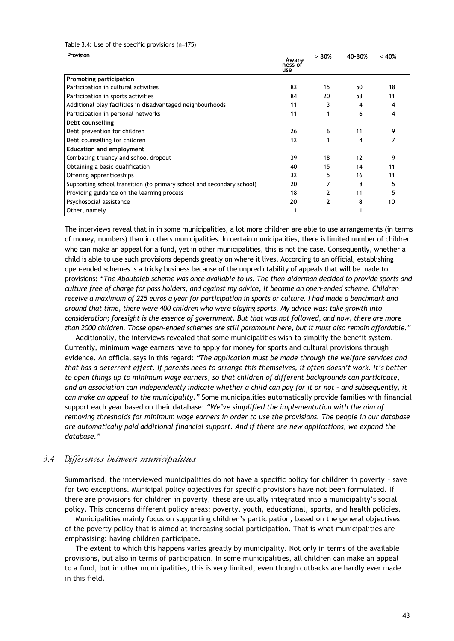Table 3.4: Use of the specific provisions (n=175)

| Provision                                                             | Aware<br>ness of<br>use | > 80% | 40-80% | < 40% |
|-----------------------------------------------------------------------|-------------------------|-------|--------|-------|
| <b>Promoting participation</b>                                        |                         |       |        |       |
| Participation in cultural activities                                  | 83                      | 15    | 50     | 18    |
| Participation in sports activities                                    | 84                      | 20    | 53     | 11    |
| Additional play facilities in disadvantaged neighbourhoods            | 11                      |       | 4      |       |
| Participation in personal networks                                    | 11                      |       | 6      |       |
| Debt counselling                                                      |                         |       |        |       |
| Debt prevention for children                                          | 26                      | 6     | 11     | 9     |
| Debt counselling for children                                         | 12                      |       | 4      |       |
| <b>Education and employment</b>                                       |                         |       |        |       |
| Combating truancy and school dropout                                  | 39                      | 18    | 12     | 9     |
| Obtaining a basic qualification                                       | 40                      | 15    | 14     | 11    |
| Offering apprenticeships                                              | 32                      |       | 16     | 11    |
| Supporting school transition (to primary school and secondary school) | 20                      |       | 8      |       |
| Providing guidance on the learning process                            | 18                      |       | 11     |       |
| Psychosocial assistance                                               | 20                      |       | 8      | 10    |
| Other, namely                                                         |                         |       |        |       |

The interviews reveal that in in some municipalities, a lot more children are able to use arrangements (in terms of money, numbers) than in others municipalities. In certain municipalities, there is limited number of children who can make an appeal for a fund, yet in other municipalities, this is not the case. Consequently, whether a child is able to use such provisions depends greatly on where it lives. According to an official, establishing open-ended schemes is a tricky business because of the unpredictability of appeals that will be made to provisions: *"The Aboutaleb scheme was once available to us. The then-alderman decided to provide sports and culture free of charge for pass holders, and against my advice, it became an open-ended scheme. Children receive a maximum of 225 euros a year for participation in sports or culture. I had made a benchmark and around that time, there were 400 children who were playing sports. My advice was: take growth into consideration; foresight is the essence of government. But that was not followed, and now, there are more than 2000 children. Those open-ended schemes are still paramount here, but it must also remain affordable."*

Additionally, the interviews revealed that some municipalities wish to simplify the benefit system. Currently, minimum wage earners have to apply for money for sports and cultural provisions through evidence. An official says in this regard: *"The application must be made through the welfare services and that has a deterrent effect. If parents need to arrange this themselves, it often doesn't work. It's better to open things up to minimum wage earners, so that children of different backgrounds can participate, and an association can independently indicate whether a child can pay for it or not – and subsequently, it can make an appeal to the municipality."* Some municipalities automatically provide families with financial support each year based on their database: *"We've simplified the implementation with the aim of removing thresholds for minimum wage earners in order to use the provisions. The people in our database are automatically paid additional financial support. And if there are new applications, we expand the database."*

#### *3.4 Differences between municipalities*

Summarised, the interviewed municipalities do not have a specific policy for children in poverty – save for two exceptions. Municipal policy objectives for specific provisions have not been formulated. If there are provisions for children in poverty, these are usually integrated into a municipality's social policy. This concerns different policy areas: poverty, youth, educational, sports, and health policies.

Municipalities mainly focus on supporting children's participation, based on the general objectives of the poverty policy that is aimed at increasing social participation. That is what municipalities are emphasising: having children participate.

The extent to which this happens varies greatly by municipality. Not only in terms of the available provisions, but also in terms of participation. In some municipalities, all children can make an appeal to a fund, but in other municipalities, this is very limited, even though cutbacks are hardly ever made in this field.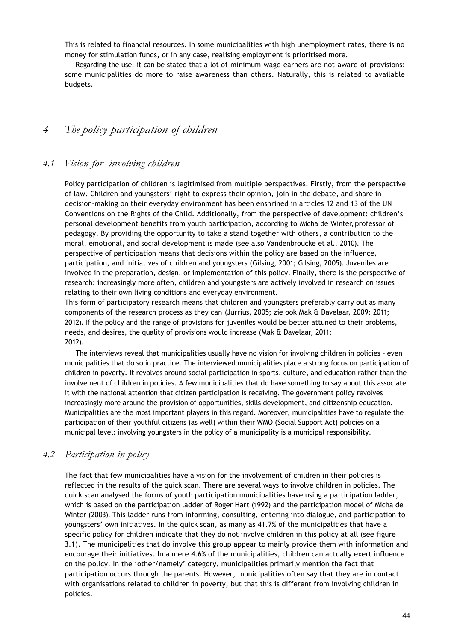This is related to financial resources. In some municipalities with high unemployment rates, there is no money for stimulation funds, or in any case, realising employment is prioritised more.

Regarding the use, it can be stated that a lot of minimum wage earners are not aware of provisions; some municipalities do more to raise awareness than others. Naturally, this is related to available budgets.

# *4 The policy participation of children*

#### *4.1 Vision for involving children*

Policy participation of children is legitimised from multiple perspectives. Firstly, from the perspective of law. Children and youngsters' right to express their opinion, join in the debate, and share in decision-making on their everyday environment has been enshrined in articles 12 and 13 of the UN Conventions on the Rights of the Child. Additionally, from the perspective of development: children's personal development benefits from youth participation, according to Micha de Winter, professor of pedagogy. By providing the opportunity to take a stand together with others, a contribution to the moral, emotional, and social development is made (see also Vandenbroucke et al., 2010). The perspective of participation means that decisions within the policy are based on the influence, participation, and initiatives of children and youngsters (Gilsing, 2001; Gilsing, 2005). Juveniles are involved in the preparation, design, or implementation of this policy. Finally, there is the perspective of research: increasingly more often, children and youngsters are actively involved in research on issues relating to their own living conditions and everyday environment.

This form of participatory research means that children and youngsters preferably carry out as many components of the research process as they can (Jurrius, 2005; zie ook Mak & Davelaar, 2009; 2011; 2012). If the policy and the range of provisions for juveniles would be better attuned to their problems, needs, and desires, the quality of provisions would increase (Mak & Davelaar, 2011; 2012).

The interviews reveal that municipalities usually have no vision for involving children in policies – even municipalities that do so in practice. The interviewed municipalities place a strong focus on participation of children in poverty. It revolves around social participation in sports, culture, and education rather than the involvement of children in policies. A few municipalities that do have something to say about this associate it with the national attention that citizen participation is receiving. The government policy revolves increasingly more around the provision of opportunities, skills development, and citizenship education. Municipalities are the most important players in this regard. Moreover, municipalities have to regulate the participation of their youthful citizens (as well) within their WMO (Social Support Act) policies on a municipal level: involving youngsters in the policy of a municipality is a municipal responsibility.

#### *4.2 Participation in policy*

The fact that few municipalities have a vision for the involvement of children in their policies is reflected in the results of the quick scan. There are several ways to involve children in policies. The quick scan analysed the forms of youth participation municipalities have using a participation ladder, which is based on the participation ladder of Roger Hart (1992) and the participation model of Micha de Winter (2003). This ladder runs from informing, consulting, entering into dialogue, and participation to youngsters' own initiatives. In the quick scan, as many as 41.7% of the municipalities that have a specific policy for children indicate that they do not involve children in this policy at all (see figure 3.1). The municipalities that do involve this group appear to mainly provide them with information and encourage their initiatives. In a mere 4.6% of the municipalities, children can actually exert influence on the policy. In the 'other/namely' category, municipalities primarily mention the fact that participation occurs through the parents. However, municipalities often say that they are in contact with organisations related to children in poverty, but that this is different from involving children in policies.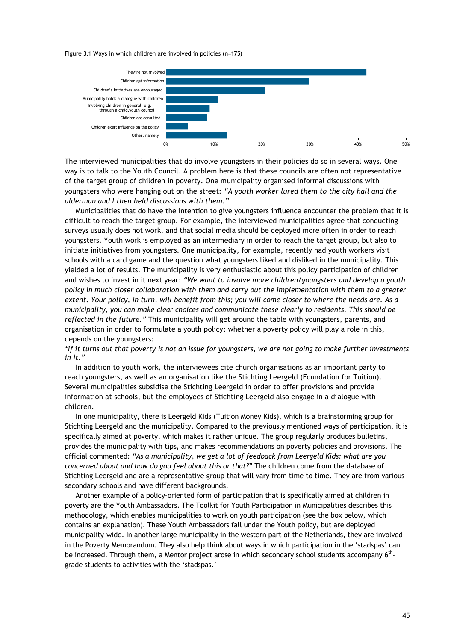Figure 3.1 Ways in which children are involved in policies (n=175)



The interviewed municipalities that do involve youngsters in their policies do so in several ways. One way is to talk to the Youth Council. A problem here is that these councils are often not representative of the target group of children in poverty. One municipality organised informal discussions with youngsters who were hanging out on the street: *"A youth worker lured them to the city hall and the alderman and I then held discussions with them."*

Municipalities that do have the intention to give youngsters influence encounter the problem that it is difficult to reach the target group. For example, the interviewed municipalities agree that conducting surveys usually does not work, and that social media should be deployed more often in order to reach youngsters. Youth work is employed as an intermediary in order to reach the target group, but also to initiate initiatives from youngsters. One municipality, for example, recently had youth workers visit schools with a card game and the question what youngsters liked and disliked in the municipality. This yielded a lot of results. The municipality is very enthusiastic about this policy participation of children and wishes to invest in it next year: *"We want to involve more children/youngsters and develop a youth policy in much closer collaboration with them and carry out the implementation with them to a greater extent. Your policy, in turn, will benefit from this; you will come closer to where the needs are. As a municipality, you can make clear choices and communicate these clearly to residents. This should be reflected in the future."* This municipality will get around the table with youngsters, parents, and organisation in order to formulate a youth policy; whether a poverty policy will play a role in this, depends on the youngsters:

*"If it turns out that poverty is not an issue for youngsters, we are not going to make further investments in it."*

In addition to youth work, the interviewees cite church organisations as an important party to reach youngsters, as well as an organisation like the Stichting Leergeld (Foundation for Tuition). Several municipalities subsidise the Stichting Leergeld in order to offer provisions and provide information at schools, but the employees of Stichting Leergeld also engage in a dialogue with children.

In one municipality, there is Leergeld Kids (Tuition Money Kids), which is a brainstorming group for Stichting Leergeld and the municipality. Compared to the previously mentioned ways of participation, it is specifically aimed at poverty, which makes it rather unique. The group regularly produces bulletins, provides the municipality with tips, and makes recommendations on poverty policies and provisions. The official commented: *"As a municipality, we get a lot of feedback from Leergeld Kids: what are you concerned about and how do you feel about this or that?"* The children come from the database of Stichting Leergeld and are a representative group that will vary from time to time. They are from various secondary schools and have different backgrounds.

Another example of a policy-oriented form of participation that is specifically aimed at children in poverty are the Youth Ambassadors. The Toolkit for Youth Participation in Municipalities describes this methodology, which enables municipalities to work on youth participation (see the box below, which contains an explanation). These Youth Ambassadors fall under the Youth policy, but are deployed municipality-wide. In another large municipality in the western part of the Netherlands, they are involved in the Poverty Memorandum. They also help think about ways in which participation in the 'stadspas' can be increased. Through them, a Mentor project arose in which secondary school students accompany 6<sup>th</sup>grade students to activities with the 'stadspas.'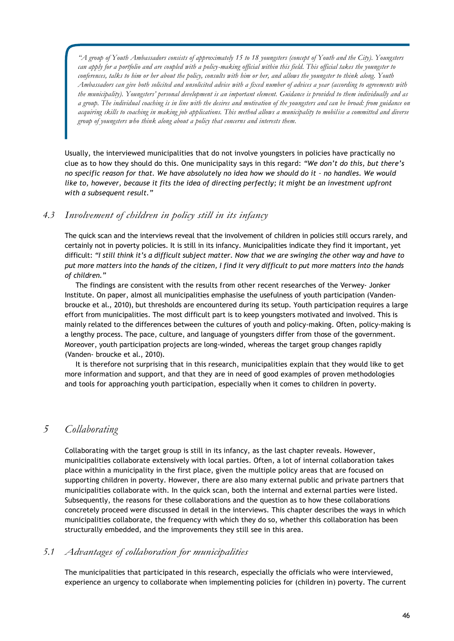*"A group of Youth Ambassadors consists of approximately 15 to 18 youngsters (concept of Youth and the City). Youngsters can apply for a portfolio and are coupled with a policy-making official within this field. This official takes the youngster to conferences, talks to him or her about the policy, consults with him or her, and allows the youngster to think along. Youth Ambassadors can give both solicited and unsolicited advice with a fixed number of advices a year (according to agreements with the municipality). Youngsters' personal development is an important element. Guidance is provided to them individually and as a group. The individual coaching is in line with the desires and motivation of the youngsters and can be broad: from guidance on acquiring skills to coaching in making job applications. This method allows a municipality to mobilise a committed and diverse group of youngsters who think along about a policy that concerns and interests them.*

Usually, the interviewed municipalities that do not involve youngsters in policies have practically no clue as to how they should do this. One municipality says in this regard: *"We don't do this, but there's no specific reason for that. We have absolutely no idea how we should do it - no handles. We would* like to, however, because it fits the idea of directing perfectly; it might be an investment upfront *with a subsequent result."*

# *4.3 Involvement of children in policy still in its infancy*

The quick scan and the interviews reveal that the involvement of children in policies still occurs rarely, and certainly not in poverty policies. It is still in its infancy. Municipalities indicate they find it important, yet difficult: *"I still think it's a difficult subject matter. Now that we are swinging the other way and have to put more matters into the hands of the citizen, I find it very difficult to put more matters into the hands of children."*

The findings are consistent with the results from other recent researches of the Verwey- Jonker Institute. On paper, almost all municipalities emphasise the usefulness of youth participation (Vandenbroucke et al., 2010), but thresholds are encountered during its setup. Youth participation requires a large effort from municipalities. The most difficult part is to keep youngsters motivated and involved. This is mainly related to the differences between the cultures of youth and policy-making. Often, policy-making is a lengthy process. The pace, culture, and language of youngsters differ from those of the government. Moreover, youth participation projects are long-winded, whereas the target group changes rapidly (Vanden- broucke et al., 2010).

It is therefore not surprising that in this research, municipalities explain that they would like to get more information and support, and that they are in need of good examples of proven methodologies and tools for approaching youth participation, especially when it comes to children in poverty.

# *5 Collaborating*

Collaborating with the target group is still in its infancy, as the last chapter reveals. However, municipalities collaborate extensively with local parties. Often, a lot of internal collaboration takes place within a municipality in the first place, given the multiple policy areas that are focused on supporting children in poverty. However, there are also many external public and private partners that municipalities collaborate with. In the quick scan, both the internal and external parties were listed. Subsequently, the reasons for these collaborations and the question as to how these collaborations concretely proceed were discussed in detail in the interviews. This chapter describes the ways in which municipalities collaborate, the frequency with which they do so, whether this collaboration has been structurally embedded, and the improvements they still see in this area.

#### *5.1 Advantages of collaboration for municipalities*

The municipalities that participated in this research, especially the officials who were interviewed, experience an urgency to collaborate when implementing policies for (children in) poverty. The current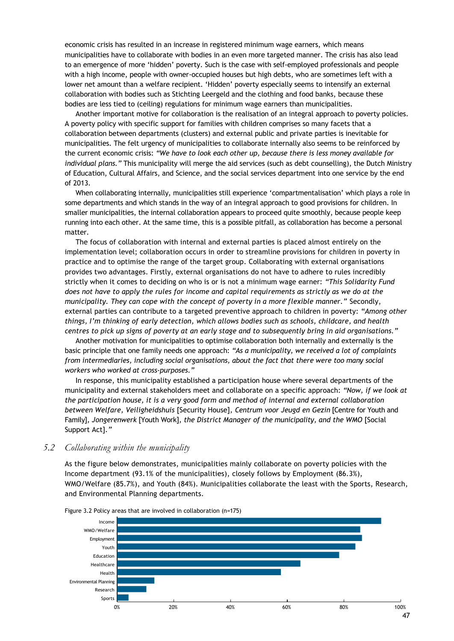economic crisis has resulted in an increase in registered minimum wage earners, which means municipalities have to collaborate with bodies in an even more targeted manner. The crisis has also lead to an emergence of more 'hidden' poverty. Such is the case with self-employed professionals and people with a high income, people with owner-occupied houses but high debts, who are sometimes left with a lower net amount than a welfare recipient. 'Hidden' poverty especially seems to intensify an external collaboration with bodies such as Stichting Leergeld and the clothing and food banks, because these bodies are less tied to (ceiling) regulations for minimum wage earners than municipalities.

Another important motive for collaboration is the realisation of an integral approach to poverty policies. A poverty policy with specific support for families with children comprises so many facets that a collaboration between departments (clusters) and external public and private parties is inevitable for municipalities. The felt urgency of municipalities to collaborate internally also seems to be reinforced by the current economic crisis: *"We have to look each other up, because there is less money available for individual plans."* This municipality will merge the aid services (such as debt counselling), the Dutch Ministry of Education, Cultural Affairs, and Science, and the social services department into one service by the end of 2013.

When collaborating internally, municipalities still experience 'compartmentalisation' which plays a role in some departments and which stands in the way of an integral approach to good provisions for children. In smaller municipalities, the internal collaboration appears to proceed quite smoothly, because people keep running into each other. At the same time, this is a possible pitfall, as collaboration has become a personal matter.

The focus of collaboration with internal and external parties is placed almost entirely on the implementation level; collaboration occurs in order to streamline provisions for children in poverty in practice and to optimise the range of the target group. Collaborating with external organisations provides two advantages. Firstly, external organisations do not have to adhere to rules incredibly strictly when it comes to deciding on who is or is not a minimum wage earner: *"This Solidarity Fund does not have to apply the rules for income and capital requirements as strictly as we do at the municipality. They can cope with the concept of poverty in a more flexible manner."* Secondly, external parties can contribute to a targeted preventive approach to children in poverty: *"Among other things, I'm thinking of early detection, which allows bodies such as schools, childcare, and health centres to pick up signs of poverty at an early stage and to subsequently bring in aid organisations."*

Another motivation for municipalities to optimise collaboration both internally and externally is the basic principle that one family needs one approach: *"As a municipality, we received a lot of complaints from intermediaries, including social organisations, about the fact that there were too many social workers who worked at cross-purposes."*

In response, this municipality established a participation house where several departments of the municipality and external stakeholders meet and collaborate on a specific approach: *"Now, if we look at the participation house, it is a very good form and method of internal and external collaboration between Welfare, Veiligheidshuis* [Security House]*, Centrum voor Jeugd en Gezin* [Centre for Youth and Family]*, Jongerenwerk* [Youth Work]*, the District Manager of the municipality, and the WMO* [Social Support Act]*."*

#### *5.2 Collaborating within the municipality*

As the figure below demonstrates, municipalities mainly collaborate on poverty policies with the Income department (93.1% of the municipalities), closely follows by Employment (86.3%), WMO/Welfare (85.7%), and Youth (84%). Municipalities collaborate the least with the Sports, Research, and Environmental Planning departments.



Figure 3.2 Policy areas that are involved in collaboration (n=175)

47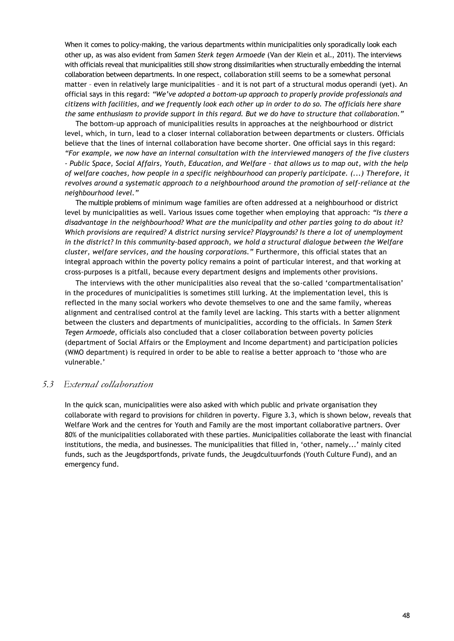When it comes to policy-making, the various departments within municipalities only sporadically look each other up, as was also evident from *Samen Sterk tegen Armoede* (Van der Klein et al., 2011). The interviews with officials reveal that municipalities still show strong dissimilarities when structurally embedding the internal collaboration between departments. In one respect, collaboration still seems to be a somewhat personal matter – even in relatively large municipalities – and it is not part of a structural modus operandi (yet). An official says in this regard: *"We've adopted a bottom-up approach to properly provide professionals and citizens with facilities, and we frequently look each other up in order to do so. The officials here share the same enthusiasm to provide support in this regard. But we do have to structure that collaboration."*

The bottom-up approach of municipalities results in approaches at the neighbourhood or district level, which, in turn, lead to a closer internal collaboration between departments or clusters. Officials believe that the lines of internal collaboration have become shorter. One official says in this regard: *"For example, we now have an internal consultation with the interviewed managers of the five clusters - Public Space, Social Affairs, Youth, Education, and Welfare – that allows us to map out, with the help of welfare coaches, how people in a specific neighbourhood can properly participate. (...) Therefore, it revolves around a systematic approach to a neighbourhood around the promotion of self-reliance at the neighbourhood level."*

The multiple problems of minimum wage families are often addressed at a neighbourhood or district level by municipalities as well. Various issues come together when employing that approach: *"Is there a disadvantage in the neighbourhood? What are the municipality and other parties going to do about it? Which provisions are required? A district nursing service? Playgrounds? Is there a lot of unemployment in the district? In this community-based approach, we hold a structural dialogue between the Welfare cluster, welfare services, and the housing corporations."* Furthermore, this official states that an integral approach within the poverty policy remains a point of particular interest, and that working at cross-purposes is a pitfall, because every department designs and implements other provisions.

The interviews with the other municipalities also reveal that the so-called 'compartmentalisation' in the procedures of municipalities is sometimes still lurking. At the implementation level, this is reflected in the many social workers who devote themselves to one and the same family, whereas alignment and centralised control at the family level are lacking. This starts with a better alignment between the clusters and departments of municipalities, according to the officials. In *Samen Sterk Tegen Armoede*, officials also concluded that a closer collaboration between poverty policies (department of Social Affairs or the Employment and Income department) and participation policies (WMO department) is required in order to be able to realise a better approach to 'those who are vulnerable.'

#### *5.3 External collaboration*

In the quick scan, municipalities were also asked with which public and private organisation they collaborate with regard to provisions for children in poverty. Figure 3.3, which is shown below, reveals that Welfare Work and the centres for Youth and Family are the most important collaborative partners. Over 80% of the municipalities collaborated with these parties. Municipalities collaborate the least with financial institutions, the media, and businesses. The municipalities that filled in, 'other, namely...' mainly cited funds, such as the Jeugdsportfonds, private funds, the Jeugdcultuurfonds (Youth Culture Fund), and an emergency fund.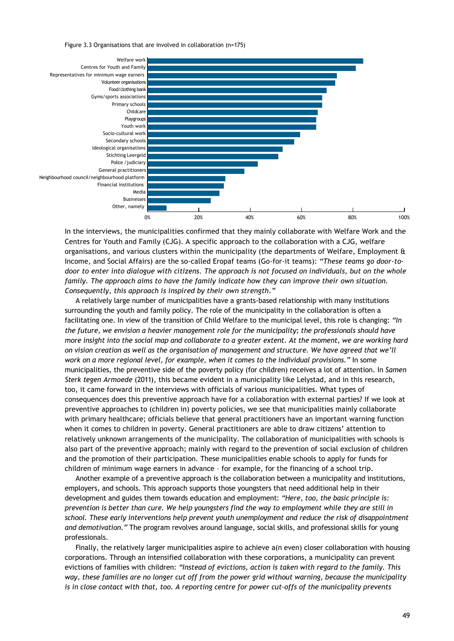Figure 3.3 Organisations that are involved in collaboration (n=175)



In the interviews, the municipalities confirmed that they mainly collaborate with Welfare Work and the Centres for Youth and Family (CJG). A specific approach to the collaboration with a CJG, welfare organisations, and various clusters within the municipality (the departments of Welfare, Employment & Income, and Social Affairs) are the so-called Eropaf teams (Go-for-it teams): *"These teams go door-todoor to enter into dialogue with citizens. The approach is not focused on individuals, but on the whole family. The approach aims to have the family indicate how they can improve their own situation. Consequently, this approach is inspired by their own strength."*

A relatively large number of municipalities have a grants-based relationship with many institutions surrounding the youth and family policy. The role of the municipality in the collaboration is often a facilitating one. In view of the transition of Child Welfare to the municipal level, this role is changing: *"In the future, we envision a heavier management role for the municipality; the professionals should have more insight into the social map and collaborate to a greater extent. At the moment, we are working hard on vision creation as well as the organisation of management and structure. We have agreed that we'll work on a more regional level, for example, when it comes to the individual provisions."* In some municipalities, the preventive side of the poverty policy (for children) receives a lot of attention. In *Samen Sterk tegen Armoede* (2011), this became evident in a municipality like Lelystad, and in this research, too, it came forward in the interviews with officials of various municipalities. What types of consequences does this preventive approach have for a collaboration with external parties? If we look at preventive approaches to (children in) poverty policies, we see that municipalities mainly collaborate with primary healthcare; officials believe that general practitioners have an important warning function when it comes to children in poverty. General practitioners are able to draw citizens' attention to relatively unknown arrangements of the municipality. The collaboration of municipalities with schools is also part of the preventive approach; mainly with regard to the prevention of social exclusion of children and the promotion of their participation. These municipalities enable schools to apply for funds for children of minimum wage earners in advance – for example, for the financing of a school trip.

Another example of a preventive approach is the collaboration between a municipality and institutions, employers, and schools. This approach supports those youngsters that need additional help in their development and guides them towards education and employment: *"Here, too, the basic principle is: prevention is better than cure. We help youngsters find the way to employment while they are still in school. These early interventions help prevent youth unemployment and reduce the risk of disappointment and demotivation."* The program revolves around language, social skills, and professional skills for young professionals.

Finally, the relatively larger municipalities aspire to achieve a(n even) closer collaboration with housing corporations. Through an intensified collaboration with these corporations, a municipality can prevent evictions of families with children: *"Instead of evictions, action is taken with regard to the family. This way, these families are no longer cut off from the power grid without warning, because the municipality is in close contact with that, too. A reporting centre for power cut-offs of the municipality prevents*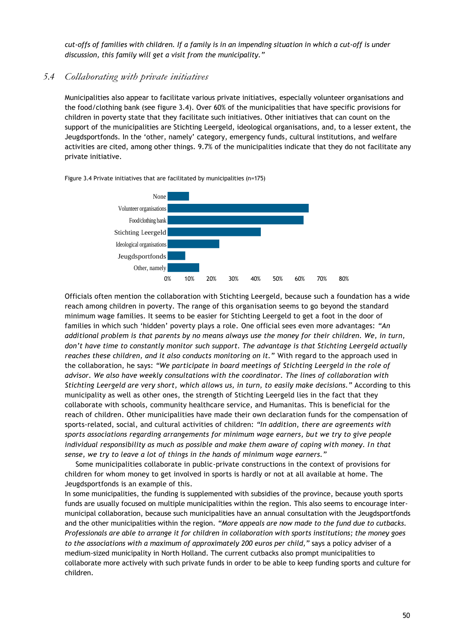*cut-offs of families with children. If a family is in an impending situation in which a cut-off is under discussion, this family will get a visit from the municipality."*

# *5.4 Collaborating with private initiatives*

Municipalities also appear to facilitate various private initiatives, especially volunteer organisations and the food/clothing bank (see figure 3.4). Over 60% of the municipalities that have specific provisions for children in poverty state that they facilitate such initiatives. Other initiatives that can count on the support of the municipalities are Stichting Leergeld, ideological organisations, and, to a lesser extent, the Jeugdsportfonds. In the 'other, namely' category, emergency funds, cultural institutions, and welfare activities are cited, among other things. 9.7% of the municipalities indicate that they do not facilitate any private initiative.





Officials often mention the collaboration with Stichting Leergeld, because such a foundation has a wide reach among children in poverty. The range of this organisation seems to go beyond the standard minimum wage families. It seems to be easier for Stichting Leergeld to get a foot in the door of families in which such 'hidden' poverty plays a role. One official sees even more advantages: *"An additional problem is that parents by no means always use the money for their children. We, in turn, don't have time to constantly monitor such support. The advantage is that Stichting Leergeld actually reaches these children, and it also conducts monitoring on it."* With regard to the approach used in the collaboration, he says: *"We participate in board meetings of Stichting Leergeld in the role of advisor. We also have weekly consultations with the coordinator. The lines of collaboration with Stichting Leergeld are very short, which allows us, in turn, to easily make decisions."* According to this municipality as well as other ones, the strength of Stichting Leergeld lies in the fact that they collaborate with schools, community healthcare service, and Humanitas. This is beneficial for the reach of children. Other municipalities have made their own declaration funds for the compensation of sports-related, social, and cultural activities of children: *"In addition, there are agreements with sports associations regarding arrangements for minimum wage earners, but we try to give people individual responsibility as much as possible and make them aware of coping with money. In that sense, we try to leave a lot of things in the hands of minimum wage earners."*

Some municipalities collaborate in public-private constructions in the context of provisions for children for whom money to get involved in sports is hardly or not at all available at home. The Jeugdsportfonds is an example of this.

In some municipalities, the funding is supplemented with subsidies of the province, because youth sports funds are usually focused on multiple municipalities within the region. This also seems to encourage intermunicipal collaboration, because such municipalities have an annual consultation with the Jeugdsportfonds and the other municipalities within the region. *"More appeals are now made to the fund due to cutbacks. Professionals are able to arrange it for children in collaboration with sports institutions; the money goes to the associations with a maximum of approximately 200 euros per child,"* says a policy adviser of a medium-sized municipality in North Holland. The current cutbacks also prompt municipalities to collaborate more actively with such private funds in order to be able to keep funding sports and culture for children.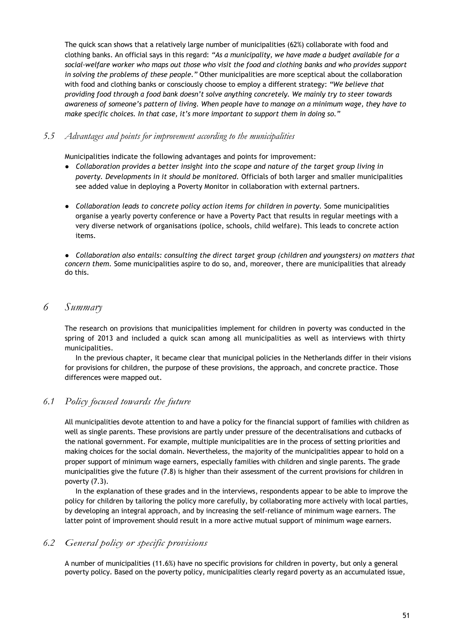The quick scan shows that a relatively large number of municipalities (62%) collaborate with food and clothing banks. An official says in this regard: *"As a municipality, we have made a budget available for a social-welfare worker who maps out those who visit the food and clothing banks and who provides support in solving the problems of these people."* Other municipalities are more sceptical about the collaboration with food and clothing banks or consciously choose to employ a different strategy: *"We believe that providing food through a food bank doesn't solve anything concretely. We mainly try to steer towards awareness of someone's pattern of living. When people have to manage on a minimum wage, they have to make specific choices. In that case, it's more important to support them in doing so."*

#### *5.5 Advantages and points for improvement according to the municipalities*

Municipalities indicate the following advantages and points for improvement:

- *Collaboration provides a better insight into the scope and nature of the target group living in poverty. Developments in it should be monitored.* Officials of both larger and smaller municipalities see added value in deploying a Poverty Monitor in collaboration with external partners.
- *Collaboration leads to concrete policy action items for children in poverty.* Some municipalities organise a yearly poverty conference or have a Poverty Pact that results in regular meetings with a very diverse network of organisations (police, schools, child welfare). This leads to concrete action items.

● *Collaboration also entails: consulting the direct target group (children and youngsters) on matters that concern them.* Some municipalities aspire to do so, and, moreover, there are municipalities that already do this.

# *6 Summary*

The research on provisions that municipalities implement for children in poverty was conducted in the spring of 2013 and included a quick scan among all municipalities as well as interviews with thirty municipalities.

In the previous chapter, it became clear that municipal policies in the Netherlands differ in their visions for provisions for children, the purpose of these provisions, the approach, and concrete practice. Those differences were mapped out.

# *6.1 Policy focused towards the future*

All municipalities devote attention to and have a policy for the financial support of families with children as well as single parents. These provisions are partly under pressure of the decentralisations and cutbacks of the national government. For example, multiple municipalities are in the process of setting priorities and making choices for the social domain. Nevertheless, the majority of the municipalities appear to hold on a proper support of minimum wage earners, especially families with children and single parents. The grade municipalities give the future (7.8) is higher than their assessment of the current provisions for children in poverty (7.3).

In the explanation of these grades and in the interviews, respondents appear to be able to improve the policy for children by tailoring the policy more carefully, by collaborating more actively with local parties, by developing an integral approach, and by increasing the self-reliance of minimum wage earners. The latter point of improvement should result in a more active mutual support of minimum wage earners.

#### *6.2 General policy or specific provisions*

A number of municipalities (11.6%) have no specific provisions for children in poverty, but only a general poverty policy. Based on the poverty policy, municipalities clearly regard poverty as an accumulated issue,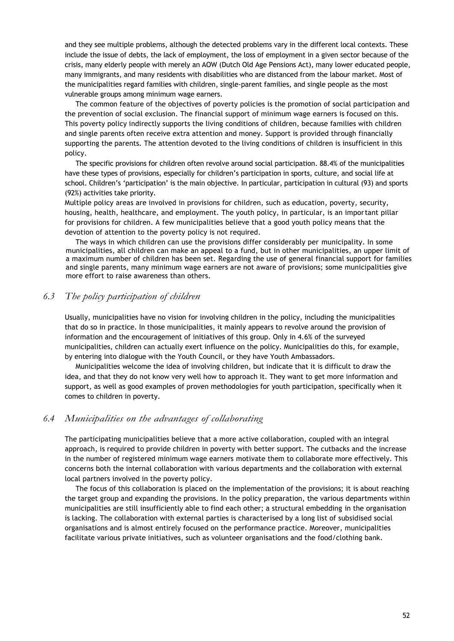and they see multiple problems, although the detected problems vary in the different local contexts. These include the issue of debts, the lack of employment, the loss of employment in a given sector because of the crisis, many elderly people with merely an AOW (Dutch Old Age Pensions Act), many lower educated people, many immigrants, and many residents with disabilities who are distanced from the labour market. Most of the municipalities regard families with children, single-parent families, and single people as the most vulnerable groups among minimum wage earners.

The common feature of the objectives of poverty policies is the promotion of social participation and the prevention of social exclusion. The financial support of minimum wage earners is focused on this. This poverty policy indirectly supports the living conditions of children, because families with children and single parents often receive extra attention and money. Support is provided through financially supporting the parents. The attention devoted to the living conditions of children is insufficient in this policy.

The specific provisions for children often revolve around social participation. 88.4% of the municipalities have these types of provisions, especially for children's participation in sports, culture, and social life at school. Children's 'participation' is the main objective. In particular, participation in cultural (93) and sports (92%) activities take priority.

Multiple policy areas are involved in provisions for children, such as education, poverty, security, housing, health, healthcare, and employment. The youth policy, in particular, is an important pillar for provisions for children. A few municipalities believe that a good youth policy means that the devotion of attention to the poverty policy is not required.

The ways in which children can use the provisions differ considerably per municipality. In some municipalities, all children can make an appeal to a fund, but in other municipalities, an upper limit of a maximum number of children has been set. Regarding the use of general financial support for families and single parents, many minimum wage earners are not aware of provisions; some municipalities give more effort to raise awareness than others.

#### *6.3 The policy participation of children*

Usually, municipalities have no vision for involving children in the policy, including the municipalities that do so in practice. In those municipalities, it mainly appears to revolve around the provision of information and the encouragement of initiatives of this group. Only in 4.6% of the surveyed municipalities, children can actually exert influence on the policy. Municipalities do this, for example, by entering into dialogue with the Youth Council, or they have Youth Ambassadors.

Municipalities welcome the idea of involving children, but indicate that it is difficult to draw the idea, and that they do not know very well how to approach it. They want to get more information and support, as well as good examples of proven methodologies for youth participation, specifically when it comes to children in poverty.

#### *6.4 Municipalities on the advantages of collaborating*

The participating municipalities believe that a more active collaboration, coupled with an integral approach, is required to provide children in poverty with better support. The cutbacks and the increase in the number of registered minimum wage earners motivate them to collaborate more effectively. This concerns both the internal collaboration with various departments and the collaboration with external local partners involved in the poverty policy.

The focus of this collaboration is placed on the implementation of the provisions; it is about reaching the target group and expanding the provisions. In the policy preparation, the various departments within municipalities are still insufficiently able to find each other; a structural embedding in the organisation is lacking. The collaboration with external parties is characterised by a long list of subsidised social organisations and is almost entirely focused on the performance practice. Moreover, municipalities facilitate various private initiatives, such as volunteer organisations and the food/clothing bank.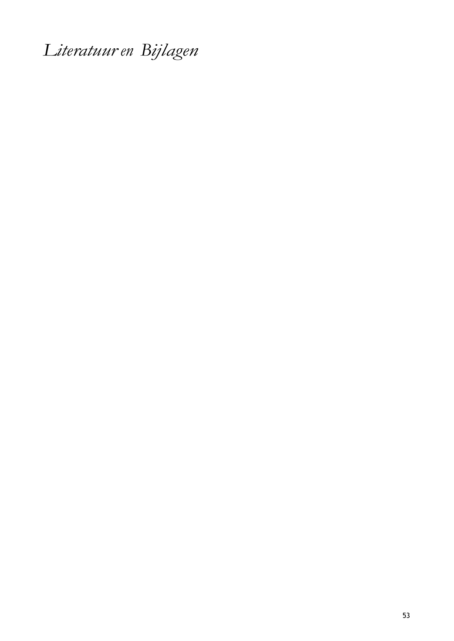*Literatuur en Bijlagen*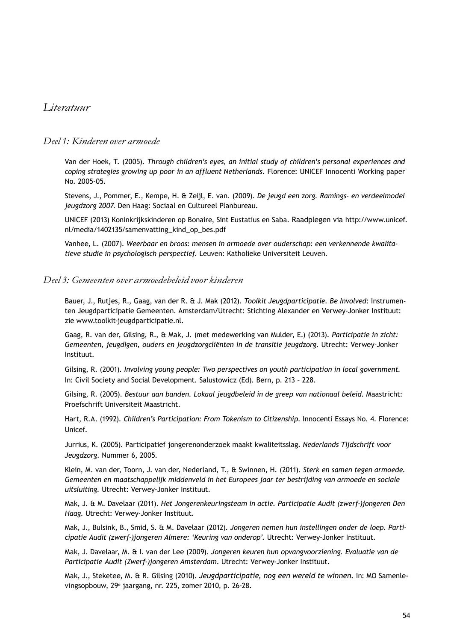# *Literatuur*

#### *Deel 1: Kinderen over armoede*

Van der Hoek, T. (2005). *Through children's eyes, an initial study of children's personal experiences and coping strategies growing up poor in an affluent Netherlands*. Florence: UNICEF Innocenti Working paper No. 2005-05.

Stevens, J., Pommer, E., Kempe, H. & Zeijl, E. van. (2009). *De jeugd een zorg. Ramings- en verdeelmodel jeugdzorg 2007*. Den Haag: Sociaal en Cultureel Planbureau.

UNICEF (2013) Koninkrijkskinderen op Bonaire, Sint Eustatius en Saba. Raadplegen via http://www.unicef. nl/media/1402135/samenvatting\_kind\_op\_bes.pdf

Vanhee, L. (2007). *Weerbaar en broos: mensen in armoede over ouderschap: een verkennende kwalitatieve studie in psychologisch perspectief*. Leuven: Katholieke Universiteit Leuven.

#### *Deel 3: Gemeenten over armoedebeleid voor kinderen*

Bauer, J., Rutjes, R., Gaag, van der R. & J. Mak (2012). *Toolkit Jeugdparticipatie*. *Be Involved*: Instrumenten Jeugdparticipatie Gemeenten. Amsterdam/Utrecht: Stichting Alexander en Verwey-Jonker Instituut: z[ie www.toolkit-jeugdparticipatie.nl.](http://www.toolkit-jeugdparticipatie.nl/)

Gaag, R. van der, Gilsing, R., & Mak, J. (met medewerking van Mulder, E.) (2013). *Participatie in zicht: Gemeenten, jeugdigen, ouders en jeugdzorgcliënten in de transitie jeugdzorg*. Utrecht: Verwey-Jonker Instituut.

Gilsing, R. (2001). *Involving young people: Two perspectives on youth participation in local government.* In: Civil Society and Social Development. Salustowicz (Ed). Bern, p. 213 – 228.

Gilsing, R. (2005). *Bestuur aan banden. Lokaal jeugdbeleid in de greep van nationaal beleid*. Maastricht: Proefschrift Universiteit Maastricht.

Hart, R.A. (1992). *Children's Participation: From Tokenism to Citizenship*. Innocenti Essays No. 4. Florence: Unicef.

Jurrius, K. (2005). Participatief jongerenonderzoek maakt kwaliteitsslag. *Nederlands Tijdschrift voor Jeugdzorg*. Nummer 6, 2005.

Klein, M. van der, Toorn, J. van der, Nederland, T., & Swinnen, H. (2011). *Sterk en samen tegen armoede. Gemeenten en maatschappelijk middenveld in het Europees jaar ter bestrijding van armoede en sociale uitsluiting.* Utrecht: Verwey-Jonker Instituut.

Mak, J. & M. Davelaar (2011). *Het Jongerenkeuringsteam in actie. Participatie Audit (zwerf-)jongeren Den Haag.* Utrecht: Verwey-Jonker Instituut.

Mak, J., Bulsink, B., Smid, S. & M. Davelaar (2012). *Jongeren nemen hun instellingen onder de loep. Participatie Audit (zwerf-)jongeren Almere: 'Keuring van onderop'.* Utrecht: Verwey-Jonker Instituut.

Mak, J. Davelaar, M. & I. van der Lee (2009). *Jongeren keuren hun opvangvoorziening. Evaluatie van de Participatie Audit (Zwerf-)jongeren Amsterdam*. Utrecht: Verwey-Jonker Instituut.

Mak, J., Steketee, M. & R. Gilsing (2010). *Jeugdparticipatie, nog een wereld te winnen.* In: MO Samenlevingsopbouw, 29<sup>e</sup> jaargang, nr. 225, zomer 2010, p. 26-28.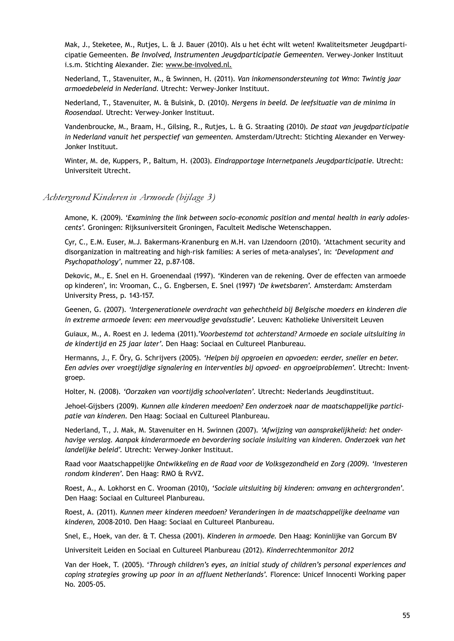Mak, J., Steketee, M., Rutjes, L. & J. Bauer (2010). Als u het écht wilt weten! Kwaliteitsmeter Jeugdparticipatie Gemeenten. *Be Involved, Instrumenten Jeugdparticipatie Gemeenten*. Verwey-Jonker Instituut i.s.m. Stichting Alexander. Zie: [www.be-involved.nl.](http://www.be-involved.nl/)

Nederland, T., Stavenuiter, M., & Swinnen, H. (2011). *Van inkomensondersteuning tot Wmo: Twintig jaar armoedebeleid in Nederland*. Utrecht: Verwey-Jonker Instituut.

Nederland, T., Stavenuiter, M. & Bulsink, D. (2010). *Nergens in beeld. De leefsituatie van de minima in Roosendaal.* Utrecht: Verwey-Jonker Instituut.

Vandenbroucke, M., Braam, H., Gilsing, R., Rutjes, L. & G. Straating (2010). *De staat van jeugdparticipatie in Nederland vanuit het perspectief van gemeenten.* Amsterdam/Utrecht: Stichting Alexander en Verwey-Jonker Instituut.

Winter, M. de, Kuppers, P., Baltum, H. (2003). *Eindrapportage Internetpanels Jeugdparticipatie*. Utrecht: Universiteit Utrecht.

#### *Achtergrond Kinderen in Armoede (bijlage 3)*

Amone, K. (2009). '*Examining the link between socio-economic position and mental health in early adolescents'.* Groningen: Rijksuniversiteit Groningen, Faculteit Medische Wetenschappen.

Cyr, C., E.M. Euser, M.J. Bakermans-Kranenburg en M.H. van IJzendoorn (2010). 'Attachment security and disorganization in maltreating and high-risk families: A series of meta-analyses', in: *'Development and Psychopathology'*, nummer 22, p.87-108.

Dekovic, M., E. Snel en H. Groenendaal (1997). 'Kinderen van de rekening. Over de effecten van armoede op kinderen', in: Vrooman, C., G. Engbersen, E. Snel (1997) *'De kwetsbaren'.* Amsterdam: Amsterdam University Press, p. 143-157.

Geenen, G. (2007). *'Intergenerationele overdracht van gehechtheid bij Belgische moeders en kinderen die in extreme armoede leven: een meervoudige gevalsstudie'*. Leuven: Katholieke Universiteit Leuven

Guiaux, M., A. Roest en J. Iedema (2011).*'Voorbestemd tot achterstand? Armoede en sociale uitsluiting in de kindertijd en 25 jaar later'*. Den Haag: Sociaal en Cultureel Planbureau.

Hermanns, J., F. Öry, G. Schrijvers (2005). *'Helpen bij opgroeien en opvoeden: eerder, sneller en beter. Een advies over vroegtijdige signalering en interventies bij opvoed- en opgroeiproblemen'.* Utrecht: Inventgroep.

Holter, N. (2008). *'Oorzaken van voortijdig schoolverlaten'*. Utrecht: Nederlands Jeugdinstituut.

Jehoel-Gijsbers (2009). *Kunnen alle kinderen meedoen? Een onderzoek naar de maatschappelijke participatie van kinderen*. Den Haag: Sociaal en Cultureel Planbureau.

Nederland, T., J. Mak, M. Stavenuiter en H. Swinnen (2007). *'Afwijzing van aansprakelijkheid: het onderhavige verslag. Aanpak kinderarmoede en bevordering sociale insluiting van kinderen. Onderzoek van het landelijke beleid'.* Utrecht: Verwey-Jonker Instituut.

Raad voor Maatschappelijke *Ontwikkeling en de Raad voor de Volksgezondheid en Zorg (2009). 'Investeren rondom kinderen'*. Den Haag: RMO & RvVZ.

Roest, A., A. Lokhorst en C. Vrooman (2010), *'Sociale uitsluiting bij kinderen: omvang en achtergronden'*. Den Haag: Sociaal en Cultureel Planbureau.

Roest, A. (2011). *Kunnen meer kinderen meedoen? Veranderingen in de maatschappelijke deelname van kinderen,* 2008-2010. Den Haag: Sociaal en Cultureel Planbureau.

Snel, E., Hoek, van der. & T. Chessa (2001). *Kinderen in armoede.* Den Haag: Koninlijke van Gorcum BV

Universiteit Leiden en Sociaal en Cultureel Planbureau (2012). *Kinderrechtenmonitor 2012*

Van der Hoek, T. (2005). '*Through children's eyes, an initial study of children's personal experiences and coping strategies growing up poor in an affluent Netherlands'.* Florence: Unicef Innocenti Working paper No. 2005-05.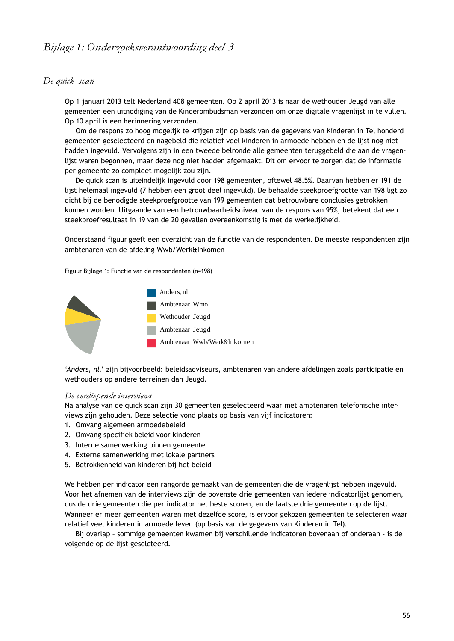# *De quick scan*

Op 1 januari 2013 telt Nederland 408 gemeenten. Op 2 april 2013 is naar de wethouder Jeugd van alle gemeenten een uitnodiging van de Kinderombudsman verzonden om onze digitale vragenlijst in te vullen. Op 10 april is een herinnering verzonden.

Om de respons zo hoog mogelijk te krijgen zijn op basis van de gegevens van Kinderen in Tel honderd gemeenten geselecteerd en nagebeld die relatief veel kinderen in armoede hebben en de lijst nog niet hadden ingevuld. Vervolgens zijn in een tweede belronde alle gemeenten teruggebeld die aan de vragenlijst waren begonnen, maar deze nog niet hadden afgemaakt. Dit om ervoor te zorgen dat de informatie per gemeente zo compleet mogelijk zou zijn.

De quick scan is uiteindelijk ingevuld door 198 gemeenten, oftewel 48.5%. Daarvan hebben er 191 de lijst helemaal ingevuld (7 hebben een groot deel ingevuld). De behaalde steekproefgrootte van 198 ligt zo dicht bij de benodigde steekproefgrootte van 199 gemeenten dat betrouwbare conclusies getrokken kunnen worden. Uitgaande van een betrouwbaarheidsniveau van de respons van 95%, betekent dat een steekproefresultaat in 19 van de 20 gevallen overeenkomstig is met de werkelijkheid.

Onderstaand figuur geeft een overzicht van de functie van de respondenten. De meeste respondenten zijn ambtenaren van de afdeling Wwb/Werk&Inkomen

Figuur Bijlage 1: Functie van de respondenten (n=198)



'*Anders, nl.*' zijn bijvoorbeeld: beleidsadviseurs, ambtenaren van andere afdelingen zoals participatie en wethouders op andere terreinen dan Jeugd.

#### *De verdiepende interviews*

Na analyse van de quick scan zijn 30 gemeenten geselecteerd waar met ambtenaren telefonische interviews zijn gehouden. Deze selectie vond plaats op basis van vijf indicatoren:

- 1. Omvang algemeen armoedebeleid
- 2. Omvang specifiek beleid voor kinderen
- 3. Interne samenwerking binnen gemeente
- 4. Externe samenwerking met lokale partners
- 5. Betrokkenheid van kinderen bij het beleid

We hebben per indicator een rangorde gemaakt van de gemeenten die de vragenlijst hebben ingevuld. Voor het afnemen van de interviews zijn de bovenste drie gemeenten van iedere indicatorlijst genomen, dus de drie gemeenten die per indicator het beste scoren, en de laatste drie gemeenten op de lijst. Wanneer er meer gemeenten waren met dezelfde score, is ervoor gekozen gemeenten te selecteren waar relatief veel kinderen in armoede leven (op basis van de gegevens van Kinderen in Tel).

Bij overlap – sommige gemeenten kwamen bij verschillende indicatoren bovenaan of onderaan - is de volgende op de lijst geselcteerd.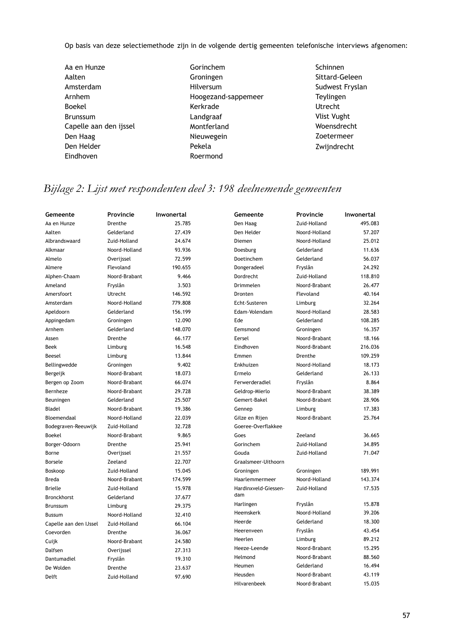Op basis van deze selectiemethode zijn in de volgende dertig gemeenten telefonische interviews afgenomen:

- Aa en Hunze Aalten Amsterdam Arnhem Boekel Brunssum Capelle aan den ijssel Den Haag Den Helder Eindhoven
- Gorinchem Groningen Hilversum Hoogezand-sappemeer Kerkrade Landgraaf Montferland Nieuwegein Pekela Roermond
- Schinnen Sittard-Geleen Sudwest Fryslan Teylingen Utrecht Vlist Vught Woensdrecht Zoetermeer Zwijndrecht

# *Bijlage 2: Lijst met respondenten deel 3: 198 deelnemende gemeenten*

| Gemeente               | Provincie     | Inwonertal | Gemeente             | <b>Provincie</b> | Inwonertal |
|------------------------|---------------|------------|----------------------|------------------|------------|
| Aa en Hunze            | Drenthe       | 25.785     | Den Haag             | Zuid-Holland     | 495.083    |
| Aalten                 | Gelderland    | 27.439     | Den Helder           | Noord-Holland    | 57.207     |
| Albrandswaard          | Zuid-Holland  | 24.674     | Diemen               | Noord-Holland    | 25.012     |
| Alkmaar                | Noord-Holland | 93.936     | Doesburg             | Gelderland       | 11.636     |
| Almelo                 | Overijssel    | 72.599     | Doetinchem           | Gelderland       | 56.037     |
| Almere                 | Flevoland     | 190.655    | Dongeradeel          | Fryslân          | 24.292     |
| Alphen-Chaam           | Noord-Brabant | 9.466      | Dordrecht            | Zuid-Holland     | 118.810    |
| Ameland                | Fryslân       | 3.503      | Drimmelen            | Noord-Brabant    | 26.477     |
| Amersfoort             | Utrecht       | 146.592    | Dronten              | Flevoland        | 40.164     |
| Amsterdam              | Noord-Holland | 779.808    | Echt-Susteren        | Limburg          | 32.264     |
| Apeldoorn              | Gelderland    | 156.199    | Edam-Volendam        | Noord-Holland    | 28.583     |
| Appingedam             | Groningen     | 12.090     | Ede                  | Gelderland       | 108.285    |
| Arnhem                 | Gelderland    | 148.070    | Eemsmond             | Groningen        | 16.357     |
| Assen                  | Drenthe       | 66.177     | Eersel               | Noord-Brabant    | 18.166     |
| <b>Beek</b>            | Limburg       | 16.548     | Eindhoven            | Noord-Brabant    | 216.036    |
| Beesel                 | Limburg       | 13.844     | Emmen                | Drenthe          | 109.259    |
| Bellingwedde           | Groningen     | 9.402      | Enkhuizen            | Noord-Holland    | 18.173     |
| Bergeijk               | Noord-Brabant | 18.073     | Ermelo               | Gelderland       | 26.133     |
| Bergen op Zoom         | Noord-Brabant | 66.074     | Ferwerderadiel       | Fryslân          | 8.864      |
| Bernheze               | Noord-Brabant | 29.728     | Geldrop-Mierlo       | Noord-Brabant    | 38.389     |
| Beuningen              | Gelderland    | 25.507     | Gemert-Bakel         | Noord-Brabant    | 28.906     |
| Bladel                 | Noord-Brabant | 19.386     | Gennep               | Limburg          | 17.383     |
| Bloemendaal            | Noord-Holland | 22.039     | Gilze en Rijen       | Noord-Brabant    | 25.764     |
| Bodegraven-Reeuwijk    | Zuid-Holland  | 32.728     | Goeree-Overflakkee   |                  |            |
| <b>Boekel</b>          | Noord-Brabant | 9.865      | Goes                 | Zeeland          | 36.665     |
| Borger-Odoorn          | Drenthe       | 25.941     | Gorinchem            | Zuid-Holland     | 34.895     |
| Borne                  | Overijssel    | 21.557     | Gouda                | Zuid-Holland     | 71.047     |
| Borsele                | Zeeland       | 22.707     | Graalsmeer-Uithoorn  |                  |            |
| Boskoop                | Zuid-Holland  | 15.045     | Groningen            | Groningen        | 189.991    |
| <b>Breda</b>           | Noord-Brabant | 174.599    | Haarlemmermeer       | Noord-Holland    | 143.374    |
| <b>Brielle</b>         | Zuid-Holland  | 15.978     | Hardinxveld-Giessen- | Zuid-Holland     | 17.535     |
| Bronckhorst            | Gelderland    | 37.677     | dam                  |                  |            |
| <b>Brunssum</b>        | Limburg       | 29.375     | Harlingen            | Fryslân          | 15.878     |
| Bussum                 | Noord-Holland | 32.410     | Heemskerk            | Noord-Holland    | 39.206     |
| Capelle aan den IJssel | Zuid-Holland  | 66.104     | Heerde               | Gelderland       | 18.300     |
| Coevorden              | Drenthe       | 36.067     | Heerenveen           | Fryslân          | 43.454     |
| Cuijk                  | Noord-Brabant | 24.580     | Heerlen              | Limburg          | 89.212     |
| Dalfsen                | Overijssel    | 27.313     | Heeze-Leende         | Noord-Brabant    | 15.295     |
| Dantumadiel            | Fryslân       | 19.310     | Helmond              | Noord-Brabant    | 88.560     |
| De Wolden              | Drenthe       | 23.637     | Heumen               | Gelderland       | 16.494     |
| Delft                  | Zuid-Holland  | 97.690     | Heusden              | Noord-Brabant    | 43.119     |
|                        |               |            | Hilvarenbeek         | Noord-Brabant    | 15.035     |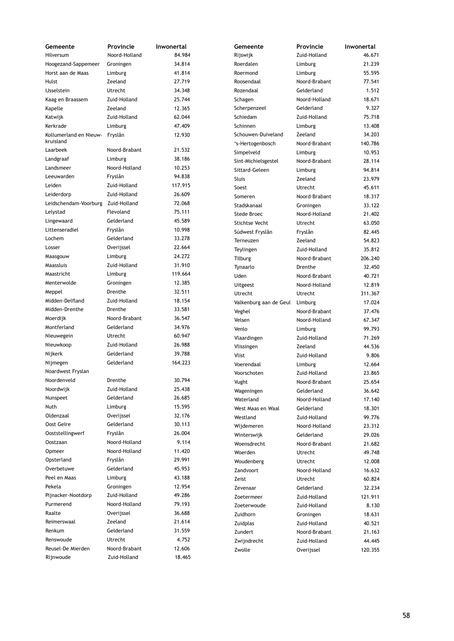| Gemeente                           | Provincie     | Inwonertal | Gemeente               | Provincie     | Inwonertal |
|------------------------------------|---------------|------------|------------------------|---------------|------------|
| Hilversum                          | Noord-Holland | 84.984     | Rijswijk               | Zuid-Holland  | 46.671     |
| Hoogezand-Sappemeer                | Groningen     | 34.814     | Roerdalen              | Limburg       | 21.239     |
| Horst aan de Maas                  | Limburg       | 41.814     | Roermond               | Limburg       | 55.595     |
| Hulst                              | Zeeland       | 27.719     | Roosendaal             | Noord-Brabant | 77.541     |
| <b>IJsselstein</b>                 | Utrecht       | 34.348     | Rozendaal              | Gelderland    | 1.512      |
| Kaag en Braassem                   | Zuid-Holland  | 25.744     | Schagen                | Noord-Holland | 18.671     |
| Kapelle                            | Zeeland       | 12.365     | Scherpenzeel           | Gelderland    | 9.327      |
| Katwijk                            | Zuid-Holland  | 62.044     | Schiedam               | Zuid-Holland  | 75.718     |
| Kerkrade                           | Limburg       | 47.409     | Schinnen               | Limburg       | 13.408     |
| Kollumerland en Nieuw-             | Fryslân       | 12.930     | Schouwen-Duiveland     | Zeeland       | 34.203     |
| kruisland                          |               |            | 's-Hertogenbosch       | Noord-Brabant | 140.786    |
| Laarbeek                           | Noord-Brabant | 21.532     | Simpelveld             | Limburg       | 10.953     |
| Landgraaf                          | Limburg       | 38.186     |                        | Noord-Brabant | 28.114     |
| Landsmeer                          | Noord-Holland | 10.253     | Sint-Michielsgestel    |               | 94.814     |
| Leeuwarden                         | Fryslân       | 94.838     | Sittard-Geleen         | Limburg       |            |
| Leiden                             | Zuid-Holland  | 117.915    | Sluis                  | Zeeland       | 23.979     |
| Leiderdorp                         | Zuid-Holland  | 26.609     | Soest                  | Utrecht       | 45.611     |
| Leidschendam-Voorburg Zuid-Holland |               | 72.068     | Someren                | Noord-Brabant | 18.317     |
|                                    | Flevoland     | 75.111     | Stadskanaal            | Groningen     | 33.122     |
| Lelystad                           |               |            | Stede Broec            | Noord-Holland | 21.402     |
| Lingewaard                         | Gelderland    | 45.589     | <b>Stichtse Vecht</b>  | Utrecht       | 63.050     |
| Littenseradiel                     | Fryslân       | 10.998     | Súdwest Fryslân        | Fryslân       | 82.445     |
| Lochem                             | Gelderland    | 33.278     | Terneuzen              | Zeeland       | 54.823     |
| Losser                             | Overijssel    | 22.664     | Teylingen              | Zuid-Holland  | 35.812     |
| Maasgouw                           | Limburg       | 24.272     | <b>Tilburg</b>         | Noord-Brabant | 206.240    |
| Maassluis                          | Zuid-Holland  | 31.910     | Tynaarlo               | Drenthe       | 32.450     |
| Maastricht                         | Limburg       | 119.664    | Uden                   | Noord-Brabant | 40.721     |
| Menterwolde                        | Groningen     | 12.385     | <b>Uitgeest</b>        | Noord-Holland | 12.819     |
| Meppel                             | Drenthe       | 32.511     | Utrecht                | Utrecht       | 311.367    |
| Midden-Delfland                    | Zuid-Holland  | 18.154     | Valkenburg aan de Geul | Limburg       | 17.024     |
| Midden-Drenthe                     | Drenthe       | 33.581     | Veghel                 | Noord-Brabant | 37.476     |
| Moerdijk                           | Noord-Brabant | 36.547     | Velsen                 | Noord-Holland | 67.347     |
| Montferland                        | Gelderland    | 34.976     | Venlo                  | Limburg       | 99.793     |
| Nieuwegein                         | Utrecht       | 60.947     | Vlaardingen            | Zuid-Holland  | 71.269     |
| Nieuwkoop                          | Zuid-Holland  | 26.988     | Vlissingen             | Zeeland       | 44.536     |
| Nijkerk                            | Gelderland    | 39.788     | Vlist                  | Zuid-Holland  | 9.806      |
| Nijmegen                           | Gelderland    | 164.223    | Voerendaal             | Limburg       | 12.664     |
| Noardwest Fryslan                  |               |            | Voorschoten            | Zuid-Holland  | 23.865     |
| Noordenveld                        | Drenthe       | 30.794     |                        |               |            |
| Noordwijk                          | Zuid-Holland  | 25.438     | Vught                  | Noord-Brabant | 25.654     |
| Nunspeet                           | Gelderland    | 26.685     | Wageningen             | Gelderland    | 36.642     |
| Nuth                               | Limburg       | 15.595     | Waterland              | Noord-Holland | 17.140     |
| Oldenzaal                          | Overijssel    | 32.176     | West Maas en Waal      | Gelderland    | 18.301     |
| Oost Gelre                         |               | 30.113     | Westland               | Zuid-Holland  | 99.776     |
|                                    | Gelderland    |            | Wijdemeren             | Noord-Holland | 23.312     |
| Ooststellingwerf                   | Fryslân       | 26.004     | Winterswijk            | Gelderland    | 29.026     |
| Oostzaan                           | Noord-Holland | 9.114      | Woensdrecht            | Noord-Brabant | 21.682     |
| Opmeer                             | Noord-Holland | 11.420     | Woerden                | Utrecht       | 49.748     |
| Opsterland                         | Fryslân       | 29.991     | Woudenberg             | Utrecht       | 12.008     |
| Overbetuwe                         | Gelderland    | 45.953     | Zandvoort              | Noord-Holland | 16.632     |
| Peel en Maas                       | Limburg       | 43.188     | Zeist                  | Utrecht       | 60.824     |
| Pekela                             | Groningen     | 12.954     | Zevenaar               | Gelderland    | 32.234     |
| Pijnacker-Nootdorp                 | Zuid-Holland  | 49.286     | Zoetermeer             | Zuid-Holland  | 121.911    |
| Purmerend                          | Noord-Holland | 79.193     | Zoeterwoude            | Zuid-Holland  | 8.130      |
| Raalte                             | Overijssel    | 36.688     | Zuidhorn               | Groningen     | 18.631     |
| Reimerswaal                        | Zeeland       | 21.614     | Zuidplas               | Zuid-Holland  | 40.521     |
| Renkum                             | Gelderland    | 31.559     | Zundert                | Noord-Brabant | 21.163     |
| Renswoude                          | Utrecht       | 4.752      | Zwijndrecht            | Zuid-Holland  | 44.445     |
| Reusel-De Mierden                  | Noord-Brabant | 12.606     | Zwolle                 | Overijssel    | 120.355    |
| Rijnwoude                          | Zuid-Holland  | 18.465     |                        |               |            |
|                                    |               |            |                        |               |            |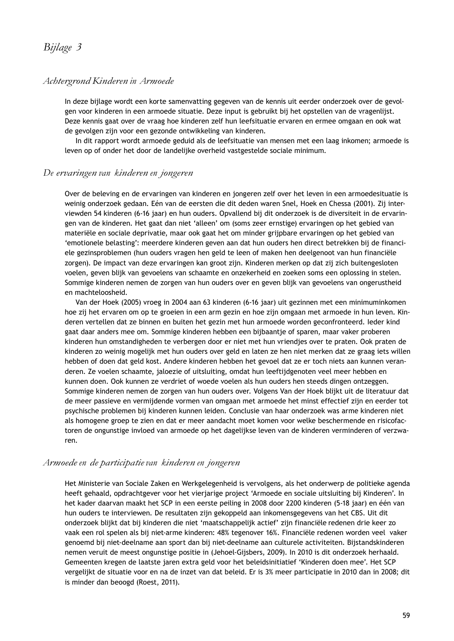## *Achtergrond Kinderen in Armoede*

In deze bijlage wordt een korte samenvatting gegeven van de kennis uit eerder onderzoek over de gevolgen voor kinderen in een armoede situatie. Deze input is gebruikt bij het opstellen van de vragenlijst. Deze kennis gaat over de vraag hoe kinderen zelf hun leefsituatie ervaren en ermee omgaan en ook wat de gevolgen zijn voor een gezonde ontwikkeling van kinderen.

In dit rapport wordt armoede geduid als de leefsituatie van mensen met een laag inkomen; armoede is leven op of onder het door de landelijke overheid vastgestelde sociale minimum.

#### *De ervaringen van kinderen en jongeren*

Over de beleving en de ervaringen van kinderen en jongeren zelf over het leven in een armoedesituatie is weinig onderzoek gedaan. Eén van de eersten die dit deden waren Snel, Hoek en Chessa (2001). Zij interviewden 54 kinderen (6-16 jaar) en hun ouders. Opvallend bij dit onderzoek is de diversiteit in de ervaringen van de kinderen. Het gaat dan niet 'alleen' om (soms zeer ernstige) ervaringen op het gebied van materiële en sociale deprivatie, maar ook gaat het om minder grijpbare ervaringen op het gebied van 'emotionele belasting': meerdere kinderen geven aan dat hun ouders hen direct betrekken bij de financiele gezinsproblemen (hun ouders vragen hen geld te leen of maken hen deelgenoot van hun financiële zorgen). De impact van deze ervaringen kan groot zijn. Kinderen merken op dat zij zich buitengesloten voelen, geven blijk van gevoelens van schaamte en onzekerheid en zoeken soms een oplossing in stelen. Sommige kinderen nemen de zorgen van hun ouders over en geven blijk van gevoelens van ongerustheid en machteloosheid.

Van der Hoek (2005) vroeg in 2004 aan 63 kinderen (6-16 jaar) uit gezinnen met een minimuminkomen hoe zij het ervaren om op te groeien in een arm gezin en hoe zijn omgaan met armoede in hun leven. Kinderen vertellen dat ze binnen en buiten het gezin met hun armoede worden geconfronteerd. Ieder kind gaat daar anders mee om. Sommige kinderen hebben een bijbaantje of sparen, maar vaker proberen kinderen hun omstandigheden te verbergen door er niet met hun vriendjes over te praten. Ook praten de kinderen zo weinig mogelijk met hun ouders over geld en laten ze hen niet merken dat ze graag iets willen hebben of doen dat geld kost. Andere kinderen hebben het gevoel dat ze er toch niets aan kunnen veranderen. Ze voelen schaamte, jaloezie of uitsluiting, omdat hun leeftijdgenoten veel meer hebben en kunnen doen. Ook kunnen ze verdriet of woede voelen als hun ouders hen steeds dingen ontzeggen. Sommige kinderen nemen de zorgen van hun ouders over. Volgens Van der Hoek blijkt uit de literatuur dat de meer passieve en vermijdende vormen van omgaan met armoede het minst effectief zijn en eerder tot psychische problemen bij kinderen kunnen leiden. Conclusie van haar onderzoek was arme kinderen niet als homogene groep te zien en dat er meer aandacht moet komen voor welke beschermende en risicofactoren de ongunstige invloed van armoede op het dagelijkse leven van de kinderen verminderen of verzwaren.

#### *Armoede en de participatievan kinderen en jongeren*

Het Ministerie van Sociale Zaken en Werkgelegenheid is vervolgens, als het onderwerp de politieke agenda heeft gehaald, opdrachtgever voor het vierjarige project 'Armoede en sociale uitsluiting bij Kinderen'. In het kader daarvan maakt het SCP in een eerste peiling in 2008 door 2200 kinderen (5-18 jaar) en één van hun ouders te interviewen. De resultaten zijn gekoppeld aan inkomensgegevens van het CBS. Uit dit onderzoek blijkt dat bij kinderen die niet 'maatschappelijk actief' zijn financiële redenen drie keer zo vaak een rol spelen als bij niet-arme kinderen: 48% tegenover 16%. Financiële redenen worden veel vaker genoemd bij niet-deelname aan sport dan bij niet-deelname aan culturele activiteiten. Bijstandskinderen nemen veruit de meest ongunstige positie in (Jehoel-Gijsbers, 2009). In 2010 is dit onderzoek herhaald. Gemeenten kregen de laatste jaren extra geld voor het beleidsinitiatief 'Kinderen doen mee'. Het SCP vergelijkt de situatie voor en na de inzet van dat beleid. Er is 3% meer participatie in 2010 dan in 2008; dit is minder dan beoogd (Roest, 2011).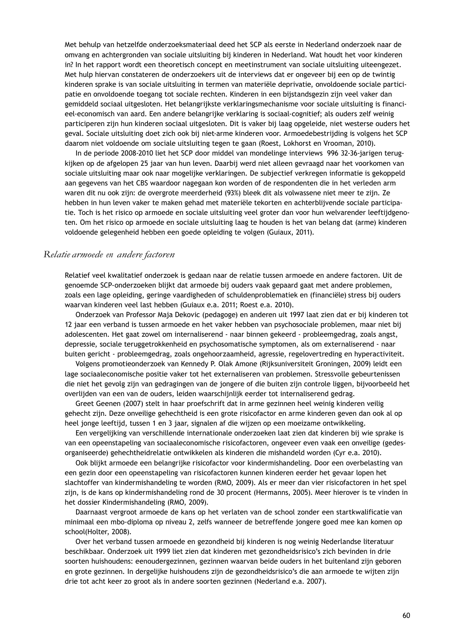Met behulp van hetzelfde onderzoeksmateriaal deed het SCP als eerste in Nederland onderzoek naar de omvang en achtergronden van sociale uitsluiting bij kinderen in Nederland. Wat houdt het voor kinderen in? In het rapport wordt een theoretisch concept en meetinstrument van sociale uitsluiting uiteengezet. Met hulp hiervan constateren de onderzoekers uit de interviews dat er ongeveer bij een op de twintig kinderen sprake is van sociale uitsluiting in termen van materiële deprivatie, onvoldoende sociale participatie en onvoldoende toegang tot sociale rechten. Kinderen in een bijstandsgezin zijn veel vaker dan gemiddeld sociaal uitgesloten. Het belangrijkste verklaringsmechanisme voor sociale uitsluiting is financieel-economisch van aard. Een andere belangrijke verklaring is sociaal-cognitief; als ouders zelf weinig participeren zijn hun kinderen sociaal uitgesloten. Dit is vaker bij laag opgeleide, niet westerse ouders het geval. Sociale uitsluiting doet zich ook bij niet-arme kinderen voor. Armoedebestrijding is volgens het SCP daarom niet voldoende om sociale uitsluiting tegen te gaan (Roest, Lokhorst en Vrooman, 2010).

In de periode 2008-2010 liet het SCP door middel van mondelinge interviews 996 32-36-jarigen terugkijken op de afgelopen 25 jaar van hun leven. Daarbij werd niet alleen gevraagd naar het voorkomen van sociale uitsluiting maar ook naar mogelijke verklaringen. De subjectief verkregen informatie is gekoppeld aan gegevens van het CBS waardoor nagegaan kon worden of de respondenten die in het verleden arm waren dit nu ook zijn: de overgrote meerderheid (93%) bleek dit als volwassene niet meer te zijn. Ze hebben in hun leven vaker te maken gehad met materiële tekorten en achterblijvende sociale participatie. Toch is het risico op armoede en sociale uitsluiting veel groter dan voor hun welvarender leeftijdgenoten. Om het risico op armoede en sociale uitsluiting laag te houden is het van belang dat (arme) kinderen voldoende gelegenheid hebben een goede opleiding te volgen (Guiaux, 2011).

#### *Relatie armoede en andere factoren*

Relatief veel kwalitatief onderzoek is gedaan naar de relatie tussen armoede en andere factoren. Uit de genoemde SCP-onderzoeken blijkt dat armoede bij ouders vaak gepaard gaat met andere problemen, zoals een lage opleiding, geringe vaardigheden of schuldenproblematiek en (financiële) stress bij ouders waarvan kinderen veel last hebben (Guiaux e.a. 2011; Roest e.a. 2010).

Onderzoek van Professor Maja Dekovic (pedagoge) en anderen uit 1997 laat zien dat er bij kinderen tot 12 jaar een verband is tussen armoede en het vaker hebben van psychosociale problemen, maar niet bij adolescenten. Het gaat zowel om internaliserend - naar binnen gekeerd - probleemgedrag, zoals angst, depressie, sociale teruggetrokkenheid en psychosomatische symptomen, als om externaliserend - naar buiten gericht - probleemgedrag, zoals ongehoorzaamheid, agressie, regelovertreding en hyperactiviteit.

Volgens promotieonderzoek van Kennedy P. Olak Amone (Rijksuniversiteit Groningen, 2009) leidt een lage sociaaleconomische positie vaker tot het externaliseren van problemen. Stressvolle gebeurtenissen die niet het gevolg zijn van gedragingen van de jongere of die buiten zijn controle liggen, bijvoorbeeld het overlijden van een van de ouders, leiden waarschijnlijk eerder tot internaliserend gedrag.

Greet Geenen (2007) stelt in haar proefschrift dat in arme gezinnen heel weinig kinderen veilig gehecht zijn. Deze onveilige gehechtheid is een grote risicofactor en arme kinderen geven dan ook al op heel jonge leeftijd, tussen 1 en 3 jaar, signalen af die wijzen op een moeizame ontwikkeling.

Een vergelijking van verschillende internationale onderzoeken laat zien dat kinderen bij wie sprake is van een opeenstapeling van sociaaleconomische risicofactoren, ongeveer even vaak een onveilige (gedesorganiseerde) gehechtheidrelatie ontwikkelen als kinderen die mishandeld worden (Cyr e.a. 2010).

Ook blijkt armoede een belangrijke risicofactor voor kindermishandeling. Door een overbelasting van een gezin door een opeenstapeling van risicofactoren kunnen kinderen eerder het gevaar lopen het slachtoffer van kindermishandeling te worden (RMO, 2009). Als er meer dan vier risicofactoren in het spel zijn, is de kans op kindermishandeling rond de 30 procent (Hermanns, 2005). Meer hierover is te vinden in het dossier Kindermishandeling (RMO, 2009).

Daarnaast vergroot armoede de kans op het verlaten van de school zonder een startkwalificatie van minimaal een mbo-diploma op niveau 2, zelfs wanneer de betreffende jongere goed mee kan komen op school(Holter, 2008).

Over het verband tussen armoede en gezondheid bij kinderen is nog weinig Nederlandse literatuur beschikbaar. Onderzoek uit 1999 liet zien dat kinderen met gezondheidsrisico's zich bevinden in drie soorten huishoudens: eenoudergezinnen, gezinnen waarvan beide ouders in het buitenland zijn geboren en grote gezinnen. In dergelijke huishoudens zijn de gezondheidsrisico's die aan armoede te wijten zijn drie tot acht keer zo groot als in andere soorten gezinnen (Nederland e.a. 2007).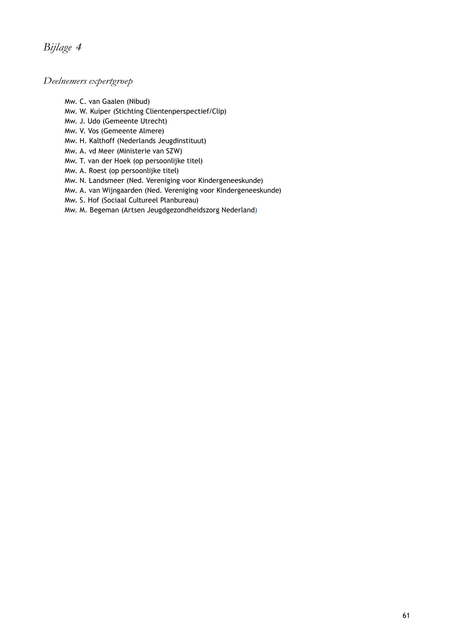# *Bijlage 4*

# *Deelnemers expertgroep*

Mw. C. van Gaalen (Nibud)

- Mw. W. Kuiper (Stichting Clientenperspectief/Clip)
- Mw. J. Udo (Gemeente Utrecht)
- Mw. V. Vos (Gemeente Almere)
- Mw. H. Kalthoff (Nederlands Jeugdinstituut)
- Mw. A. vd Meer (Ministerie van SZW)
- Mw. T. van der Hoek (op persoonlijke titel)
- Mw. A. Roest (op persoonlijke titel)
- Mw. N. Landsmeer (Ned. Vereniging voor Kindergeneeskunde)
- Mw. A. van Wijngaarden (Ned. Vereniging voor Kindergeneeskunde)
- Mw. S. Hof (Sociaal Cultureel Planbureau)
- Mw. M. Begeman (Artsen Jeugdgezondheidszorg Nederland)